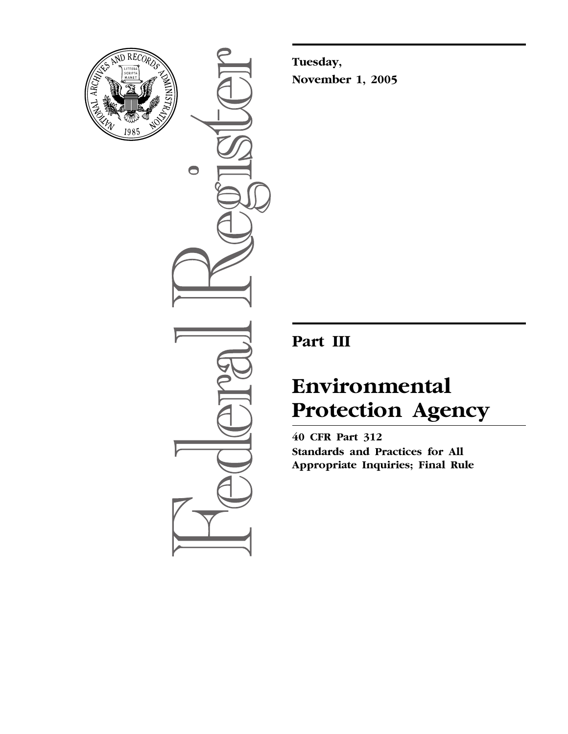

 $\bullet$ 

**Tuesday, November 1, 2005** 

## **Part III**

# **Environmental Protection Agency**

**40 CFR Part 312 Standards and Practices for All Appropriate Inquiries; Final Rule**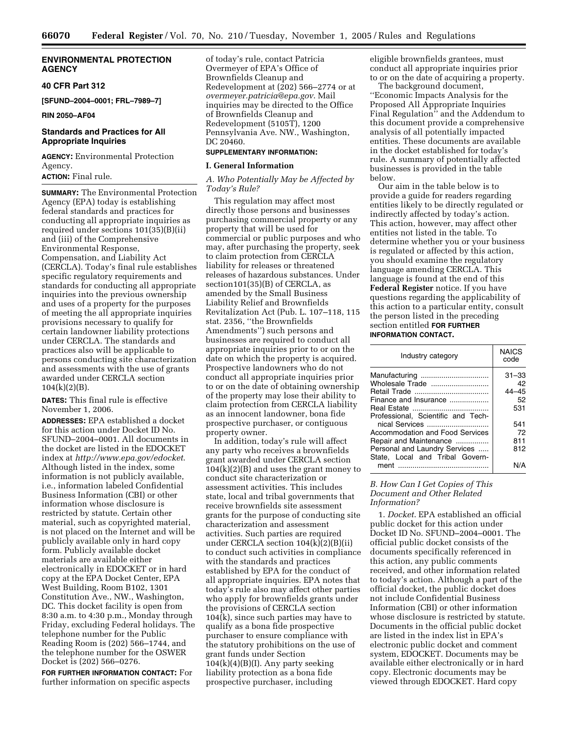## **ENVIRONMENTAL PROTECTION AGENCY**

## **40 CFR Part 312**

**[SFUND–2004–0001; FRL–7989–7]** 

## **RIN 2050–AF04**

## **Standards and Practices for All Appropriate Inquiries**

**AGENCY:** Environmental Protection Agency.

**ACTION:** Final rule.

**SUMMARY:** The Environmental Protection Agency (EPA) today is establishing federal standards and practices for conducting all appropriate inquiries as required under sections 101(35)(B)(ii) and (iii) of the Comprehensive Environmental Response, Compensation, and Liability Act (CERCLA). Today's final rule establishes specific regulatory requirements and standards for conducting all appropriate inquiries into the previous ownership and uses of a property for the purposes of meeting the all appropriate inquiries provisions necessary to qualify for certain landowner liability protections under CERCLA. The standards and practices also will be applicable to persons conducting site characterization and assessments with the use of grants awarded under CERCLA section  $104(k)(2)(B)$ .

**DATES:** This final rule is effective November 1, 2006.

**ADDRESSES:** EPA established a docket for this action under Docket ID No. SFUND–2004–0001. All documents in the docket are listed in the EDOCKET index at *http://www.epa.gov/edocket*. Although listed in the index, some information is not publicly available, i.e., information labeled Confidential Business Information (CBI) or other information whose disclosure is restricted by statute. Certain other material, such as copyrighted material, is not placed on the Internet and will be publicly available only in hard copy form. Publicly available docket materials are available either electronically in EDOCKET or in hard copy at the EPA Docket Center, EPA West Building, Room B102, 1301 Constitution Ave., NW., Washington, DC. This docket facility is open from 8:30 a.m. to 4:30 p.m., Monday through Friday, excluding Federal holidays. The telephone number for the Public Reading Room is (202) 566–1744, and the telephone number for the OSWER Docket is (202) 566–0276.

**FOR FURTHER INFORMATION CONTACT:** For further information on specific aspects

of today's rule, contact Patricia Overmeyer of EPA's Office of Brownfields Cleanup and Redevelopment at (202) 566–2774 or at *overmeyer.patricia@epa.gov*. Mail inquiries may be directed to the Office of Brownfields Cleanup and Redevelopment (5105T), 1200 Pennsylvania Ave. NW., Washington, DC 20460.

## **SUPPLEMENTARY INFORMATION:**

## **I. General Information**

*A. Who Potentially May be Affected by Today's Rule?* 

This regulation may affect most directly those persons and businesses purchasing commercial property or any property that will be used for commercial or public purposes and who may, after purchasing the property, seek to claim protection from CERCLA liability for releases or threatened releases of hazardous substances. Under section101(35)(B) of CERCLA, as amended by the Small Business Liability Relief and Brownfields Revitalization Act (Pub. L. 107–118, 115 stat. 2356, ''the Brownfields Amendments'') such persons and businesses are required to conduct all appropriate inquiries prior to or on the date on which the property is acquired. Prospective landowners who do not conduct all appropriate inquiries prior to or on the date of obtaining ownership of the property may lose their ability to claim protection from CERCLA liability as an innocent landowner, bona fide prospective purchaser, or contiguous property owner.

In addition, today's rule will affect any party who receives a brownfields grant awarded under CERCLA section  $104(k)(2)(B)$  and uses the grant money to conduct site characterization or assessment activities. This includes state, local and tribal governments that receive brownfields site assessment grants for the purpose of conducting site characterization and assessment activities. Such parties are required under CERCLA section 104(k)(2)(B)(ii) to conduct such activities in compliance with the standards and practices established by EPA for the conduct of all appropriate inquiries. EPA notes that today's rule also may affect other parties who apply for brownfields grants under the provisions of CERCLA section 104(k), since such parties may have to qualify as a bona fide prospective purchaser to ensure compliance with the statutory prohibitions on the use of grant funds under Section  $104(k)(4)(B)(I)$ . Any party seeking liability protection as a bona fide prospective purchaser, including

eligible brownfields grantees, must conduct all appropriate inquiries prior to or on the date of acquiring a property.

The background document, ''Economic Impacts Analysis for the Proposed All Appropriate Inquiries Final Regulation'' and the Addendum to this document provide a comprehensive analysis of all potentially impacted entities. These documents are available in the docket established for today's rule. A summary of potentially affected businesses is provided in the table below.

Our aim in the table below is to provide a guide for readers regarding entities likely to be directly regulated or indirectly affected by today's action. This action, however, may affect other entities not listed in the table. To determine whether you or your business is regulated or affected by this action, you should examine the regulatory language amending CERCLA. This language is found at the end of this **Federal Register** notice. If you have questions regarding the applicability of this action to a particular entity, consult the person listed in the preceding section entitled **FOR FURTHER INFORMATION CONTACT.** 

| Industry category                  | <b>NAICS</b><br>code |
|------------------------------------|----------------------|
| Manufacturing                      | $31 - 33$            |
| Wholesale Trade                    | 42                   |
|                                    | $44 - 45$            |
| Finance and Insurance              | 52                   |
|                                    | 531                  |
| Professional, Scientific and Tech- |                      |
| nical Services                     | 541                  |
| Accommodation and Food Services    | -72                  |
| Repair and Maintenance             | 811                  |
| Personal and Laundry Services      | 812                  |
| State, Local and Tribal Govern-    |                      |
|                                    | N/A                  |

## *B. How Can I Get Copies of This Document and Other Related Information?*

1. *Docket*. EPA established an official public docket for this action under Docket ID No. SFUND–2004–0001. The official public docket consists of the documents specifically referenced in this action, any public comments received, and other information related to today's action. Although a part of the official docket, the public docket does not include Confidential Business Information (CBI) or other information whose disclosure is restricted by statute. Documents in the official public docket are listed in the index list in EPA's electronic public docket and comment system, EDOCKET. Documents may be available either electronically or in hard copy. Electronic documents may be viewed through EDOCKET. Hard copy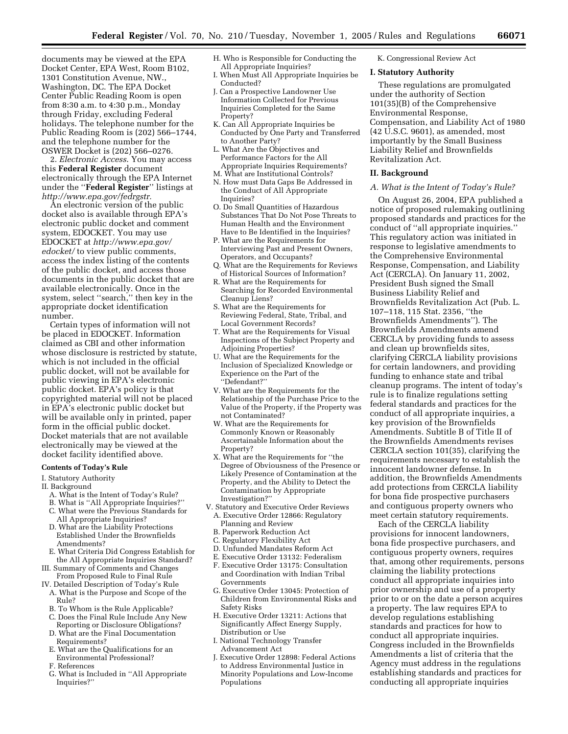documents may be viewed at the EPA Docket Center, EPA West, Room B102, 1301 Constitution Avenue, NW., Washington, DC. The EPA Docket Center Public Reading Room is open from 8:30 a.m. to 4:30 p.m., Monday through Friday, excluding Federal holidays. The telephone number for the Public Reading Room is (202) 566–1744, and the telephone number for the OSWER Docket is (202) 566–0276.

2. *Electronic Access*. You may access this **Federal Register** document electronically through the EPA Internet under the ''**Federal Register**'' listings at *http://www.epa.gov/fedrgstr.* 

An electronic version of the public docket also is available through EPA's electronic public docket and comment system, EDOCKET. You may use EDOCKET at *http://www.epa.gov/ edocket/* to view public comments, access the index listing of the contents of the public docket, and access those documents in the public docket that are available electronically. Once in the system, select ''search,'' then key in the appropriate docket identification number.

Certain types of information will not be placed in EDOCKET. Information claimed as CBI and other information whose disclosure is restricted by statute, which is not included in the official public docket, will not be available for public viewing in EPA's electronic public docket. EPA's policy is that copyrighted material will not be placed in EPA's electronic public docket but will be available only in printed, paper form in the official public docket. Docket materials that are not available electronically may be viewed at the docket facility identified above.

## **Contents of Today's Rule**

- I. Statutory Authority
- II. Background
	- A. What is the Intent of Today's Rule?
	- B. What is ''All Appropriate Inquiries?''
	- C. What were the Previous Standards for All Appropriate Inquiries?
	- D. What are the Liability Protections Established Under the Brownfields Amendments?
	- E. What Criteria Did Congress Establish for the All Appropriate Inquiries Standard?
- III. Summary of Comments and Changes From Proposed Rule to Final Rule
- IV. Detailed Description of Today's Rule A. What is the Purpose and Scope of the Rule?
	- B. To Whom is the Rule Applicable?
	- C. Does the Final Rule Include Any New Reporting or Disclosure Obligations?
	- D. What are the Final Documentation Requirements?
	- E. What are the Qualifications for an Environmental Professional?
	- F. References
	- G. What is Included in ''All Appropriate Inquiries?''
- H. Who is Responsible for Conducting the All Appropriate Inquiries?
- I. When Must All Appropriate Inquiries be Conducted?
- J. Can a Prospective Landowner Use Information Collected for Previous Inquiries Completed for the Same Property?
- K. Can All Appropriate Inquiries be Conducted by One Party and Transferred to Another Party?
- L. What Are the Objectives and Performance Factors for the All Appropriate Inquiries Requirements?
- M. What are Institutional Controls? N. How must Data Gaps Be Addressed in the Conduct of All Appropriate
- Inquiries? O. Do Small Quantities of Hazardous Substances That Do Not Pose Threats to Human Health and the Environment Have to Be Identified in the Inquiries?
- P. What are the Requirements for Interviewing Past and Present Owners, Operators, and Occupants?
- Q. What are the Requirements for Reviews of Historical Sources of Information?
- R. What are the Requirements for Searching for Recorded Environmental Cleanup Liens?
- S. What are the Requirements for Reviewing Federal, State, Tribal, and Local Government Records?
- T. What are the Requirements for Visual Inspections of the Subject Property and Adjoining Properties?
- U. What are the Requirements for the Inclusion of Specialized Knowledge or Experience on the Part of the ''Defendant?''
- V. What are the Requirements for the Relationship of the Purchase Price to the Value of the Property, if the Property was not Contaminated?
- W. What are the Requirements for Commonly Known or Reasonably Ascertainable Information about the Property?
- X. What are the Requirements for ''the Degree of Obviousness of the Presence or Likely Presence of Contamination at the Property, and the Ability to Detect the Contamination by Appropriate Investigation?''
- V. Statutory and Executive Order Reviews A. Executive Order 12866: Regulatory Planning and Review
	- B. Paperwork Reduction Act
	- C. Regulatory Flexibility Act
	- D. Unfunded Mandates Reform Act
	- E. Executive Order 13132: Federalism
	- F. Executive Order 13175: Consultation and Coordination with Indian Tribal Governments
- G. Executive Order 13045: Protection of Children from Environmental Risks and Safety Risks
- H. Executive Order 13211: Actions that Significantly Affect Energy Supply, Distribution or Use
- I. National Technology Transfer Advancement Act
- J. Executive Order 12898: Federal Actions to Address Environmental Justice in Minority Populations and Low-Income Populations

## K. Congressional Review Act

## **I. Statutory Authority**

These regulations are promulgated under the authority of Section 101(35)(B) of the Comprehensive Environmental Response, Compensation, and Liability Act of 1980 (42 U.S.C. 9601), as amended, most importantly by the Small Business Liability Relief and Brownfields Revitalization Act.

## **II. Background**

#### *A. What is the Intent of Today's Rule?*

On August 26, 2004, EPA published a notice of proposed rulemaking outlining proposed standards and practices for the conduct of ''all appropriate inquiries.'' This regulatory action was initiated in response to legislative amendments to the Comprehensive Environmental Response, Compensation, and Liability Act (CERCLA). On January 11, 2002, President Bush signed the Small Business Liability Relief and Brownfields Revitalization Act (Pub. L. 107–118, 115 Stat. 2356, ''the Brownfields Amendments''). The Brownfields Amendments amend CERCLA by providing funds to assess and clean up brownfields sites, clarifying CERCLA liability provisions for certain landowners, and providing funding to enhance state and tribal cleanup programs. The intent of today's rule is to finalize regulations setting federal standards and practices for the conduct of all appropriate inquiries, a key provision of the Brownfields Amendments. Subtitle B of Title II of the Brownfields Amendments revises CERCLA section 101(35), clarifying the requirements necessary to establish the innocent landowner defense. In addition, the Brownfields Amendments add protections from CERCLA liability for bona fide prospective purchasers and contiguous property owners who meet certain statutory requirements.

Each of the CERCLA liability provisions for innocent landowners, bona fide prospective purchasers, and contiguous property owners, requires that, among other requirements, persons claiming the liability protections conduct all appropriate inquiries into prior ownership and use of a property prior to or on the date a person acquires a property. The law requires EPA to develop regulations establishing standards and practices for how to conduct all appropriate inquiries. Congress included in the Brownfields Amendments a list of criteria that the Agency must address in the regulations establishing standards and practices for conducting all appropriate inquiries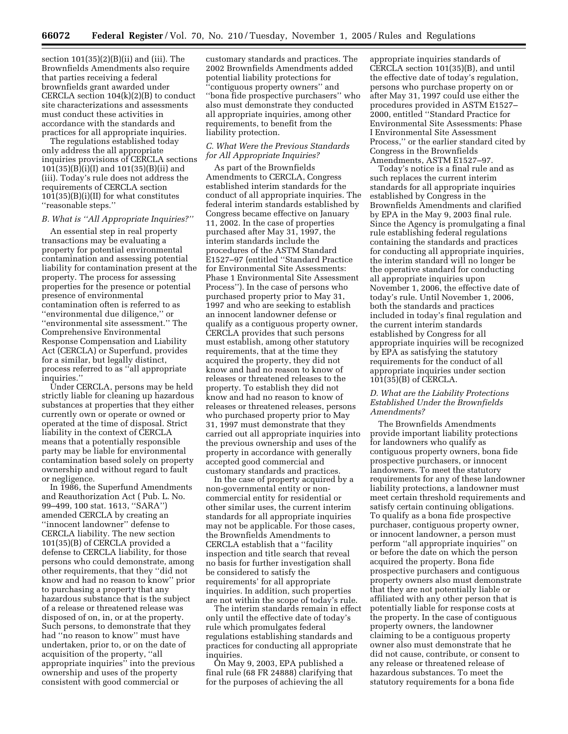section  $101(35)(2)(B)(ii)$  and (iii). The Brownfields Amendments also require that parties receiving a federal brownfields grant awarded under CERCLA section 104(k)(2)(B) to conduct site characterizations and assessments must conduct these activities in accordance with the standards and practices for all appropriate inquiries.

The regulations established today only address the all appropriate inquiries provisions of CERCLA sections 101(35)(B)(i)(I) and 101(35)(B)(ii) and (iii). Today's rule does not address the requirements of CERCLA section  $101(35)(B)(i)(II)$  for what constitutes ''reasonable steps.''

#### *B. What is ''All Appropriate Inquiries?''*

An essential step in real property transactions may be evaluating a property for potential environmental contamination and assessing potential liability for contamination present at the property. The process for assessing properties for the presence or potential presence of environmental contamination often is referred to as ''environmental due diligence,'' or ''environmental site assessment.'' The Comprehensive Environmental Response Compensation and Liability Act (CERCLA) or Superfund, provides for a similar, but legally distinct, process referred to as ''all appropriate inquiries.''

Under CERCLA, persons may be held strictly liable for cleaning up hazardous substances at properties that they either currently own or operate or owned or operated at the time of disposal. Strict liability in the context of CERCLA means that a potentially responsible party may be liable for environmental contamination based solely on property ownership and without regard to fault or negligence.

In 1986, the Superfund Amendments and Reauthorization Act ( Pub. L. No. 99–499, 100 stat. 1613, ''SARA'') amended CERCLA by creating an ''innocent landowner'' defense to CERCLA liability. The new section 101(35)(B) of CERCLA provided a defense to CERCLA liability, for those persons who could demonstrate, among other requirements, that they ''did not know and had no reason to know'' prior to purchasing a property that any hazardous substance that is the subject of a release or threatened release was disposed of on, in, or at the property. Such persons, to demonstrate that they had ''no reason to know'' must have undertaken, prior to, or on the date of acquisition of the property, ''all appropriate inquiries'' into the previous ownership and uses of the property consistent with good commercial or

customary standards and practices. The 2002 Brownfields Amendments added potential liability protections for 'contiguous property owners'' and ''bona fide prospective purchasers'' who also must demonstrate they conducted all appropriate inquiries, among other requirements, to benefit from the liability protection.

## *C. What Were the Previous Standards for All Appropriate Inquiries?*

As part of the Brownfields Amendments to CERCLA, Congress established interim standards for the conduct of all appropriate inquiries. The federal interim standards established by Congress became effective on January 11, 2002. In the case of properties purchased after May 31, 1997, the interim standards include the procedures of the ASTM Standard E1527–97 (entitled ''Standard Practice for Environmental Site Assessments: Phase 1 Environmental Site Assessment Process''). In the case of persons who purchased property prior to May 31, 1997 and who are seeking to establish an innocent landowner defense or qualify as a contiguous property owner, CERCLA provides that such persons must establish, among other statutory requirements, that at the time they acquired the property, they did not know and had no reason to know of releases or threatened releases to the property. To establish they did not know and had no reason to know of releases or threatened releases, persons who purchased property prior to May 31, 1997 must demonstrate that they carried out all appropriate inquiries into the previous ownership and uses of the property in accordance with generally accepted good commercial and customary standards and practices.

In the case of property acquired by a non-governmental entity or noncommercial entity for residential or other similar uses, the current interim standards for all appropriate inquiries may not be applicable. For those cases, the Brownfields Amendments to CERCLA establish that a ''facility inspection and title search that reveal no basis for further investigation shall be considered to satisfy the requirements' for all appropriate inquiries. In addition, such properties are not within the scope of today's rule.

The interim standards remain in effect only until the effective date of today's rule which promulgates federal regulations establishing standards and practices for conducting all appropriate inquiries.

On May 9, 2003, EPA published a final rule (68 FR 24888) clarifying that for the purposes of achieving the all

appropriate inquiries standards of CERCLA section 101(35)(B), and until the effective date of today's regulation, persons who purchase property on or after May 31, 1997 could use either the procedures provided in ASTM E1527– 2000, entitled ''Standard Practice for Environmental Site Assessments: Phase I Environmental Site Assessment Process,'' or the earlier standard cited by Congress in the Brownfields Amendments, ASTM E1527–97.

Today's notice is a final rule and as such replaces the current interim standards for all appropriate inquiries established by Congress in the Brownfields Amendments and clarified by EPA in the May 9, 2003 final rule. Since the Agency is promulgating a final rule establishing federal regulations containing the standards and practices for conducting all appropriate inquiries, the interim standard will no longer be the operative standard for conducting all appropriate inquiries upon November 1, 2006, the effective date of today's rule. Until November 1, 2006, both the standards and practices included in today's final regulation and the current interim standards established by Congress for all appropriate inquiries will be recognized by EPA as satisfying the statutory requirements for the conduct of all appropriate inquiries under section 101(35)(B) of CERCLA.

## *D. What are the Liability Protections Established Under the Brownfields Amendments?*

The Brownfields Amendments provide important liability protections for landowners who qualify as contiguous property owners, bona fide prospective purchasers, or innocent landowners. To meet the statutory requirements for any of these landowner liability protections, a landowner must meet certain threshold requirements and satisfy certain continuing obligations. To qualify as a bona fide prospective purchaser, contiguous property owner, or innocent landowner, a person must perform ''all appropriate inquiries'' on or before the date on which the person acquired the property. Bona fide prospective purchasers and contiguous property owners also must demonstrate that they are not potentially liable or affiliated with any other person that is potentially liable for response costs at the property. In the case of contiguous property owners, the landowner claiming to be a contiguous property owner also must demonstrate that he did not cause, contribute, or consent to any release or threatened release of hazardous substances. To meet the statutory requirements for a bona fide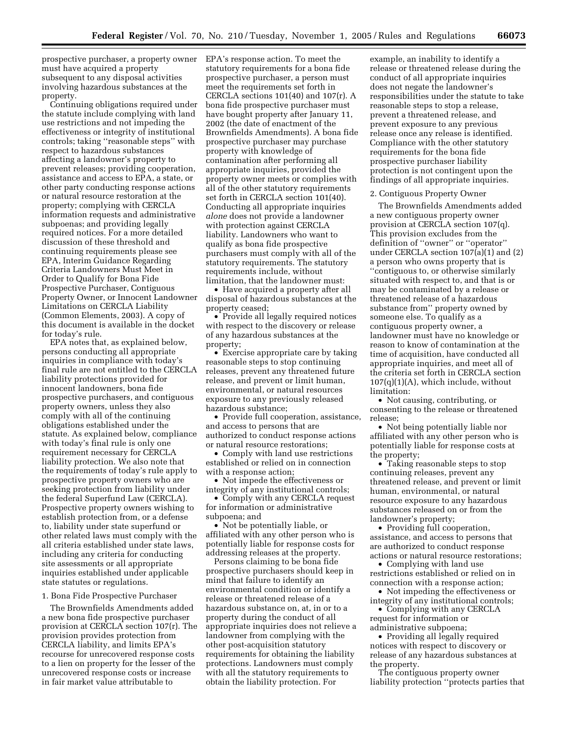prospective purchaser, a property owner must have acquired a property subsequent to any disposal activities involving hazardous substances at the property.

Continuing obligations required under the statute include complying with land use restrictions and not impeding the effectiveness or integrity of institutional controls; taking ''reasonable steps'' with respect to hazardous substances affecting a landowner's property to prevent releases; providing cooperation, assistance and access to EPA, a state, or other party conducting response actions or natural resource restoration at the property; complying with CERCLA information requests and administrative subpoenas; and providing legally required notices. For a more detailed discussion of these threshold and continuing requirements please see EPA, Interim Guidance Regarding Criteria Landowners Must Meet in Order to Qualify for Bona Fide Prospective Purchaser, Contiguous Property Owner, or Innocent Landowner Limitations on CERCLA Liability (Common Elements, 2003). A copy of this document is available in the docket for today's rule.

EPA notes that, as explained below, persons conducting all appropriate inquiries in compliance with today's final rule are not entitled to the CERCLA liability protections provided for innocent landowners, bona fide prospective purchasers, and contiguous property owners, unless they also comply with all of the continuing obligations established under the statute. As explained below, compliance with today's final rule is only one requirement necessary for CERCLA liability protection. We also note that the requirements of today's rule apply to prospective property owners who are seeking protection from liability under the federal Superfund Law (CERCLA). Prospective property owners wishing to establish protection from, or a defense to, liability under state superfund or other related laws must comply with the all criteria established under state laws, including any criteria for conducting site assessments or all appropriate inquiries established under applicable state statutes or regulations.

## 1. Bona Fide Prospective Purchaser

The Brownfields Amendments added a new bona fide prospective purchaser provision at CERCLA section 107(r). The provision provides protection from CERCLA liability, and limits EPA's recourse for unrecovered response costs to a lien on property for the lesser of the unrecovered response costs or increase in fair market value attributable to

EPA's response action. To meet the statutory requirements for a bona fide prospective purchaser, a person must meet the requirements set forth in CERCLA sections 101(40) and 107(r). A bona fide prospective purchaser must have bought property after January 11, 2002 (the date of enactment of the Brownfields Amendments). A bona fide prospective purchaser may purchase property with knowledge of contamination after performing all appropriate inquiries, provided the property owner meets or complies with all of the other statutory requirements set forth in CERCLA section 101(40). Conducting all appropriate inquiries *alone* does not provide a landowner with protection against CERCLA liability. Landowners who want to qualify as bona fide prospective purchasers must comply with all of the statutory requirements. The statutory requirements include, without limitation, that the landowner must:

• Have acquired a property after all disposal of hazardous substances at the property ceased;

• Provide all legally required notices with respect to the discovery or release of any hazardous substances at the property;

• Exercise appropriate care by taking reasonable steps to stop continuing releases, prevent any threatened future release, and prevent or limit human, environmental, or natural resources exposure to any previously released hazardous substance;

• Provide full cooperation, assistance, and access to persons that are authorized to conduct response actions or natural resource restorations;

• Comply with land use restrictions established or relied on in connection with a response action;

• Not impede the effectiveness or integrity of any institutional controls;

• Comply with any CERCLA request for information or administrative subpoena; and

• Not be potentially liable, or affiliated with any other person who is potentially liable for response costs for addressing releases at the property.

Persons claiming to be bona fide prospective purchasers should keep in mind that failure to identify an environmental condition or identify a release or threatened release of a hazardous substance on, at, in or to a property during the conduct of all appropriate inquiries does not relieve a landowner from complying with the other post-acquisition statutory requirements for obtaining the liability protections. Landowners must comply with all the statutory requirements to obtain the liability protection. For

example, an inability to identify a release or threatened release during the conduct of all appropriate inquiries does not negate the landowner's responsibilities under the statute to take reasonable steps to stop a release, prevent a threatened release, and prevent exposure to any previous release once any release is identified. Compliance with the other statutory requirements for the bona fide prospective purchaser liability protection is not contingent upon the findings of all appropriate inquiries.

## 2. Contiguous Property Owner

The Brownfields Amendments added a new contiguous property owner provision at CERCLA section 107(q). This provision excludes from the definition of ''owner'' or ''operator'' under CERCLA section 107(a)(1) and (2) a person who owns property that is ''contiguous to, or otherwise similarly situated with respect to, and that is or may be contaminated by a release or threatened release of a hazardous substance from'' property owned by someone else. To qualify as a contiguous property owner, a landowner must have no knowledge or reason to know of contamination at the time of acquisition, have conducted all appropriate inquiries, and meet all of the criteria set forth in CERCLA section  $107(q)(1)(A)$ , which include, without limitation:

• Not causing, contributing, or consenting to the release or threatened release;

• Not being potentially liable nor affiliated with any other person who is potentially liable for response costs at the property;

• Taking reasonable steps to stop continuing releases, prevent any threatened release, and prevent or limit human, environmental, or natural resource exposure to any hazardous substances released on or from the landowner's property;

• Providing full cooperation, assistance, and access to persons that are authorized to conduct response actions or natural resource restorations;

• Complying with land use restrictions established or relied on in connection with a response action;

• Not impeding the effectiveness or integrity of any institutional controls;

• Complying with any CERCLA request for information or administrative subpoena;

• Providing all legally required notices with respect to discovery or release of any hazardous substances at the property.

The contiguous property owner liability protection ''protects parties that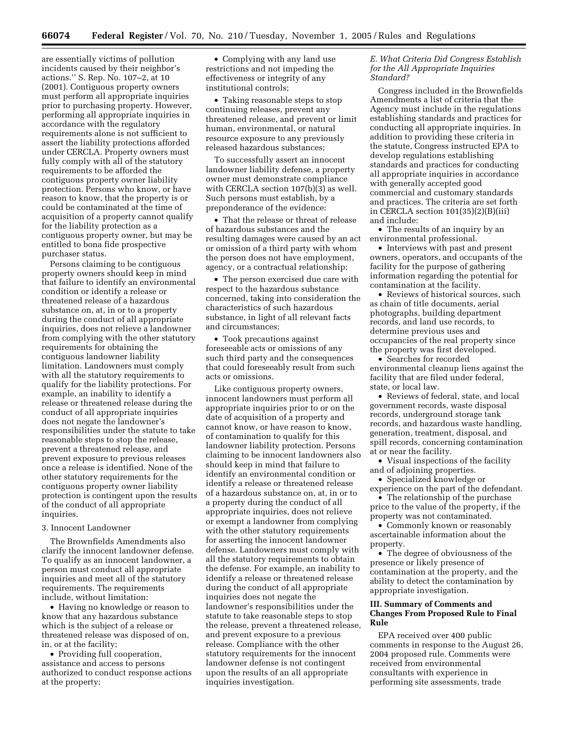are essentially victims of pollution incidents caused by their neighbor's actions.'' S. Rep. No. 107–2, at 10 (2001). Contiguous property owners must perform all appropriate inquiries prior to purchasing property. However, performing all appropriate inquiries in accordance with the regulatory requirements alone is not sufficient to assert the liability protections afforded under CERCLA. Property owners must fully comply with all of the statutory requirements to be afforded the contiguous property owner liability protection. Persons who know, or have reason to know, that the property is or could be contaminated at the time of acquisition of a property cannot qualify for the liability protection as a contiguous property owner, but may be entitled to bona fide prospective purchaser status.

Persons claiming to be contiguous property owners should keep in mind that failure to identify an environmental condition or identify a release or threatened release of a hazardous substance on, at, in or to a property during the conduct of all appropriate inquiries, does not relieve a landowner from complying with the other statutory requirements for obtaining the contiguous landowner liability limitation. Landowners must comply with all the statutory requirements to qualify for the liability protections. For example, an inability to identify a release or threatened release during the conduct of all appropriate inquiries does not negate the landowner's responsibilities under the statute to take reasonable steps to stop the release, prevent a threatened release, and prevent exposure to previous releases once a release is identified. None of the other statutory requirements for the contiguous property owner liability protection is contingent upon the results of the conduct of all appropriate inquiries.

#### 3. Innocent Landowner

The Brownfields Amendments also clarify the innocent landowner defense. To qualify as an innocent landowner, a person must conduct all appropriate inquiries and meet all of the statutory requirements. The requirements include, without limitation:

• Having no knowledge or reason to know that any hazardous substance which is the subject of a release or threatened release was disposed of on, in, or at the facility;

• Providing full cooperation, assistance and access to persons authorized to conduct response actions at the property;

• Complying with any land use restrictions and not impeding the effectiveness or integrity of any institutional controls;

• Taking reasonable steps to stop continuing releases, prevent any threatened release, and prevent or limit human, environmental, or natural resource exposure to any previously released hazardous substances;

To successfully assert an innocent landowner liability defense, a property owner must demonstrate compliance with CERCLA section 107(b)(3) as well. Such persons must establish, by a preponderance of the evidence:

• That the release or threat of release of hazardous substances and the resulting damages were caused by an act or omission of a third party with whom the person does not have employment, agency, or a contractual relationship;

• The person exercised due care with respect to the hazardous substance concerned, taking into consideration the characteristics of such hazardous substance, in light of all relevant facts and circumstances;

• Took precautions against foreseeable acts or omissions of any such third party and the consequences that could foreseeably result from such acts or omissions.

Like contiguous property owners, innocent landowners must perform all appropriate inquiries prior to or on the date of acquisition of a property and cannot know, or have reason to know, of contamination to qualify for this landowner liability protection. Persons claiming to be innocent landowners also should keep in mind that failure to identify an environmental condition or identify a release or threatened release of a hazardous substance on, at, in or to a property during the conduct of all appropriate inquiries, does not relieve or exempt a landowner from complying with the other statutory requirements for asserting the innocent landowner defense. Landowners must comply with all the statutory requirements to obtain the defense. For example, an inability to identify a release or threatened release during the conduct of all appropriate inquiries does not negate the landowner's responsibilities under the statute to take reasonable steps to stop the release, prevent a threatened release, and prevent exposure to a previous release. Compliance with the other statutory requirements for the innocent landowner defense is not contingent upon the results of an all appropriate inquiries investigation.

## *E. What Criteria Did Congress Establish for the All Appropriate Inquiries Standard?*

Congress included in the Brownfields Amendments a list of criteria that the Agency must include in the regulations establishing standards and practices for conducting all appropriate inquiries. In addition to providing these criteria in the statute, Congress instructed EPA to develop regulations establishing standards and practices for conducting all appropriate inquiries in accordance with generally accepted good commercial and customary standards and practices. The criteria are set forth in CERCLA section 101(35)(2)(B)(iii) and include:

• The results of an inquiry by an environmental professional.

• Interviews with past and present owners, operators, and occupants of the facility for the purpose of gathering information regarding the potential for contamination at the facility.

• Reviews of historical sources, such as chain of title documents, aerial photographs, building department records, and land use records, to determine previous uses and occupancies of the real property since the property was first developed.

• Searches for recorded environmental cleanup liens against the facility that are filed under federal, state, or local law.

• Reviews of federal, state, and local government records, waste disposal records, underground storage tank records, and hazardous waste handling, generation, treatment, disposal, and spill records, concerning contamination at or near the facility.

• Visual inspections of the facility and of adjoining properties.

• Specialized knowledge or experience on the part of the defendant.

• The relationship of the purchase price to the value of the property, if the property was not contaminated.

• Commonly known or reasonably ascertainable information about the property.

• The degree of obviousness of the presence or likely presence of contamination at the property, and the ability to detect the contamination by appropriate investigation.

## **III. Summary of Comments and Changes From Proposed Rule to Final Rule**

EPA received over 400 public comments in response to the August 26, 2004 proposed rule. Comments were received from environmental consultants with experience in performing site assessments, trade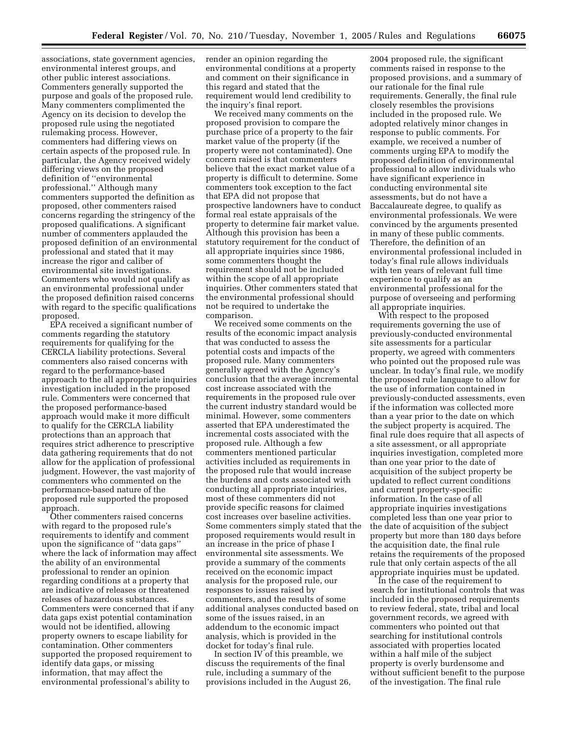associations, state government agencies, environmental interest groups, and other public interest associations. Commenters generally supported the purpose and goals of the proposed rule. Many commenters complimented the Agency on its decision to develop the proposed rule using the negotiated rulemaking process. However, commenters had differing views on certain aspects of the proposed rule. In particular, the Agency received widely differing views on the proposed definition of ''environmental professional.'' Although many commenters supported the definition as proposed, other commenters raised concerns regarding the stringency of the proposed qualifications. A significant number of commenters applauded the proposed definition of an environmental professional and stated that it may increase the rigor and caliber of environmental site investigations. Commenters who would not qualify as an environmental professional under the proposed definition raised concerns with regard to the specific qualifications proposed.

EPA received a significant number of comments regarding the statutory requirements for qualifying for the CERCLA liability protections. Several commenters also raised concerns with regard to the performance-based approach to the all appropriate inquiries investigation included in the proposed rule. Commenters were concerned that the proposed performance-based approach would make it more difficult to qualify for the CERCLA liability protections than an approach that requires strict adherence to prescriptive data gathering requirements that do not allow for the application of professional judgment. However, the vast majority of commenters who commented on the performance-based nature of the proposed rule supported the proposed approach.

Other commenters raised concerns with regard to the proposed rule's requirements to identify and comment upon the significance of ''data gaps'' where the lack of information may affect the ability of an environmental professional to render an opinion regarding conditions at a property that are indicative of releases or threatened releases of hazardous substances. Commenters were concerned that if any data gaps exist potential contamination would not be identified, allowing property owners to escape liability for contamination. Other commenters supported the proposed requirement to identify data gaps, or missing information, that may affect the environmental professional's ability to

render an opinion regarding the environmental conditions at a property and comment on their significance in this regard and stated that the requirement would lend credibility to the inquiry's final report.

We received many comments on the proposed provision to compare the purchase price of a property to the fair market value of the property (if the property were not contaminated). One concern raised is that commenters believe that the exact market value of a property is difficult to determine. Some commenters took exception to the fact that EPA did not propose that prospective landowners have to conduct formal real estate appraisals of the property to determine fair market value. Although this provision has been a statutory requirement for the conduct of all appropriate inquiries since 1986, some commenters thought the requirement should not be included within the scope of all appropriate inquiries. Other commenters stated that the environmental professional should not be required to undertake the comparison.

We received some comments on the results of the economic impact analysis that was conducted to assess the potential costs and impacts of the proposed rule. Many commenters generally agreed with the Agency's conclusion that the average incremental cost increase associated with the requirements in the proposed rule over the current industry standard would be minimal. However, some commenters asserted that EPA underestimated the incremental costs associated with the proposed rule. Although a few commenters mentioned particular activities included as requirements in the proposed rule that would increase the burdens and costs associated with conducting all appropriate inquiries, most of these commenters did not provide specific reasons for claimed cost increases over baseline activities. Some commenters simply stated that the proposed requirements would result in an increase in the price of phase I environmental site assessments. We provide a summary of the comments received on the economic impact analysis for the proposed rule, our responses to issues raised by commenters, and the results of some additional analyses conducted based on some of the issues raised, in an addendum to the economic impact analysis, which is provided in the docket for today's final rule.

In section IV of this preamble, we discuss the requirements of the final rule, including a summary of the provisions included in the August 26,

2004 proposed rule, the significant comments raised in response to the proposed provisions, and a summary of our rationale for the final rule requirements. Generally, the final rule closely resembles the provisions included in the proposed rule. We adopted relatively minor changes in response to public comments. For example, we received a number of comments urging EPA to modify the proposed definition of environmental professional to allow individuals who have significant experience in conducting environmental site assessments, but do not have a Baccalaureate degree, to qualify as environmental professionals. We were convinced by the arguments presented in many of these public comments. Therefore, the definition of an environmental professional included in today's final rule allows individuals with ten years of relevant full time experience to qualify as an environmental professional for the purpose of overseeing and performing all appropriate inquiries.

With respect to the proposed requirements governing the use of previously-conducted environmental site assessments for a particular property, we agreed with commenters who pointed out the proposed rule was unclear. In today's final rule, we modify the proposed rule language to allow for the use of information contained in previously-conducted assessments, even if the information was collected more than a year prior to the date on which the subject property is acquired. The final rule does require that all aspects of a site assessment, or all appropriate inquiries investigation, completed more than one year prior to the date of acquisition of the subject property be updated to reflect current conditions and current property-specific information. In the case of all appropriate inquiries investigations completed less than one year prior to the date of acquisition of the subject property but more than 180 days before the acquisition date, the final rule retains the requirements of the proposed rule that only certain aspects of the all appropriate inquiries must be updated.

In the case of the requirement to search for institutional controls that was included in the proposed requirements to review federal, state, tribal and local government records, we agreed with commenters who pointed out that searching for institutional controls associated with properties located within a half mile of the subject property is overly burdensome and without sufficient benefit to the purpose of the investigation. The final rule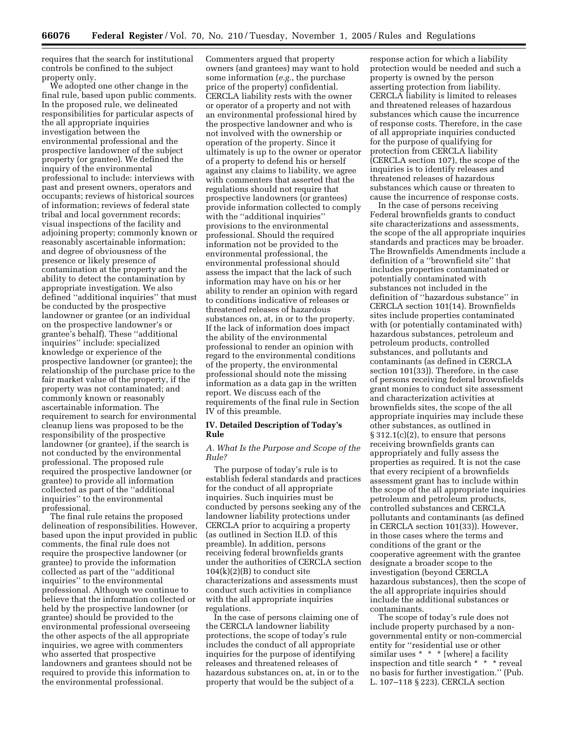requires that the search for institutional controls be confined to the subject property only.

We adopted one other change in the final rule, based upon public comments. In the proposed rule, we delineated responsibilities for particular aspects of the all appropriate inquiries investigation between the environmental professional and the prospective landowner of the subject property (or grantee). We defined the inquiry of the environmental professional to include: interviews with past and present owners, operators and occupants; reviews of historical sources of information; reviews of federal state tribal and local government records; visual inspections of the facility and adjoining property; commonly known or reasonably ascertainable information; and degree of obviousness of the presence or likely presence of contamination at the property and the ability to detect the contamination by appropriate investigation. We also defined ''additional inquiries'' that must be conducted by the prospective landowner or grantee (or an individual on the prospective landowner's or grantee's behalf). These ''additional inquiries'' include: specialized knowledge or experience of the prospective landowner (or grantee); the relationship of the purchase price to the fair market value of the property, if the property was not contaminated; and commonly known or reasonably ascertainable information. The requirement to search for environmental cleanup liens was proposed to be the responsibility of the prospective landowner (or grantee), if the search is not conducted by the environmental professional. The proposed rule required the prospective landowner (or grantee) to provide all information collected as part of the ''additional inquiries'' to the environmental professional.

The final rule retains the proposed delineation of responsibilities. However, based upon the input provided in public comments, the final rule does not require the prospective landowner (or grantee) to provide the information collected as part of the ''additional inquiries'' to the environmental professional. Although we continue to believe that the information collected or held by the prospective landowner (or grantee) should be provided to the environmental professional overseeing the other aspects of the all appropriate inquiries, we agree with commenters who asserted that prospective landowners and grantees should not be required to provide this information to the environmental professional.

Commenters argued that property owners (and grantees) may want to hold some information (*e.g.*, the purchase price of the property) confidential. CERCLA liability rests with the owner or operator of a property and not with an environmental professional hired by the prospective landowner and who is not involved with the ownership or operation of the property. Since it ultimately is up to the owner or operator of a property to defend his or herself against any claims to liability, we agree with commenters that asserted that the regulations should not require that prospective landowners (or grantees) provide information collected to comply with the ''additional inquiries'' provisions to the environmental professional. Should the required information not be provided to the environmental professional, the environmental professional should assess the impact that the lack of such information may have on his or her ability to render an opinion with regard to conditions indicative of releases or threatened releases of hazardous substances on, at, in or to the property. If the lack of information does impact the ability of the environmental professional to render an opinion with regard to the environmental conditions of the property, the environmental professional should note the missing information as a data gap in the written report. We discuss each of the requirements of the final rule in Section IV of this preamble.

## **IV. Detailed Description of Today's Rule**

## *A. What Is the Purpose and Scope of the Rule?*

The purpose of today's rule is to establish federal standards and practices for the conduct of all appropriate inquiries. Such inquiries must be conducted by persons seeking any of the landowner liability protections under CERCLA prior to acquiring a property (as outlined in Section II.D. of this preamble). In addition, persons receiving federal brownfields grants under the authorities of CERCLA section  $104(k)(2)(B)$  to conduct site characterizations and assessments must conduct such activities in compliance with the all appropriate inquiries regulations.

In the case of persons claiming one of the CERCLA landowner liability protections, the scope of today's rule includes the conduct of all appropriate inquiries for the purpose of identifying releases and threatened releases of hazardous substances on, at, in or to the property that would be the subject of a

response action for which a liability protection would be needed and such a property is owned by the person asserting protection from liability. CERCLA liability is limited to releases and threatened releases of hazardous substances which cause the incurrence of response costs. Therefore, in the case of all appropriate inquiries conducted for the purpose of qualifying for protection from CERCLA liability (CERCLA section 107), the scope of the inquiries is to identify releases and threatened releases of hazardous substances which cause or threaten to cause the incurrence of response costs.

In the case of persons receiving Federal brownfields grants to conduct site characterizations and assessments, the scope of the all appropriate inquiries standards and practices may be broader. The Brownfields Amendments include a definition of a ''brownfield site'' that includes properties contaminated or potentially contaminated with substances not included in the definition of ''hazardous substance'' in CERCLA section 101(14). Brownfields sites include properties contaminated with (or potentially contaminated with) hazardous substances, petroleum and petroleum products, controlled substances, and pollutants and contaminants (as defined in CERCLA section 101(33)). Therefore, in the case of persons receiving federal brownfields grant monies to conduct site assessment and characterization activities at brownfields sites, the scope of the all appropriate inquiries may include these other substances, as outlined in § 312.1(c)(2), to ensure that persons receiving brownfields grants can appropriately and fully assess the properties as required. It is not the case that every recipient of a brownfields assessment grant has to include within the scope of the all appropriate inquiries petroleum and petroleum products, controlled substances and CERCLA pollutants and contaminants (as defined in CERCLA section 101(33)). However, in those cases where the terms and conditions of the grant or the cooperative agreement with the grantee designate a broader scope to the investigation (beyond CERCLA hazardous substances), then the scope of the all appropriate inquiries should include the additional substances or contaminants.

The scope of today's rule does not include property purchased by a nongovernmental entity or non-commercial entity for ''residential use or other similar uses \* \* \* [where] a facility inspection and title search \* \* \* reveal no basis for further investigation.'' (Pub. L. 107–118 § 223). CERCLA section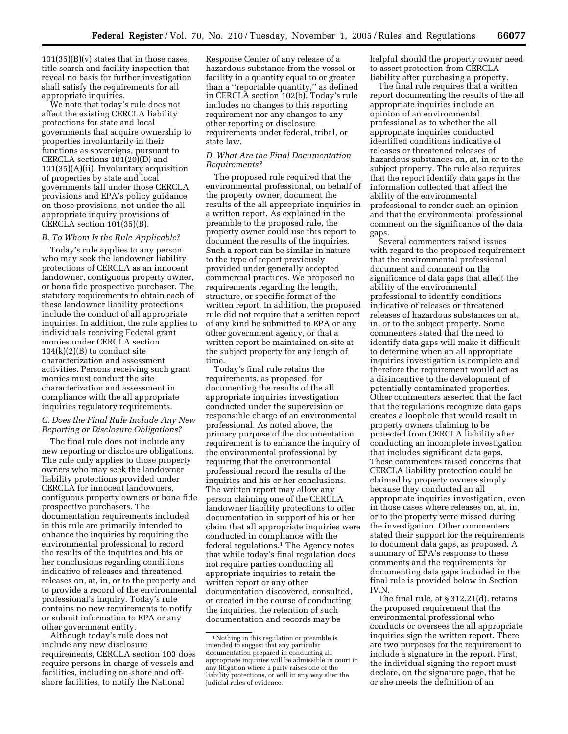$101(35)(B)(v)$  states that in those cases, title search and facility inspection that reveal no basis for further investigation shall satisfy the requirements for all appropriate inquiries.

We note that today's rule does not affect the existing CERCLA liability protections for state and local governments that acquire ownership to properties involuntarily in their functions as sovereigns, pursuant to CERCLA sections 101(20)(D) and 101(35)(A)(ii). Involuntary acquisition of properties by state and local governments fall under those CERCLA provisions and EPA's policy guidance on those provisions, not under the all appropriate inquiry provisions of CERCLA section 101(35)(B).

#### *B. To Whom Is the Rule Applicable?*

Today's rule applies to any person who may seek the landowner liability protections of CERCLA as an innocent landowner, contiguous property owner, or bona fide prospective purchaser. The statutory requirements to obtain each of these landowner liability protections include the conduct of all appropriate inquiries. In addition, the rule applies to individuals receiving Federal grant monies under CERCLA section  $104(k)(2)(B)$  to conduct site characterization and assessment activities. Persons receiving such grant monies must conduct the site characterization and assessment in compliance with the all appropriate inquiries regulatory requirements.

## *C. Does the Final Rule Include Any New Reporting or Disclosure Obligations?*

The final rule does not include any new reporting or disclosure obligations. The rule only applies to those property owners who may seek the landowner liability protections provided under CERCLA for innocent landowners, contiguous property owners or bona fide prospective purchasers. The documentation requirements included in this rule are primarily intended to enhance the inquiries by requiring the environmental professional to record the results of the inquiries and his or her conclusions regarding conditions indicative of releases and threatened releases on, at, in, or to the property and to provide a record of the environmental professional's inquiry. Today's rule contains no new requirements to notify or submit information to EPA or any other government entity.

Although today's rule does not include any new disclosure requirements, CERCLA section 103 does require persons in charge of vessels and facilities, including on-shore and offshore facilities, to notify the National

Response Center of any release of a hazardous substance from the vessel or facility in a quantity equal to or greater than a ''reportable quantity,'' as defined in CERCLA section 102(b). Today's rule includes no changes to this reporting requirement nor any changes to any other reporting or disclosure requirements under federal, tribal, or state law.

#### *D. What Are the Final Documentation Requirements?*

The proposed rule required that the environmental professional, on behalf of the property owner, document the results of the all appropriate inquiries in a written report. As explained in the preamble to the proposed rule, the property owner could use this report to document the results of the inquiries. Such a report can be similar in nature to the type of report previously provided under generally accepted commercial practices. We proposed no requirements regarding the length, structure, or specific format of the written report. In addition, the proposed rule did not require that a written report of any kind be submitted to EPA or any other government agency, or that a written report be maintained on-site at the subject property for any length of time.

Today's final rule retains the requirements, as proposed, for documenting the results of the all appropriate inquiries investigation conducted under the supervision or responsible charge of an environmental professional. As noted above, the primary purpose of the documentation requirement is to enhance the inquiry of the environmental professional by requiring that the environmental professional record the results of the inquiries and his or her conclusions. The written report may allow any person claiming one of the CERCLA landowner liability protections to offer documentation in support of his or her claim that all appropriate inquiries were conducted in compliance with the federal regulations.<sup>1</sup> The Agency notes that while today's final regulation does not require parties conducting all appropriate inquiries to retain the written report or any other documentation discovered, consulted, or created in the course of conducting the inquiries, the retention of such documentation and records may be

helpful should the property owner need to assert protection from CERCLA liability after purchasing a property.

The final rule requires that a written report documenting the results of the all appropriate inquiries include an opinion of an environmental professional as to whether the all appropriate inquiries conducted identified conditions indicative of releases or threatened releases of hazardous substances on, at, in or to the subject property. The rule also requires that the report identify data gaps in the information collected that affect the ability of the environmental professional to render such an opinion and that the environmental professional comment on the significance of the data gaps.

Several commenters raised issues with regard to the proposed requirement that the environmental professional document and comment on the significance of data gaps that affect the ability of the environmental professional to identify conditions indicative of releases or threatened releases of hazardous substances on at, in, or to the subject property. Some commenters stated that the need to identify data gaps will make it difficult to determine when an all appropriate inquiries investigation is complete and therefore the requirement would act as a disincentive to the development of potentially contaminated properties. Other commenters asserted that the fact that the regulations recognize data gaps creates a loophole that would result in property owners claiming to be protected from CERCLA liability after conducting an incomplete investigation that includes significant data gaps. These commenters raised concerns that CERCLA liability protection could be claimed by property owners simply because they conducted an all appropriate inquiries investigation, even in those cases where releases on, at, in, or to the property were missed during the investigation. Other commenters stated their support for the requirements to document data gaps, as proposed. A summary of EPA's response to these comments and the requirements for documenting data gaps included in the final rule is provided below in Section IV.N.

The final rule, at § 312.21(d), retains the proposed requirement that the environmental professional who conducts or oversees the all appropriate inquiries sign the written report. There are two purposes for the requirement to include a signature in the report. First, the individual signing the report must declare, on the signature page, that he or she meets the definition of an

<sup>1</sup> Nothing in this regulation or preamble is intended to suggest that any particular documentation prepared in conducting all appropriate inquiries will be admissible in court in any litigation where a party raises one of the liability protections, or will in any way alter the judicial rules of evidence.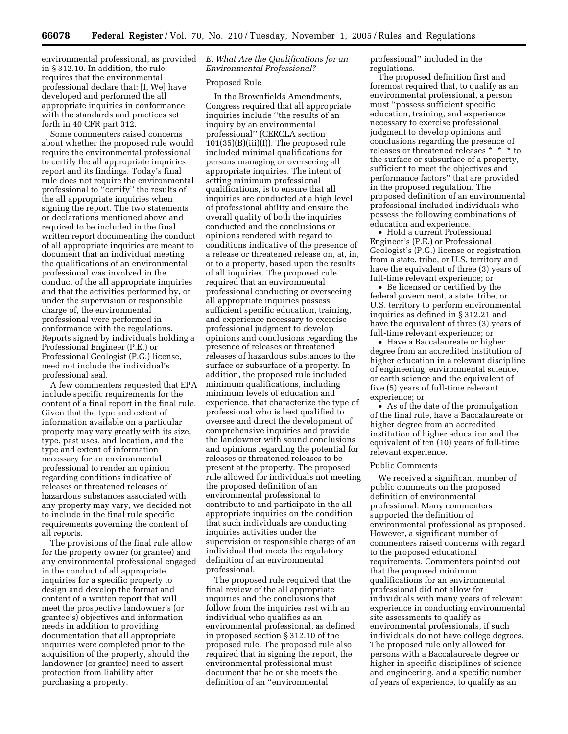environmental professional, as provided in § 312.10. In addition, the rule requires that the environmental professional declare that: [I, We] have developed and performed the all appropriate inquiries in conformance with the standards and practices set forth in 40 CFR part 312.

Some commenters raised concerns about whether the proposed rule would require the environmental professional to certify the all appropriate inquiries report and its findings. Today's final rule does not require the environmental professional to ''certify'' the results of the all appropriate inquiries when signing the report. The two statements or declarations mentioned above and required to be included in the final written report documenting the conduct of all appropriate inquiries are meant to document that an individual meeting the qualifications of an environmental professional was involved in the conduct of the all appropriate inquiries and that the activities performed by, or under the supervision or responsible charge of, the environmental professional were performed in conformance with the regulations. Reports signed by individuals holding a Professional Engineer (P.E.) or Professional Geologist (P.G.) license, need not include the individual's professional seal.

A few commenters requested that EPA include specific requirements for the content of a final report in the final rule. Given that the type and extent of information available on a particular property may vary greatly with its size, type, past uses, and location, and the type and extent of information necessary for an environmental professional to render an opinion regarding conditions indicative of releases or threatened releases of hazardous substances associated with any property may vary, we decided not to include in the final rule specific requirements governing the content of all reports.

The provisions of the final rule allow for the property owner (or grantee) and any environmental professional engaged in the conduct of all appropriate inquiries for a specific property to design and develop the format and content of a written report that will meet the prospective landowner's (or grantee's) objectives and information needs in addition to providing documentation that all appropriate inquiries were completed prior to the acquisition of the property, should the landowner (or grantee) need to assert protection from liability after purchasing a property.

## *E. What Are the Qualifications for an Environmental Professional?*

## Proposed Rule

In the Brownfields Amendments, Congress required that all appropriate inquiries include ''the results of an inquiry by an environmental professional'' (CERCLA section 101(35)(B)(iii)(I)). The proposed rule included minimal qualifications for persons managing or overseeing all appropriate inquiries. The intent of setting minimum professional qualifications, is to ensure that all inquiries are conducted at a high level of professional ability and ensure the overall quality of both the inquiries conducted and the conclusions or opinions rendered with regard to conditions indicative of the presence of a release or threatened release on, at, in, or to a property, based upon the results of all inquiries. The proposed rule required that an environmental professional conducting or overseeing all appropriate inquiries possess sufficient specific education, training, and experience necessary to exercise professional judgment to develop opinions and conclusions regarding the presence of releases or threatened releases of hazardous substances to the surface or subsurface of a property. In addition, the proposed rule included minimum qualifications, including minimum levels of education and experience, that characterize the type of professional who is best qualified to oversee and direct the development of comprehensive inquiries and provide the landowner with sound conclusions and opinions regarding the potential for releases or threatened releases to be present at the property. The proposed rule allowed for individuals not meeting the proposed definition of an environmental professional to contribute to and participate in the all appropriate inquiries on the condition that such individuals are conducting inquiries activities under the supervision or responsible charge of an individual that meets the regulatory definition of an environmental professional.

The proposed rule required that the final review of the all appropriate inquiries and the conclusions that follow from the inquiries rest with an individual who qualifies as an environmental professional, as defined in proposed section § 312.10 of the proposed rule. The proposed rule also required that in signing the report, the environmental professional must document that he or she meets the definition of an ''environmental

professional'' included in the regulations.

The proposed definition first and foremost required that, to qualify as an environmental professional, a person must ''possess sufficient specific education, training, and experience necessary to exercise professional judgment to develop opinions and conclusions regarding the presence of releases or threatened releases \* \* \* to the surface or subsurface of a property, sufficient to meet the objectives and performance factors'' that are provided in the proposed regulation. The proposed definition of an environmental professional included individuals who possess the following combinations of education and experience.

• Hold a current Professional Engineer's (P.E.) or Professional Geologist's (P.G.) license or registration from a state, tribe, or U.S. territory and have the equivalent of three (3) years of full-time relevant experience; or

• Be licensed or certified by the federal government, a state, tribe, or U.S. territory to perform environmental inquiries as defined in § 312.21 and have the equivalent of three (3) years of full-time relevant experience; or

• Have a Baccalaureate or higher degree from an accredited institution of higher education in a relevant discipline of engineering, environmental science, or earth science and the equivalent of five (5) years of full-time relevant experience; or

• As of the date of the promulgation of the final rule, have a Baccalaureate or higher degree from an accredited institution of higher education and the equivalent of ten (10) years of full-time relevant experience.

#### Public Comments

We received a significant number of public comments on the proposed definition of environmental professional. Many commenters supported the definition of environmental professional as proposed. However, a significant number of commenters raised concerns with regard to the proposed educational requirements. Commenters pointed out that the proposed minimum qualifications for an environmental professional did not allow for individuals with many years of relevant experience in conducting environmental site assessments to qualify as environmental professionals, if such individuals do not have college degrees. The proposed rule only allowed for persons with a Baccalaureate degree or higher in specific disciplines of science and engineering, and a specific number of years of experience, to qualify as an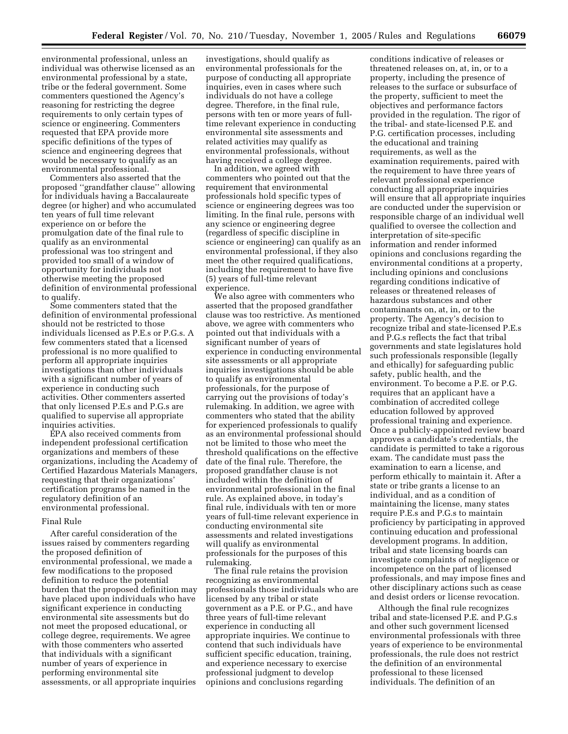environmental professional, unless an individual was otherwise licensed as an environmental professional by a state, tribe or the federal government. Some commenters questioned the Agency's reasoning for restricting the degree requirements to only certain types of science or engineering. Commenters requested that EPA provide more specific definitions of the types of science and engineering degrees that would be necessary to qualify as an environmental professional.

Commenters also asserted that the proposed ''grandfather clause'' allowing for individuals having a Baccalaureate degree (or higher) and who accumulated ten years of full time relevant experience on or before the promulgation date of the final rule to qualify as an environmental professional was too stringent and provided too small of a window of opportunity for individuals not otherwise meeting the proposed definition of environmental professional to qualify.

Some commenters stated that the definition of environmental professional should not be restricted to those individuals licensed as P.E.s or P.G.s. A few commenters stated that a licensed professional is no more qualified to perform all appropriate inquiries investigations than other individuals with a significant number of years of experience in conducting such activities. Other commenters asserted that only licensed P.E.s and P.G.s are qualified to supervise all appropriate inquiries activities.

EPA also received comments from independent professional certification organizations and members of these organizations, including the Academy of Certified Hazardous Materials Managers, requesting that their organizations' certification programs be named in the regulatory definition of an environmental professional.

#### Final Rule

After careful consideration of the issues raised by commenters regarding the proposed definition of environmental professional, we made a few modifications to the proposed definition to reduce the potential burden that the proposed definition may have placed upon individuals who have significant experience in conducting environmental site assessments but do not meet the proposed educational, or college degree, requirements. We agree with those commenters who asserted that individuals with a significant number of years of experience in performing environmental site assessments, or all appropriate inquiries

investigations, should qualify as environmental professionals for the purpose of conducting all appropriate inquiries, even in cases where such individuals do not have a college degree. Therefore, in the final rule, persons with ten or more years of fulltime relevant experience in conducting environmental site assessments and related activities may qualify as environmental professionals, without having received a college degree.

In addition, we agreed with commenters who pointed out that the requirement that environmental professionals hold specific types of science or engineering degrees was too limiting. In the final rule, persons with any science or engineering degree (regardless of specific discipline in science or engineering) can qualify as an environmental professional, if they also meet the other required qualifications, including the requirement to have five (5) years of full-time relevant experience.

We also agree with commenters who asserted that the proposed grandfather clause was too restrictive. As mentioned above, we agree with commenters who pointed out that individuals with a significant number of years of experience in conducting environmental site assessments or all appropriate inquiries investigations should be able to qualify as environmental professionals, for the purpose of carrying out the provisions of today's rulemaking. In addition, we agree with commenters who stated that the ability for experienced professionals to qualify as an environmental professional should not be limited to those who meet the threshold qualifications on the effective date of the final rule. Therefore, the proposed grandfather clause is not included within the definition of environmental professional in the final rule. As explained above, in today's final rule, individuals with ten or more years of full-time relevant experience in conducting environmental site assessments and related investigations will qualify as environmental professionals for the purposes of this rulemaking.

The final rule retains the provision recognizing as environmental professionals those individuals who are licensed by any tribal or state government as a P.E. or P.G., and have three years of full-time relevant experience in conducting all appropriate inquiries. We continue to contend that such individuals have sufficient specific education, training, and experience necessary to exercise professional judgment to develop opinions and conclusions regarding

conditions indicative of releases or threatened releases on, at, in, or to a property, including the presence of releases to the surface or subsurface of the property, sufficient to meet the objectives and performance factors provided in the regulation. The rigor of the tribal- and state-licensed P.E. and P.G. certification processes, including the educational and training requirements, as well as the examination requirements, paired with the requirement to have three years of relevant professional experience conducting all appropriate inquiries will ensure that all appropriate inquiries are conducted under the supervision or responsible charge of an individual well qualified to oversee the collection and interpretation of site-specific information and render informed opinions and conclusions regarding the environmental conditions at a property, including opinions and conclusions regarding conditions indicative of releases or threatened releases of hazardous substances and other contaminants on, at, in, or to the property. The Agency's decision to recognize tribal and state-licensed P.E.s and P.G.s reflects the fact that tribal governments and state legislatures hold such professionals responsible (legally and ethically) for safeguarding public safety, public health, and the environment. To become a P.E. or P.G. requires that an applicant have a combination of accredited college education followed by approved professional training and experience. Once a publicly-appointed review board approves a candidate's credentials, the candidate is permitted to take a rigorous exam. The candidate must pass the examination to earn a license, and perform ethically to maintain it. After a state or tribe grants a license to an individual, and as a condition of maintaining the license, many states require P.E.s and P.G.s to maintain proficiency by participating in approved continuing education and professional development programs. In addition, tribal and state licensing boards can investigate complaints of negligence or incompetence on the part of licensed professionals, and may impose fines and other disciplinary actions such as cease and desist orders or license revocation.

Although the final rule recognizes tribal and state-licensed P.E. and P.G.s and other such government licensed environmental professionals with three years of experience to be environmental professionals, the rule does not restrict the definition of an environmental professional to these licensed individuals. The definition of an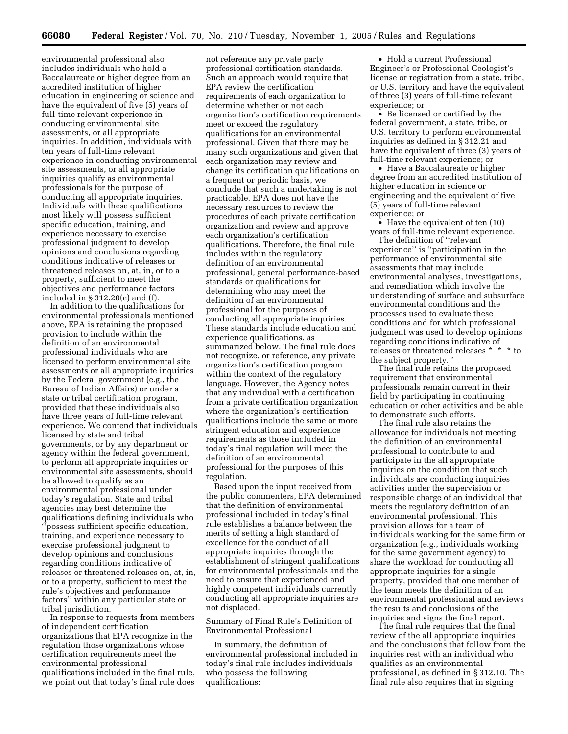environmental professional also includes individuals who hold a Baccalaureate or higher degree from an accredited institution of higher education in engineering or science and have the equivalent of five (5) years of full-time relevant experience in conducting environmental site assessments, or all appropriate inquiries. In addition, individuals with ten years of full-time relevant experience in conducting environmental site assessments, or all appropriate inquiries qualify as environmental professionals for the purpose of conducting all appropriate inquiries. Individuals with these qualifications most likely will possess sufficient specific education, training, and experience necessary to exercise professional judgment to develop opinions and conclusions regarding conditions indicative of releases or threatened releases on, at, in, or to a property, sufficient to meet the objectives and performance factors included in § 312.20(e) and (f).

In addition to the qualifications for environmental professionals mentioned above, EPA is retaining the proposed provision to include within the definition of an environmental professional individuals who are licensed to perform environmental site assessments or all appropriate inquiries by the Federal government (e.g., the Bureau of Indian Affairs) or under a state or tribal certification program, provided that these individuals also have three years of full-time relevant experience. We contend that individuals licensed by state and tribal governments, or by any department or agency within the federal government, to perform all appropriate inquiries or environmental site assessments, should be allowed to qualify as an environmental professional under today's regulation. State and tribal agencies may best determine the qualifications defining individuals who ''possess sufficient specific education, training, and experience necessary to exercise professional judgment to develop opinions and conclusions regarding conditions indicative of releases or threatened releases on, at, in, or to a property, sufficient to meet the rule's objectives and performance factors'' within any particular state or tribal jurisdiction.

In response to requests from members of independent certification organizations that EPA recognize in the regulation those organizations whose certification requirements meet the environmental professional qualifications included in the final rule, we point out that today's final rule does

not reference any private party professional certification standards. Such an approach would require that EPA review the certification requirements of each organization to determine whether or not each organization's certification requirements meet or exceed the regulatory qualifications for an environmental professional. Given that there may be many such organizations and given that each organization may review and change its certification qualifications on a frequent or periodic basis, we conclude that such a undertaking is not practicable. EPA does not have the necessary resources to review the procedures of each private certification organization and review and approve each organization's certification qualifications. Therefore, the final rule includes within the regulatory definition of an environmental professional, general performance-based standards or qualifications for determining who may meet the definition of an environmental professional for the purposes of conducting all appropriate inquiries. These standards include education and experience qualifications, as summarized below. The final rule does not recognize, or reference, any private organization's certification program within the context of the regulatory language. However, the Agency notes that any individual with a certification from a private certification organization where the organization's certification qualifications include the same or more stringent education and experience requirements as those included in today's final regulation will meet the definition of an environmental professional for the purposes of this regulation.

Based upon the input received from the public commenters, EPA determined that the definition of environmental professional included in today's final rule establishes a balance between the merits of setting a high standard of excellence for the conduct of all appropriate inquiries through the establishment of stringent qualifications for environmental professionals and the need to ensure that experienced and highly competent individuals currently conducting all appropriate inquiries are not displaced.

Summary of Final Rule's Definition of Environmental Professional

In summary, the definition of environmental professional included in today's final rule includes individuals who possess the following qualifications:

• Hold a current Professional Engineer's or Professional Geologist's license or registration from a state, tribe, or U.S. territory and have the equivalent of three (3) years of full-time relevant experience; or

• Be licensed or certified by the federal government, a state, tribe, or U.S. territory to perform environmental inquiries as defined in § 312.21 and have the equivalent of three (3) years of full-time relevant experience; or

• Have a Baccalaureate or higher degree from an accredited institution of higher education in science or engineering and the equivalent of five (5) years of full-time relevant experience; or

• Have the equivalent of ten (10) years of full-time relevant experience.

The definition of ''relevant experience'' is ''participation in the performance of environmental site assessments that may include environmental analyses, investigations, and remediation which involve the understanding of surface and subsurface environmental conditions and the processes used to evaluate these conditions and for which professional judgment was used to develop opinions regarding conditions indicative of releases or threatened releases \* \* \* to the subject property.''

The final rule retains the proposed requirement that environmental professionals remain current in their field by participating in continuing education or other activities and be able to demonstrate such efforts.

The final rule also retains the allowance for individuals not meeting the definition of an environmental professional to contribute to and participate in the all appropriate inquiries on the condition that such individuals are conducting inquiries activities under the supervision or responsible charge of an individual that meets the regulatory definition of an environmental professional. This provision allows for a team of individuals working for the same firm or organization (e.g., individuals working for the same government agency) to share the workload for conducting all appropriate inquiries for a single property, provided that one member of the team meets the definition of an environmental professional and reviews the results and conclusions of the inquiries and signs the final report.

The final rule requires that the final review of the all appropriate inquiries and the conclusions that follow from the inquiries rest with an individual who qualifies as an environmental professional, as defined in § 312.10. The final rule also requires that in signing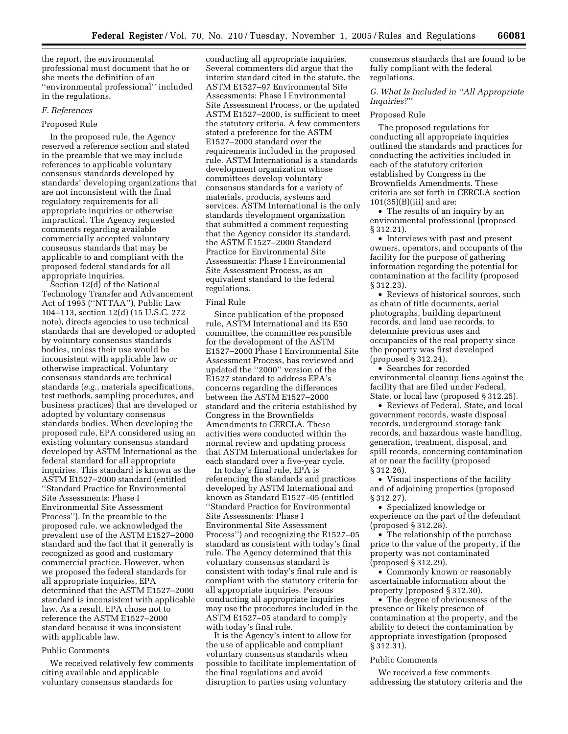the report, the environmental professional must document that he or she meets the definition of an ''environmental professional'' included in the regulations.

## *F. References*

#### Proposed Rule

In the proposed rule, the Agency reserved a reference section and stated in the preamble that we may include references to applicable voluntary consensus standards developed by standards' developing organizations that are not inconsistent with the final regulatory requirements for all appropriate inquiries or otherwise impractical. The Agency requested comments regarding available commercially accepted voluntary consensus standards that may be applicable to and compliant with the proposed federal standards for all appropriate inquiries.

Section 12(d) of the National Technology Transfer and Advancement Act of 1995 (''NTTAA''), Public Law 104–113, section 12(d) (15 U.S.C. 272 note), directs agencies to use technical standards that are developed or adopted by voluntary consensus standards bodies, unless their use would be inconsistent with applicable law or otherwise impractical. Voluntary consensus standards are technical standards (*e.g.*, materials specifications, test methods, sampling procedures, and business practices) that are developed or adopted by voluntary consensus standards bodies. When developing the proposed rule, EPA considered using an existing voluntary consensus standard developed by ASTM International as the federal standard for all appropriate inquiries. This standard is known as the ASTM E1527–2000 standard (entitled ''Standard Practice for Environmental Site Assessments: Phase I Environmental Site Assessment Process''). In the preamble to the proposed rule, we acknowledged the prevalent use of the ASTM E1527–2000 standard and the fact that it generally is recognized as good and customary commercial practice. However, when we proposed the federal standards for all appropriate inquiries, EPA determined that the ASTM E1527–2000 standard is inconsistent with applicable law. As a result, EPA chose not to reference the ASTM E1527–2000 standard because it was inconsistent with applicable law.

## Public Comments

We received relatively few comments citing available and applicable voluntary consensus standards for

conducting all appropriate inquiries. Several commenters did argue that the interim standard cited in the statute, the ASTM E1527–97 Environmental Site Assessments: Phase I Environmental Site Assessment Process, or the updated ASTM E1527–2000, is sufficient to meet the statutory criteria. A few commenters stated a preference for the ASTM E1527–2000 standard over the requirements included in the proposed rule. ASTM International is a standards development organization whose committees develop voluntary consensus standards for a variety of materials, products, systems and services. ASTM International is the only standards development organization that submitted a comment requesting that the Agency consider its standard, the ASTM E1527–2000 Standard Practice for Environmental Site Assessments: Phase I Environmental Site Assessment Process, as an equivalent standard to the federal regulations.

#### Final Rule

Since publication of the proposed rule, ASTM International and its E50 committee, the committee responsible for the development of the ASTM E1527–2000 Phase I Environmental Site Assessment Process, has reviewed and updated the ''2000'' version of the E1527 standard to address EPA's concerns regarding the differences between the ASTM E1527–2000 standard and the criteria established by Congress in the Brownfields Amendments to CERCLA. These activities were conducted within the normal review and updating process that ASTM International undertakes for each standard over a five-year cycle.

In today's final rule, EPA is referencing the standards and practices developed by ASTM International and known as Standard E1527–05 (entitled ''Standard Practice for Environmental Site Assessments: Phase I Environmental Site Assessment Process'') and recognizing the E1527–05 standard as consistent with today's final rule. The Agency determined that this voluntary consensus standard is consistent with today's final rule and is compliant with the statutory criteria for all appropriate inquiries. Persons conducting all appropriate inquiries may use the procedures included in the ASTM E1527–05 standard to comply with today's final rule.

It is the Agency's intent to allow for the use of applicable and compliant voluntary consensus standards when possible to facilitate implementation of the final regulations and avoid disruption to parties using voluntary

consensus standards that are found to be fully compliant with the federal regulations.

## *G. What Is Included in ''All Appropriate Inquiries?''*

#### Proposed Rule

The proposed regulations for conducting all appropriate inquiries outlined the standards and practices for conducting the activities included in each of the statutory criterion established by Congress in the Brownfields Amendments. These criteria are set forth in CERCLA section  $101(35)(B)(iii)$  and are:

• The results of an inquiry by an environmental professional (proposed § 312.21).

• Interviews with past and present owners, operators, and occupants of the facility for the purpose of gathering information regarding the potential for contamination at the facility (proposed § 312.23).

• Reviews of historical sources, such as chain of title documents, aerial photographs, building department records, and land use records, to determine previous uses and occupancies of the real property since the property was first developed (proposed § 312.24).

• Searches for recorded environmental cleanup liens against the facility that are filed under Federal, State, or local law (proposed § 312.25).

• Reviews of Federal, State, and local government records, waste disposal records, underground storage tank records, and hazardous waste handling, generation, treatment, disposal, and spill records, concerning contamination at or near the facility (proposed § 312.26).

• Visual inspections of the facility and of adjoining properties (proposed § 312.27).

• Specialized knowledge or experience on the part of the defendant (proposed § 312.28).

• The relationship of the purchase price to the value of the property, if the property was not contaminated (proposed § 312.29).

• Commonly known or reasonably ascertainable information about the property (proposed § 312.30).

• The degree of obviousness of the presence or likely presence of contamination at the property, and the ability to detect the contamination by appropriate investigation (proposed § 312.31).

#### Public Comments

We received a few comments addressing the statutory criteria and the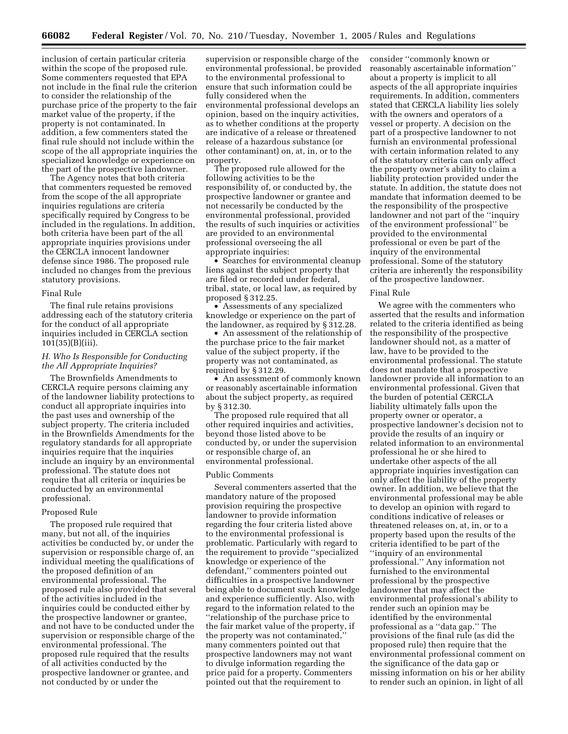inclusion of certain particular criteria within the scope of the proposed rule. Some commenters requested that EPA not include in the final rule the criterion to consider the relationship of the purchase price of the property to the fair market value of the property, if the property is not contaminated. In addition, a few commenters stated the final rule should not include within the scope of the all appropriate inquiries the specialized knowledge or experience on the part of the prospective landowner.

The Agency notes that both criteria that commenters requested be removed from the scope of the all appropriate inquiries regulations are criteria specifically required by Congress to be included in the regulations. In addition, both criteria have been part of the all appropriate inquiries provisions under the CERCLA innocent landowner defense since 1986. The proposed rule included no changes from the previous statutory provisions.

#### Final Rule

The final rule retains provisions addressing each of the statutory criteria for the conduct of all appropriate inquiries included in CERCLA section 101(35)(B)(iii).

## *H. Who Is Responsible for Conducting the All Appropriate Inquiries?*

The Brownfields Amendments to CERCLA require persons claiming any of the landowner liability protections to conduct all appropriate inquiries into the past uses and ownership of the subject property. The criteria included in the Brownfields Amendments for the regulatory standards for all appropriate inquiries require that the inquiries include an inquiry by an environmental professional. The statute does not require that all criteria or inquiries be conducted by an environmental professional.

#### Proposed Rule

The proposed rule required that many, but not all, of the inquiries activities be conducted by, or under the supervision or responsible charge of, an individual meeting the qualifications of the proposed definition of an environmental professional. The proposed rule also provided that several of the activities included in the inquiries could be conducted either by the prospective landowner or grantee, and not have to be conducted under the supervision or responsible charge of the environmental professional. The proposed rule required that the results of all activities conducted by the prospective landowner or grantee, and not conducted by or under the

supervision or responsible charge of the environmental professional, be provided to the environmental professional to ensure that such information could be fully considered when the environmental professional develops an opinion, based on the inquiry activities, as to whether conditions at the property are indicative of a release or threatened release of a hazardous substance (or other contaminant) on, at, in, or to the property.

The proposed rule allowed for the following activities to be the responsibility of, or conducted by, the prospective landowner or grantee and not necessarily be conducted by the environmental professional, provided the results of such inquiries or activities are provided to an environmental professional overseeing the all appropriate inquiries:

• Searches for environmental cleanup liens against the subject property that are filed or recorded under federal, tribal, state, or local law, as required by proposed § 312.25.

• Assessments of any specialized knowledge or experience on the part of the landowner, as required by § 312.28.

• An assessment of the relationship of the purchase price to the fair market value of the subject property, if the property was not contaminated, as required by § 312.29.

• An assessment of commonly known or reasonably ascertainable information about the subject property, as required by § 312.30.

The proposed rule required that all other required inquiries and activities, beyond those listed above to be conducted by, or under the supervision or responsible charge of, an environmental professional.

#### Public Comments

Several commenters asserted that the mandatory nature of the proposed provision requiring the prospective landowner to provide information regarding the four criteria listed above to the environmental professional is problematic. Particularly with regard to the requirement to provide ''specialized knowledge or experience of the defendant,'' commenters pointed out difficulties in a prospective landowner being able to document such knowledge and experience sufficiently. Also, with regard to the information related to the ''relationship of the purchase price to the fair market value of the property, if the property was not contaminated,'' many commenters pointed out that prospective landowners may not want to divulge information regarding the price paid for a property. Commenters pointed out that the requirement to

consider ''commonly known or reasonably ascertainable information'' about a property is implicit to all aspects of the all appropriate inquiries requirements. In addition, commenters stated that CERCLA liability lies solely with the owners and operators of a vessel or property. A decision on the part of a prospective landowner to not furnish an environmental professional with certain information related to any of the statutory criteria can only affect the property owner's ability to claim a liability protection provided under the statute. In addition, the statute does not mandate that information deemed to be the responsibility of the prospective landowner and not part of the ''inquiry of the environment professional'' be provided to the environmental professional or even be part of the inquiry of the environmental professional. Some of the statutory criteria are inherently the responsibility of the prospective landowner.

#### Final Rule

We agree with the commenters who asserted that the results and information related to the criteria identified as being the responsibility of the prospective landowner should not, as a matter of law, have to be provided to the environmental professional. The statute does not mandate that a prospective landowner provide all information to an environmental professional. Given that the burden of potential CERCLA liability ultimately falls upon the property owner or operator, a prospective landowner's decision not to provide the results of an inquiry or related information to an environmental professional he or she hired to undertake other aspects of the all appropriate inquiries investigation can only affect the liability of the property owner. In addition, we believe that the environmental professional may be able to develop an opinion with regard to conditions indicative of releases or threatened releases on, at, in, or to a property based upon the results of the criteria identified to be part of the ''inquiry of an environmental professional.'' Any information not furnished to the environmental professional by the prospective landowner that may affect the environmental professional's ability to render such an opinion may be identified by the environmental professional as a ''data gap.'' The provisions of the final rule (as did the proposed rule) then require that the environmental professional comment on the significance of the data gap or missing information on his or her ability to render such an opinion, in light of all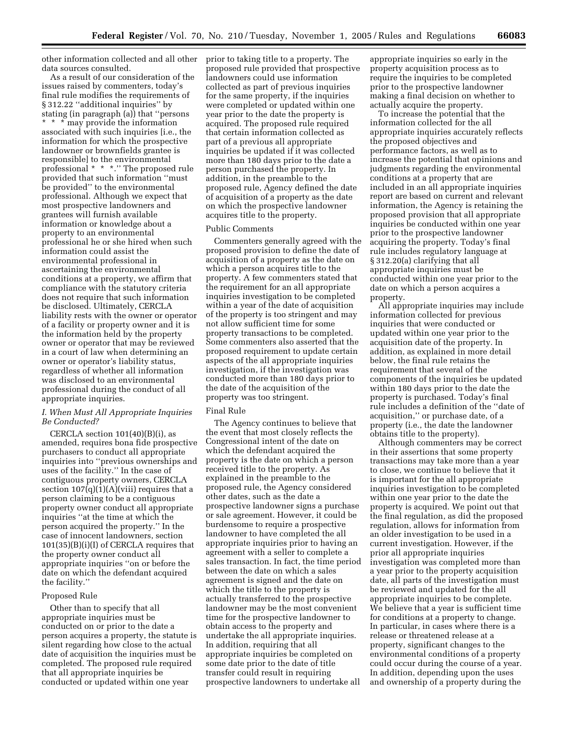other information collected and all other data sources consulted.

As a result of our consideration of the issues raised by commenters, today's final rule modifies the requirements of § 312.22 ''additional inquiries'' by stating (in paragraph (a)) that ''persons \* \* \* may provide the information associated with such inquiries [i.e., the information for which the prospective landowner or brownfields grantee is responsible] to the environmental professional \* \* \*.'' The proposed rule provided that such information ''must be provided'' to the environmental professional. Although we expect that most prospective landowners and grantees will furnish available information or knowledge about a property to an environmental professional he or she hired when such information could assist the environmental professional in ascertaining the environmental conditions at a property, we affirm that compliance with the statutory criteria does not require that such information be disclosed. Ultimately, CERCLA liability rests with the owner or operator of a facility or property owner and it is the information held by the property owner or operator that may be reviewed in a court of law when determining an owner or operator's liability status, regardless of whether all information was disclosed to an environmental professional during the conduct of all appropriate inquiries.

## *I. When Must All Appropriate Inquiries Be Conducted?*

CERCLA section  $101(40)(B)(i)$ , as amended, requires bona fide prospective purchasers to conduct all appropriate inquiries into ''previous ownerships and uses of the facility.'' In the case of contiguous property owners, CERCLA section  $107(q)(1)(A)(viii)$  requires that a person claiming to be a contiguous property owner conduct all appropriate inquiries ''at the time at which the person acquired the property.'' In the case of innocent landowners, section 101(35)(B)(i)(I) of CERCLA requires that the property owner conduct all appropriate inquiries ''on or before the date on which the defendant acquired the facility.''

#### Proposed Rule

Other than to specify that all appropriate inquiries must be conducted on or prior to the date a person acquires a property, the statute is silent regarding how close to the actual date of acquisition the inquiries must be completed. The proposed rule required that all appropriate inquiries be conducted or updated within one year

prior to taking title to a property. The proposed rule provided that prospective landowners could use information collected as part of previous inquiries for the same property, if the inquiries were completed or updated within one year prior to the date the property is acquired. The proposed rule required that certain information collected as part of a previous all appropriate inquiries be updated if it was collected more than 180 days prior to the date a person purchased the property. In addition, in the preamble to the proposed rule, Agency defined the date of acquisition of a property as the date on which the prospective landowner acquires title to the property.

#### Public Comments

Commenters generally agreed with the proposed provision to define the date of acquisition of a property as the date on which a person acquires title to the property. A few commenters stated that the requirement for an all appropriate inquiries investigation to be completed within a year of the date of acquisition of the property is too stringent and may not allow sufficient time for some property transactions to be completed. Some commenters also asserted that the proposed requirement to update certain aspects of the all appropriate inquiries investigation, if the investigation was conducted more than 180 days prior to the date of the acquisition of the property was too stringent.

## Final Rule

The Agency continues to believe that the event that most closely reflects the Congressional intent of the date on which the defendant acquired the property is the date on which a person received title to the property. As explained in the preamble to the proposed rule, the Agency considered other dates, such as the date a prospective landowner signs a purchase or sale agreement. However, it could be burdensome to require a prospective landowner to have completed the all appropriate inquiries prior to having an agreement with a seller to complete a sales transaction. In fact, the time period between the date on which a sales agreement is signed and the date on which the title to the property is actually transferred to the prospective landowner may be the most convenient time for the prospective landowner to obtain access to the property and undertake the all appropriate inquiries. In addition, requiring that all appropriate inquiries be completed on some date prior to the date of title transfer could result in requiring prospective landowners to undertake all

appropriate inquiries so early in the property acquisition process as to require the inquiries to be completed prior to the prospective landowner making a final decision on whether to actually acquire the property.

To increase the potential that the information collected for the all appropriate inquiries accurately reflects the proposed objectives and performance factors, as well as to increase the potential that opinions and judgments regarding the environmental conditions at a property that are included in an all appropriate inquiries report are based on current and relevant information, the Agency is retaining the proposed provision that all appropriate inquiries be conducted within one year prior to the prospective landowner acquiring the property. Today's final rule includes regulatory language at § 312.20(a) clarifying that all appropriate inquiries must be conducted within one year prior to the date on which a person acquires a property.

All appropriate inquiries may include information collected for previous inquiries that were conducted or updated within one year prior to the acquisition date of the property. In addition, as explained in more detail below, the final rule retains the requirement that several of the components of the inquiries be updated within 180 days prior to the date the property is purchased. Today's final rule includes a definition of the ''date of acquisition,'' or purchase date, of a property (i.e., the date the landowner obtains title to the property).

Although commenters may be correct in their assertions that some property transactions may take more than a year to close, we continue to believe that it is important for the all appropriate inquiries investigation to be completed within one year prior to the date the property is acquired. We point out that the final regulation, as did the proposed regulation, allows for information from an older investigation to be used in a current investigation. However, if the prior all appropriate inquiries investigation was completed more than a year prior to the property acquisition date, all parts of the investigation must be reviewed and updated for the all appropriate inquiries to be complete. We believe that a year is sufficient time for conditions at a property to change. In particular, in cases where there is a release or threatened release at a property, significant changes to the environmental conditions of a property could occur during the course of a year. In addition, depending upon the uses and ownership of a property during the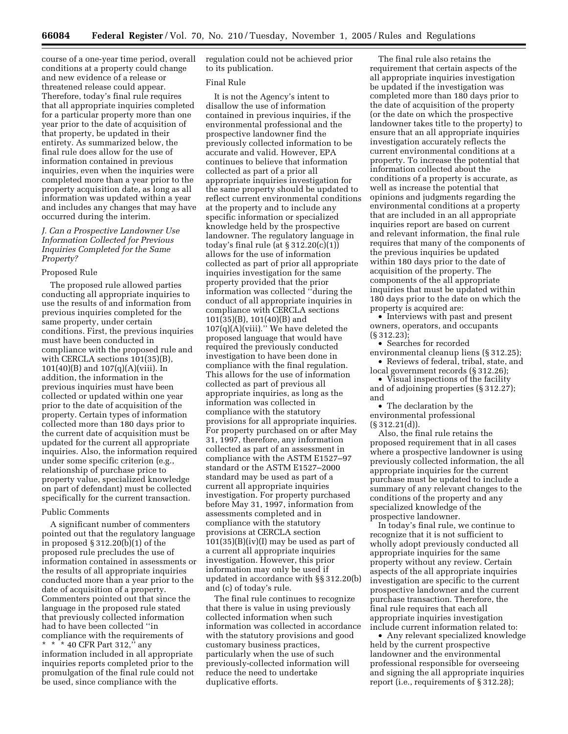course of a one-year time period, overall conditions at a property could change and new evidence of a release or threatened release could appear. Therefore, today's final rule requires that all appropriate inquiries completed for a particular property more than one year prior to the date of acquisition of that property, be updated in their entirety. As summarized below, the final rule does allow for the use of information contained in previous inquiries, even when the inquiries were completed more than a year prior to the property acquisition date, as long as all information was updated within a year and includes any changes that may have occurred during the interim.

## *J. Can a Prospective Landowner Use Information Collected for Previous Inquiries Completed for the Same Property?*

#### Proposed Rule

The proposed rule allowed parties conducting all appropriate inquiries to use the results of and information from previous inquiries completed for the same property, under certain conditions. First, the previous inquiries must have been conducted in compliance with the proposed rule and with CERCLA sections 101(35)(B), 101(40)(B) and 107(q)(A)(viii). In addition, the information in the previous inquiries must have been collected or updated within one year prior to the date of acquisition of the property. Certain types of information collected more than 180 days prior to the current date of acquisition must be updated for the current all appropriate inquiries. Also, the information required under some specific criterion (e.g., relationship of purchase price to property value, specialized knowledge on part of defendant) must be collected specifically for the current transaction.

#### Public Comments

A significant number of commenters pointed out that the regulatory language in proposed § 312.20(b)(1) of the proposed rule precludes the use of information contained in assessments or the results of all appropriate inquiries conducted more than a year prior to the date of acquisition of a property. Commenters pointed out that since the language in the proposed rule stated that previously collected information had to have been collected ''in compliance with the requirements of \* \* \* 40 CFR Part 312,'' any information included in all appropriate inquiries reports completed prior to the promulgation of the final rule could not be used, since compliance with the

regulation could not be achieved prior to its publication.

#### Final Rule

It is not the Agency's intent to disallow the use of information contained in previous inquiries, if the environmental professional and the prospective landowner find the previously collected information to be accurate and valid. However, EPA continues to believe that information collected as part of a prior all appropriate inquiries investigation for the same property should be updated to reflect current environmental conditions at the property and to include any specific information or specialized knowledge held by the prospective landowner. The regulatory language in today's final rule (at § 312.20(c)(1)) allows for the use of information collected as part of prior all appropriate inquiries investigation for the same property provided that the prior information was collected ''during the conduct of all appropriate inquiries in compliance with CERCLA sections 101(35)(B), 101(40)(B) and  $107(q)(A)(viii)$ ." We have deleted the proposed language that would have required the previously conducted investigation to have been done in compliance with the final regulation. This allows for the use of information collected as part of previous all appropriate inquiries, as long as the information was collected in compliance with the statutory provisions for all appropriate inquiries. For property purchased on or after May 31, 1997, therefore, any information collected as part of an assessment in compliance with the ASTM E1527–97 standard or the ASTM E1527–2000 standard may be used as part of a current all appropriate inquiries investigation. For property purchased before May 31, 1997, information from assessments completed and in compliance with the statutory provisions at CERCLA section  $101(35)(B)(iv)(I)$  may be used as part of a current all appropriate inquiries investigation. However, this prior information may only be used if updated in accordance with §§ 312.20(b) and (c) of today's rule.

The final rule continues to recognize that there is value in using previously collected information when such information was collected in accordance with the statutory provisions and good customary business practices, particularly when the use of such previously-collected information will reduce the need to undertake duplicative efforts.

The final rule also retains the requirement that certain aspects of the all appropriate inquiries investigation be updated if the investigation was completed more than 180 days prior to the date of acquisition of the property (or the date on which the prospective landowner takes title to the property) to ensure that an all appropriate inquiries investigation accurately reflects the current environmental conditions at a property. To increase the potential that information collected about the conditions of a property is accurate, as well as increase the potential that opinions and judgments regarding the environmental conditions at a property that are included in an all appropriate inquiries report are based on current and relevant information, the final rule requires that many of the components of the previous inquiries be updated within 180 days prior to the date of acquisition of the property. The components of the all appropriate inquiries that must be updated within 180 days prior to the date on which the property is acquired are:

• Interviews with past and present owners, operators, and occupants (§ 312.23);

• Searches for recorded

environmental cleanup liens (§ 312.25); • Reviews of federal, tribal, state, and

local government records (§ 312.26); • Visual inspections of the facility

and of adjoining properties (§ 312.27); and

• The declaration by the environmental professional  $(S312.21(d)).$ 

Also, the final rule retains the proposed requirement that in all cases where a prospective landowner is using previously collected information, the all appropriate inquiries for the current purchase must be updated to include a summary of any relevant changes to the conditions of the property and any specialized knowledge of the prospective landowner.

In today's final rule, we continue to recognize that it is not sufficient to wholly adopt previously conducted all appropriate inquiries for the same property without any review. Certain aspects of the all appropriate inquiries investigation are specific to the current prospective landowner and the current purchase transaction. Therefore, the final rule requires that each all appropriate inquiries investigation include current information related to:

• Any relevant specialized knowledge held by the current prospective landowner and the environmental professional responsible for overseeing and signing the all appropriate inquiries report (i.e., requirements of § 312.28);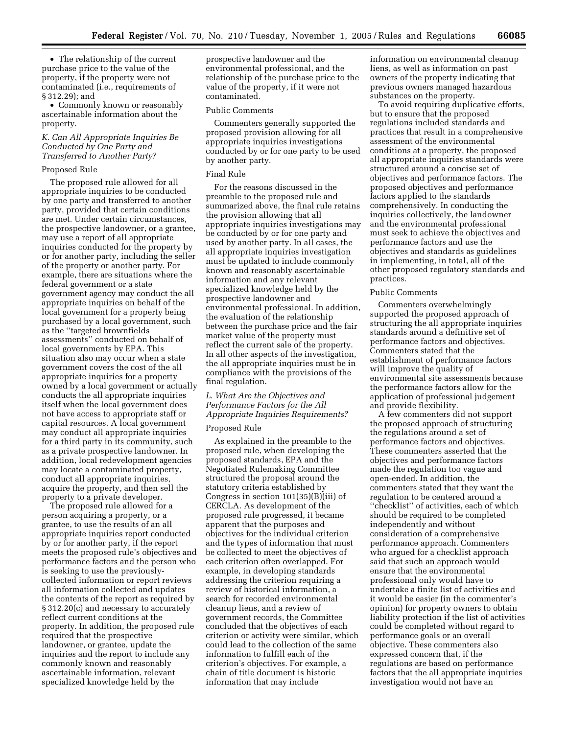• The relationship of the current purchase price to the value of the property, if the property were not contaminated (i.e., requirements of § 312.29); and

• Commonly known or reasonably ascertainable information about the property.

## *K. Can All Appropriate Inquiries Be Conducted by One Party and Transferred to Another Party?*

#### Proposed Rule

The proposed rule allowed for all appropriate inquiries to be conducted by one party and transferred to another party, provided that certain conditions are met. Under certain circumstances, the prospective landowner, or a grantee, may use a report of all appropriate inquiries conducted for the property by or for another party, including the seller of the property or another party. For example, there are situations where the federal government or a state government agency may conduct the all appropriate inquiries on behalf of the local government for a property being purchased by a local government, such as the ''targeted brownfields assessments'' conducted on behalf of local governments by EPA. This situation also may occur when a state government covers the cost of the all appropriate inquiries for a property owned by a local government or actually conducts the all appropriate inquiries itself when the local government does not have access to appropriate staff or capital resources. A local government may conduct all appropriate inquiries for a third party in its community, such as a private prospective landowner. In addition, local redevelopment agencies may locate a contaminated property, conduct all appropriate inquiries, acquire the property, and then sell the property to a private developer.

The proposed rule allowed for a person acquiring a property, or a grantee, to use the results of an all appropriate inquiries report conducted by or for another party, if the report meets the proposed rule's objectives and performance factors and the person who is seeking to use the previouslycollected information or report reviews all information collected and updates the contents of the report as required by § 312.20(c) and necessary to accurately reflect current conditions at the property. In addition, the proposed rule required that the prospective landowner, or grantee, update the inquiries and the report to include any commonly known and reasonably ascertainable information, relevant specialized knowledge held by the

prospective landowner and the environmental professional, and the relationship of the purchase price to the value of the property, if it were not contaminated.

#### Public Comments

Commenters generally supported the proposed provision allowing for all appropriate inquiries investigations conducted by or for one party to be used by another party.

#### Final Rule

For the reasons discussed in the preamble to the proposed rule and summarized above, the final rule retains the provision allowing that all appropriate inquiries investigations may be conducted by or for one party and used by another party. In all cases, the all appropriate inquiries investigation must be updated to include commonly known and reasonably ascertainable information and any relevant specialized knowledge held by the prospective landowner and environmental professional. In addition, the evaluation of the relationship between the purchase price and the fair market value of the property must reflect the current sale of the property. In all other aspects of the investigation, the all appropriate inquiries must be in compliance with the provisions of the final regulation.

## *L. What Are the Objectives and Performance Factors for the All Appropriate Inquiries Requirements?*

#### Proposed Rule

As explained in the preamble to the proposed rule, when developing the proposed standards, EPA and the Negotiated Rulemaking Committee structured the proposal around the statutory criteria established by Congress in section 101(35)(B)(iii) of CERCLA. As development of the proposed rule progressed, it became apparent that the purposes and objectives for the individual criterion and the types of information that must be collected to meet the objectives of each criterion often overlapped. For example, in developing standards addressing the criterion requiring a review of historical information, a search for recorded environmental cleanup liens, and a review of government records, the Committee concluded that the objectives of each criterion or activity were similar, which could lead to the collection of the same information to fulfill each of the criterion's objectives. For example, a chain of title document is historic information that may include

information on environmental cleanup liens, as well as information on past owners of the property indicating that previous owners managed hazardous substances on the property.

To avoid requiring duplicative efforts, but to ensure that the proposed regulations included standards and practices that result in a comprehensive assessment of the environmental conditions at a property, the proposed all appropriate inquiries standards were structured around a concise set of objectives and performance factors. The proposed objectives and performance factors applied to the standards comprehensively. In conducting the inquiries collectively, the landowner and the environmental professional must seek to achieve the objectives and performance factors and use the objectives and standards as guidelines in implementing, in total, all of the other proposed regulatory standards and practices.

#### Public Comments

Commenters overwhelmingly supported the proposed approach of structuring the all appropriate inquiries standards around a definitive set of performance factors and objectives. Commenters stated that the establishment of performance factors will improve the quality of environmental site assessments because the performance factors allow for the application of professional judgement and provide flexibility.

A few commenters did not support the proposed approach of structuring the regulations around a set of performance factors and objectives. These commenters asserted that the objectives and performance factors made the regulation too vague and open-ended. In addition, the commenters stated that they want the regulation to be centered around a ''checklist'' of activities, each of which should be required to be completed independently and without consideration of a comprehensive performance approach. Commenters who argued for a checklist approach said that such an approach would ensure that the environmental professional only would have to undertake a finite list of activities and it would be easier (in the commenter's opinion) for property owners to obtain liability protection if the list of activities could be completed without regard to performance goals or an overall objective. These commenters also expressed concern that, if the regulations are based on performance factors that the all appropriate inquiries investigation would not have an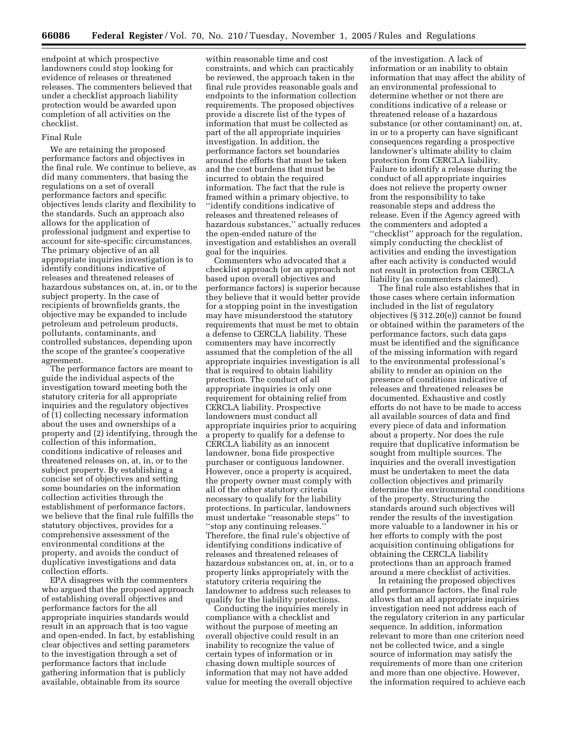endpoint at which prospective landowners could stop looking for evidence of releases or threatened releases. The commenters believed that under a checklist approach liability protection would be awarded upon completion of all activities on the checklist.

#### Final Rule

We are retaining the proposed performance factors and objectives in the final rule. We continue to believe, as did many commenters, that basing the regulations on a set of overall performance factors and specific objectives lends clarity and flexibility to the standards. Such an approach also allows for the application of professional judgment and expertise to account for site-specific circumstances. The primary objective of an all appropriate inquiries investigation is to identify conditions indicative of releases and threatened releases of hazardous substances on, at, in, or to the subject property. In the case of recipients of brownfields grants, the objective may be expanded to include petroleum and petroleum products, pollutants, contaminants, and controlled substances, depending upon the scope of the grantee's cooperative agreement.

The performance factors are meant to guide the individual aspects of the investigation toward meeting both the statutory criteria for all appropriate inquiries and the regulatory objectives of (1) collecting necessary information about the uses and ownerships of a property and (2) identifying, through the collection of this information, conditions indicative of releases and threatened releases on, at, in, or to the subject property. By establishing a concise set of objectives and setting some boundaries on the information collection activities through the establishment of performance factors, we believe that the final rule fulfills the statutory objectives, provides for a comprehensive assessment of the environmental conditions at the property, and avoids the conduct of duplicative investigations and data collection efforts.

EPA disagrees with the commenters who argued that the proposed approach of establishing overall objectives and performance factors for the all appropriate inquiries standards would result in an approach that is too vague and open-ended. In fact, by establishing clear objectives and setting parameters to the investigation through a set of performance factors that include gathering information that is publicly available, obtainable from its source

within reasonable time and cost constraints, and which can practicably be reviewed, the approach taken in the final rule provides reasonable goals and endpoints to the information collection requirements. The proposed objectives provide a discrete list of the types of information that must be collected as part of the all appropriate inquiries investigation. In addition, the performance factors set boundaries around the efforts that must be taken and the cost burdens that must be incurred to obtain the required information. The fact that the rule is framed within a primary objective, to ''identify conditions indicative of releases and threatened releases of hazardous substances,'' actually reduces the open-ended nature of the investigation and establishes an overall goal for the inquiries.

Commenters who advocated that a checklist approach (or an approach not based upon overall objectives and performance factors) is superior because they believe that it would better provide for a stopping point in the investigation may have misunderstood the statutory requirements that must be met to obtain a defense to CERCLA liability. These commenters may have incorrectly assumed that the completion of the all appropriate inquiries investigation is all that is required to obtain liability protection. The conduct of all appropriate inquiries is only one requirement for obtaining relief from CERCLA liability. Prospective landowners must conduct all appropriate inquiries prior to acquiring a property to qualify for a defense to CERCLA liability as an innocent landowner, bona fide prospective purchaser or contiguous landowner. However, once a property is acquired, the property owner must comply with all of the other statutory criteria necessary to qualify for the liability protections. In particular, landowners must undertake ''reasonable steps'' to ''stop any continuing releases.'' Therefore, the final rule's objective of identifying conditions indicative of releases and threatened releases of hazardous substances on, at, in, or to a property links appropriately with the statutory criteria requiring the landowner to address such releases to qualify for the liability protections.

Conducting the inquiries merely in compliance with a checklist and without the purpose of meeting an overall objective could result in an inability to recognize the value of certain types of information or in chasing down multiple sources of information that may not have added value for meeting the overall objective

of the investigation. A lack of information or an inability to obtain information that may affect the ability of an environmental professional to determine whether or not there are conditions indicative of a release or threatened release of a hazardous substance (or other contaminant) on, at, in or to a property can have significant consequences regarding a prospective landowner's ultimate ability to claim protection from CERCLA liability. Failure to identify a release during the conduct of all appropriate inquiries does not relieve the property owner from the responsibility to take reasonable steps and address the release. Even if the Agency agreed with the commenters and adopted a ''checklist'' approach for the regulation, simply conducting the checklist of activities and ending the investigation after each activity is conducted would not result in protection from CERCLA liability (as commenters claimed).

The final rule also establishes that in those cases where certain information included in the list of regulatory objectives (§ 312.20(e)) cannot be found or obtained within the parameters of the performance factors, such data gaps must be identified and the significance of the missing information with regard to the environmental professional's ability to render an opinion on the presence of conditions indicative of releases and threatened releases be documented. Exhaustive and costly efforts do not have to be made to access all available sources of data and find every piece of data and information about a property. Nor does the rule require that duplicative information be sought from multiple sources. The inquiries and the overall investigation must be undertaken to meet the data collection objectives and primarily determine the environmental conditions of the property. Structuring the standards around such objectives will render the results of the investigation more valuable to a landowner in his or her efforts to comply with the post acquisition continuing obligations for obtaining the CERCLA liability protections than an approach framed around a mere checklist of activities.

In retaining the proposed objectives and performance factors, the final rule allows that an all appropriate inquiries investigation need not address each of the regulatory criterion in any particular sequence. In addition, information relevant to more than one criterion need not be collected twice, and a single source of information may satisfy the requirements of more than one criterion and more than one objective. However, the information required to achieve each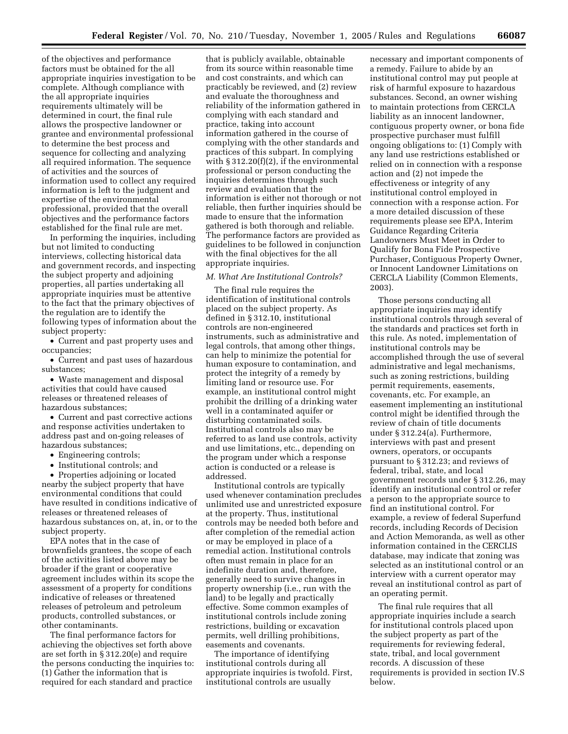of the objectives and performance factors must be obtained for the all appropriate inquiries investigation to be complete. Although compliance with the all appropriate inquiries requirements ultimately will be determined in court, the final rule allows the prospective landowner or grantee and environmental professional to determine the best process and sequence for collecting and analyzing all required information. The sequence of activities and the sources of information used to collect any required information is left to the judgment and expertise of the environmental professional, provided that the overall objectives and the performance factors established for the final rule are met.

In performing the inquiries, including but not limited to conducting interviews, collecting historical data and government records, and inspecting the subject property and adjoining properties, all parties undertaking all appropriate inquiries must be attentive to the fact that the primary objectives of the regulation are to identify the following types of information about the subject property:

• Current and past property uses and occupancies;

• Current and past uses of hazardous substances;

• Waste management and disposal activities that could have caused releases or threatened releases of hazardous substances;

• Current and past corrective actions and response activities undertaken to address past and on-going releases of hazardous substances;

- Engineering controls;
- Institutional controls; and

• Properties adjoining or located nearby the subject property that have environmental conditions that could have resulted in conditions indicative of releases or threatened releases of hazardous substances on, at, in, or to the subject property.

EPA notes that in the case of brownfields grantees, the scope of each of the activities listed above may be broader if the grant or cooperative agreement includes within its scope the assessment of a property for conditions indicative of releases or threatened releases of petroleum and petroleum products, controlled substances, or other contaminants.

The final performance factors for achieving the objectives set forth above are set forth in § 312.20(e) and require the persons conducting the inquiries to: (1) Gather the information that is required for each standard and practice

that is publicly available, obtainable from its source within reasonable time and cost constraints, and which can practicably be reviewed, and (2) review and evaluate the thoroughness and reliability of the information gathered in complying with each standard and practice, taking into account information gathered in the course of complying with the other standards and practices of this subpart. In complying with  $\S 312.20(f)(2)$ , if the environmental professional or person conducting the inquiries determines through such review and evaluation that the information is either not thorough or not reliable, then further inquiries should be made to ensure that the information gathered is both thorough and reliable. The performance factors are provided as guidelines to be followed in conjunction with the final objectives for the all appropriate inquiries.

#### *M. What Are Institutional Controls?*

The final rule requires the identification of institutional controls placed on the subject property. As defined in § 312.10, institutional controls are non-engineered instruments, such as administrative and legal controls, that among other things, can help to minimize the potential for human exposure to contamination, and protect the integrity of a remedy by limiting land or resource use. For example, an institutional control might prohibit the drilling of a drinking water well in a contaminated aquifer or disturbing contaminated soils. Institutional controls also may be referred to as land use controls, activity and use limitations, etc., depending on the program under which a response action is conducted or a release is addressed.

Institutional controls are typically used whenever contamination precludes unlimited use and unrestricted exposure at the property. Thus, institutional controls may be needed both before and after completion of the remedial action or may be employed in place of a remedial action. Institutional controls often must remain in place for an indefinite duration and, therefore, generally need to survive changes in property ownership (i.e., run with the land) to be legally and practically effective. Some common examples of institutional controls include zoning restrictions, building or excavation permits, well drilling prohibitions, easements and covenants.

The importance of identifying institutional controls during all appropriate inquiries is twofold. First, institutional controls are usually

necessary and important components of a remedy. Failure to abide by an institutional control may put people at risk of harmful exposure to hazardous substances. Second, an owner wishing to maintain protections from CERCLA liability as an innocent landowner, contiguous property owner, or bona fide prospective purchaser must fulfill ongoing obligations to: (1) Comply with any land use restrictions established or relied on in connection with a response action and (2) not impede the effectiveness or integrity of any institutional control employed in connection with a response action. For a more detailed discussion of these requirements please see EPA, Interim Guidance Regarding Criteria Landowners Must Meet in Order to Qualify for Bona Fide Prospective Purchaser, Contiguous Property Owner, or Innocent Landowner Limitations on CERCLA Liability (Common Elements, 2003).

Those persons conducting all appropriate inquiries may identify institutional controls through several of the standards and practices set forth in this rule. As noted, implementation of institutional controls may be accomplished through the use of several administrative and legal mechanisms, such as zoning restrictions, building permit requirements, easements, covenants, etc. For example, an easement implementing an institutional control might be identified through the review of chain of title documents under § 312.24(a). Furthermore, interviews with past and present owners, operators, or occupants pursuant to § 312.23; and reviews of federal, tribal, state, and local government records under § 312.26, may identify an institutional control or refer a person to the appropriate source to find an institutional control. For example, a review of federal Superfund records, including Records of Decision and Action Memoranda, as well as other information contained in the CERCLIS database, may indicate that zoning was selected as an institutional control or an interview with a current operator may reveal an institutional control as part of an operating permit.

The final rule requires that all appropriate inquiries include a search for institutional controls placed upon the subject property as part of the requirements for reviewing federal, state, tribal, and local government records. A discussion of these requirements is provided in section IV.S below.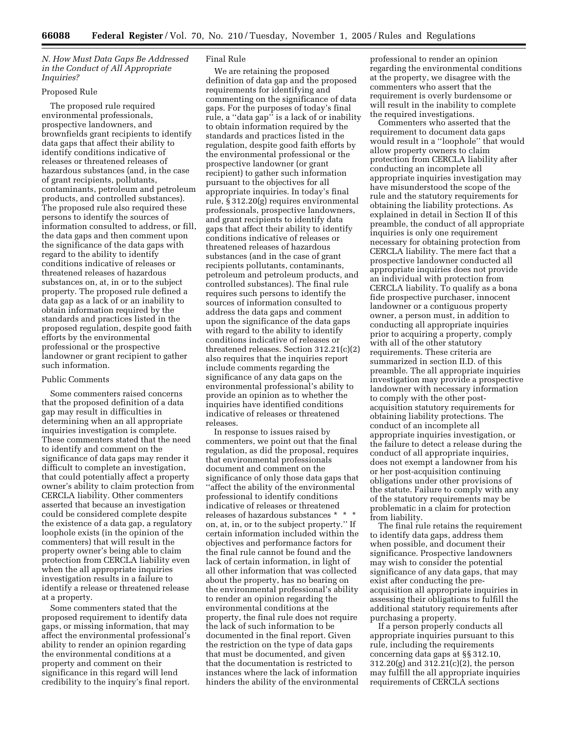## *N. How Must Data Gaps Be Addressed in the Conduct of All Appropriate Inquiries?*

#### Proposed Rule

The proposed rule required environmental professionals, prospective landowners, and brownfields grant recipients to identify data gaps that affect their ability to identify conditions indicative of releases or threatened releases of hazardous substances (and, in the case of grant recipients, pollutants, contaminants, petroleum and petroleum products, and controlled substances). The proposed rule also required these persons to identify the sources of information consulted to address, or fill, the data gaps and then comment upon the significance of the data gaps with regard to the ability to identify conditions indicative of releases or threatened releases of hazardous substances on, at, in or to the subject property. The proposed rule defined a data gap as a lack of or an inability to obtain information required by the standards and practices listed in the proposed regulation, despite good faith efforts by the environmental professional or the prospective landowner or grant recipient to gather such information.

#### Public Comments

Some commenters raised concerns that the proposed definition of a data gap may result in difficulties in determining when an all appropriate inquiries investigation is complete. These commenters stated that the need to identify and comment on the significance of data gaps may render it difficult to complete an investigation, that could potentially affect a property owner's ability to claim protection from CERCLA liability. Other commenters asserted that because an investigation could be considered complete despite the existence of a data gap, a regulatory loophole exists (in the opinion of the commenters) that will result in the property owner's being able to claim protection from CERCLA liability even when the all appropriate inquiries investigation results in a failure to identify a release or threatened release at a property.

Some commenters stated that the proposed requirement to identify data gaps, or missing information, that may affect the environmental professional's ability to render an opinion regarding the environmental conditions at a property and comment on their significance in this regard will lend credibility to the inquiry's final report.

#### Final Rule

We are retaining the proposed definition of data gap and the proposed requirements for identifying and commenting on the significance of data gaps. For the purposes of today's final rule, a ''data gap'' is a lack of or inability to obtain information required by the standards and practices listed in the regulation, despite good faith efforts by the environmental professional or the prospective landowner (or grant recipient) to gather such information pursuant to the objectives for all appropriate inquiries. In today's final rule, § 312.20(g) requires environmental professionals, prospective landowners, and grant recipients to identify data gaps that affect their ability to identify conditions indicative of releases or threatened releases of hazardous substances (and in the case of grant recipients pollutants, contaminants, petroleum and petroleum products, and controlled substances). The final rule requires such persons to identify the sources of information consulted to address the data gaps and comment upon the significance of the data gaps with regard to the ability to identify conditions indicative of releases or threatened releases. Section 312.21(c)(2) also requires that the inquiries report include comments regarding the significance of any data gaps on the environmental professional's ability to provide an opinion as to whether the inquiries have identified conditions indicative of releases or threatened releases.

In response to issues raised by commenters, we point out that the final regulation, as did the proposal, requires that environmental professionals document and comment on the significance of only those data gaps that ''affect the ability of the environmental professional to identify conditions indicative of releases or threatened releases of hazardous substances \* \* \* on, at, in, or to the subject property.'' If certain information included within the objectives and performance factors for the final rule cannot be found and the lack of certain information, in light of all other information that was collected about the property, has no bearing on the environmental professional's ability to render an opinion regarding the environmental conditions at the property, the final rule does not require the lack of such information to be documented in the final report. Given the restriction on the type of data gaps that must be documented, and given that the documentation is restricted to instances where the lack of information hinders the ability of the environmental

professional to render an opinion regarding the environmental conditions at the property, we disagree with the commenters who assert that the requirement is overly burdensome or will result in the inability to complete the required investigations.

Commenters who asserted that the requirement to document data gaps would result in a ''loophole'' that would allow property owners to claim protection from CERCLA liability after conducting an incomplete all appropriate inquiries investigation may have misunderstood the scope of the rule and the statutory requirements for obtaining the liability protections. As explained in detail in Section II of this preamble, the conduct of all appropriate inquiries is only one requirement necessary for obtaining protection from CERCLA liability. The mere fact that a prospective landowner conducted all appropriate inquiries does not provide an individual with protection from CERCLA liability. To qualify as a bona fide prospective purchaser, innocent landowner or a contiguous property owner, a person must, in addition to conducting all appropriate inquiries prior to acquiring a property, comply with all of the other statutory requirements. These criteria are summarized in section II.D. of this preamble. The all appropriate inquiries investigation may provide a prospective landowner with necessary information to comply with the other postacquisition statutory requirements for obtaining liability protections. The conduct of an incomplete all appropriate inquiries investigation, or the failure to detect a release during the conduct of all appropriate inquiries, does not exempt a landowner from his or her post-acquisition continuing obligations under other provisions of the statute. Failure to comply with any of the statutory requirements may be problematic in a claim for protection from liability.

The final rule retains the requirement to identify data gaps, address them when possible, and document their significance. Prospective landowners may wish to consider the potential significance of any data gaps, that may exist after conducting the preacquisition all appropriate inquiries in assessing their obligations to fulfill the additional statutory requirements after purchasing a property.

If a person properly conducts all appropriate inquiries pursuant to this rule, including the requirements concerning data gaps at §§ 312.10, 312.20(g) and 312.21(c)(2), the person may fulfill the all appropriate inquiries requirements of CERCLA sections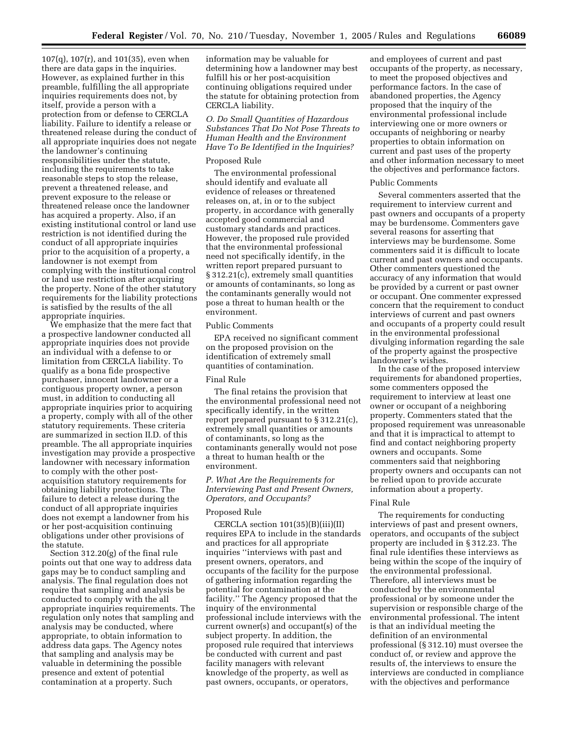107(q), 107(r), and 101(35), even when there are data gaps in the inquiries. However, as explained further in this preamble, fulfilling the all appropriate inquiries requirements does not, by itself, provide a person with a protection from or defense to CERCLA liability. Failure to identify a release or threatened release during the conduct of all appropriate inquiries does not negate the landowner's continuing responsibilities under the statute, including the requirements to take reasonable steps to stop the release, prevent a threatened release, and prevent exposure to the release or threatened release once the landowner has acquired a property. Also, if an existing institutional control or land use restriction is not identified during the conduct of all appropriate inquiries prior to the acquisition of a property, a landowner is not exempt from complying with the institutional control or land use restriction after acquiring the property. None of the other statutory requirements for the liability protections is satisfied by the results of the all appropriate inquiries.

We emphasize that the mere fact that a prospective landowner conducted all appropriate inquiries does not provide an individual with a defense to or limitation from CERCLA liability. To qualify as a bona fide prospective purchaser, innocent landowner or a contiguous property owner, a person must, in addition to conducting all appropriate inquiries prior to acquiring a property, comply with all of the other statutory requirements. These criteria are summarized in section II.D. of this preamble. The all appropriate inquiries investigation may provide a prospective landowner with necessary information to comply with the other postacquisition statutory requirements for obtaining liability protections. The failure to detect a release during the conduct of all appropriate inquiries does not exempt a landowner from his or her post-acquisition continuing obligations under other provisions of the statute.

Section 312.20(g) of the final rule points out that one way to address data gaps may be to conduct sampling and analysis. The final regulation does not require that sampling and analysis be conducted to comply with the all appropriate inquiries requirements. The regulation only notes that sampling and analysis may be conducted, where appropriate, to obtain information to address data gaps. The Agency notes that sampling and analysis may be valuable in determining the possible presence and extent of potential contamination at a property. Such

information may be valuable for determining how a landowner may best fulfill his or her post-acquisition continuing obligations required under the statute for obtaining protection from CERCLA liability.

*O. Do Small Quantities of Hazardous Substances That Do Not Pose Threats to Human Health and the Environment Have To Be Identified in the Inquiries?* 

#### Proposed Rule

The environmental professional should identify and evaluate all evidence of releases or threatened releases on, at, in or to the subject property, in accordance with generally accepted good commercial and customary standards and practices. However, the proposed rule provided that the environmental professional need not specifically identify, in the written report prepared pursuant to § 312.21(c), extremely small quantities or amounts of contaminants, so long as the contaminants generally would not pose a threat to human health or the environment.

#### Public Comments

EPA received no significant comment on the proposed provision on the identification of extremely small quantities of contamination.

## Final Rule

The final retains the provision that the environmental professional need not specifically identify, in the written report prepared pursuant to § 312.21(c), extremely small quantities or amounts of contaminants, so long as the contaminants generally would not pose a threat to human health or the environment.

*P. What Are the Requirements for Interviewing Past and Present Owners, Operators, and Occupants?* 

#### Proposed Rule

CERCLA section  $101(35)(B)(iii)(II)$ requires EPA to include in the standards and practices for all appropriate inquiries ''interviews with past and present owners, operators, and occupants of the facility for the purpose of gathering information regarding the potential for contamination at the facility.'' The Agency proposed that the inquiry of the environmental professional include interviews with the current owner(s) and occupant(s) of the subject property. In addition, the proposed rule required that interviews be conducted with current and past facility managers with relevant knowledge of the property, as well as past owners, occupants, or operators,

and employees of current and past occupants of the property, as necessary, to meet the proposed objectives and performance factors. In the case of abandoned properties, the Agency proposed that the inquiry of the environmental professional include interviewing one or more owners or occupants of neighboring or nearby properties to obtain information on current and past uses of the property and other information necessary to meet the objectives and performance factors.

#### Public Comments

Several commenters asserted that the requirement to interview current and past owners and occupants of a property may be burdensome. Commenters gave several reasons for asserting that interviews may be burdensome. Some commenters said it is difficult to locate current and past owners and occupants. Other commenters questioned the accuracy of any information that would be provided by a current or past owner or occupant. One commenter expressed concern that the requirement to conduct interviews of current and past owners and occupants of a property could result in the environmental professional divulging information regarding the sale of the property against the prospective landowner's wishes.

In the case of the proposed interview requirements for abandoned properties, some commenters opposed the requirement to interview at least one owner or occupant of a neighboring property. Commenters stated that the proposed requirement was unreasonable and that it is impractical to attempt to find and contact neighboring property owners and occupants. Some commenters said that neighboring property owners and occupants can not be relied upon to provide accurate information about a property.

#### Final Rule

The requirements for conducting interviews of past and present owners, operators, and occupants of the subject property are included in § 312.23. The final rule identifies these interviews as being within the scope of the inquiry of the environmental professional. Therefore, all interviews must be conducted by the environmental professional or by someone under the supervision or responsible charge of the environmental professional. The intent is that an individual meeting the definition of an environmental professional (§ 312.10) must oversee the conduct of, or review and approve the results of, the interviews to ensure the interviews are conducted in compliance with the objectives and performance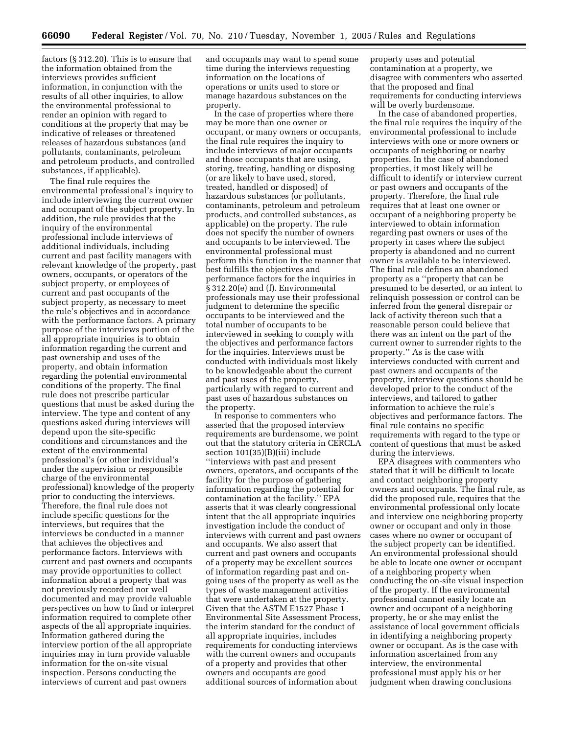factors (§ 312.20). This is to ensure that the information obtained from the interviews provides sufficient information, in conjunction with the results of all other inquiries, to allow the environmental professional to render an opinion with regard to conditions at the property that may be indicative of releases or threatened releases of hazardous substances (and pollutants, contaminants, petroleum and petroleum products, and controlled substances, if applicable).

The final rule requires the environmental professional's inquiry to include interviewing the current owner and occupant of the subject property. In addition, the rule provides that the inquiry of the environmental professional include interviews of additional individuals, including current and past facility managers with relevant knowledge of the property, past owners, occupants, or operators of the subject property, or employees of current and past occupants of the subject property, as necessary to meet the rule's objectives and in accordance with the performance factors. A primary purpose of the interviews portion of the all appropriate inquiries is to obtain information regarding the current and past ownership and uses of the property, and obtain information regarding the potential environmental conditions of the property. The final rule does not prescribe particular questions that must be asked during the interview. The type and content of any questions asked during interviews will depend upon the site-specific conditions and circumstances and the extent of the environmental professional's (or other individual's under the supervision or responsible charge of the environmental professional) knowledge of the property prior to conducting the interviews. Therefore, the final rule does not include specific questions for the interviews, but requires that the interviews be conducted in a manner that achieves the objectives and performance factors. Interviews with current and past owners and occupants may provide opportunities to collect information about a property that was not previously recorded nor well documented and may provide valuable perspectives on how to find or interpret information required to complete other aspects of the all appropriate inquiries. Information gathered during the interview portion of the all appropriate inquiries may in turn provide valuable information for the on-site visual inspection. Persons conducting the interviews of current and past owners

and occupants may want to spend some time during the interviews requesting information on the locations of operations or units used to store or manage hazardous substances on the property.

In the case of properties where there may be more than one owner or occupant, or many owners or occupants, the final rule requires the inquiry to include interviews of major occupants and those occupants that are using, storing, treating, handling or disposing (or are likely to have used, stored, treated, handled or disposed) of hazardous substances (or pollutants, contaminants, petroleum and petroleum products, and controlled substances, as applicable) on the property. The rule does not specify the number of owners and occupants to be interviewed. The environmental professional must perform this function in the manner that best fulfills the objectives and performance factors for the inquiries in § 312.20(e) and (f). Environmental professionals may use their professional judgment to determine the specific occupants to be interviewed and the total number of occupants to be interviewed in seeking to comply with the objectives and performance factors for the inquiries. Interviews must be conducted with individuals most likely to be knowledgeable about the current and past uses of the property, particularly with regard to current and past uses of hazardous substances on the property.

In response to commenters who asserted that the proposed interview requirements are burdensome, we point out that the statutory criteria in CERCLA section 101(35)(B)(iii) include ''interviews with past and present owners, operators, and occupants of the facility for the purpose of gathering information regarding the potential for contamination at the facility.'' EPA asserts that it was clearly congressional intent that the all appropriate inquiries investigation include the conduct of interviews with current and past owners and occupants. We also assert that current and past owners and occupants of a property may be excellent sources of information regarding past and ongoing uses of the property as well as the types of waste management activities that were undertaken at the property. Given that the ASTM E1527 Phase 1 Environmental Site Assessment Process, the interim standard for the conduct of all appropriate inquiries, includes requirements for conducting interviews with the current owners and occupants of a property and provides that other owners and occupants are good additional sources of information about

property uses and potential contamination at a property, we disagree with commenters who asserted that the proposed and final requirements for conducting interviews will be overly burdensome.

In the case of abandoned properties, the final rule requires the inquiry of the environmental professional to include interviews with one or more owners or occupants of neighboring or nearby properties. In the case of abandoned properties, it most likely will be difficult to identify or interview current or past owners and occupants of the property. Therefore, the final rule requires that at least one owner or occupant of a neighboring property be interviewed to obtain information regarding past owners or uses of the property in cases where the subject property is abandoned and no current owner is available to be interviewed. The final rule defines an abandoned property as a ''property that can be presumed to be deserted, or an intent to relinquish possession or control can be inferred from the general disrepair or lack of activity thereon such that a reasonable person could believe that there was an intent on the part of the current owner to surrender rights to the property.'' As is the case with interviews conducted with current and past owners and occupants of the property, interview questions should be developed prior to the conduct of the interviews, and tailored to gather information to achieve the rule's objectives and performance factors. The final rule contains no specific requirements with regard to the type or content of questions that must be asked during the interviews.

EPA disagrees with commenters who stated that it will be difficult to locate and contact neighboring property owners and occupants. The final rule, as did the proposed rule, requires that the environmental professional only locate and interview one neighboring property owner or occupant and only in those cases where no owner or occupant of the subject property can be identified. An environmental professional should be able to locate one owner or occupant of a neighboring property when conducting the on-site visual inspection of the property. If the environmental professional cannot easily locate an owner and occupant of a neighboring property, he or she may enlist the assistance of local government officials in identifying a neighboring property owner or occupant. As is the case with information ascertained from any interview, the environmental professional must apply his or her judgment when drawing conclusions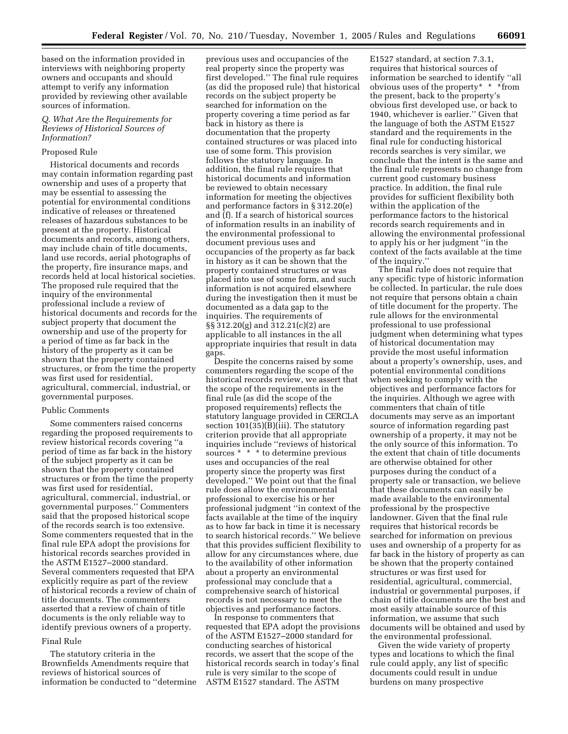based on the information provided in interviews with neighboring property owners and occupants and should attempt to verify any information provided by reviewing other available sources of information.

## *Q. What Are the Requirements for Reviews of Historical Sources of Information?*

#### Proposed Rule

Historical documents and records may contain information regarding past ownership and uses of a property that may be essential to assessing the potential for environmental conditions indicative of releases or threatened releases of hazardous substances to be present at the property. Historical documents and records, among others, may include chain of title documents, land use records, aerial photographs of the property, fire insurance maps, and records held at local historical societies. The proposed rule required that the inquiry of the environmental professional include a review of historical documents and records for the subject property that document the ownership and use of the property for a period of time as far back in the history of the property as it can be shown that the property contained structures, or from the time the property was first used for residential, agricultural, commercial, industrial, or governmental purposes.

## Public Comments

Some commenters raised concerns regarding the proposed requirements to review historical records covering ''a period of time as far back in the history of the subject property as it can be shown that the property contained structures or from the time the property was first used for residential, agricultural, commercial, industrial, or governmental purposes.'' Commenters said that the proposed historical scope of the records search is too extensive. Some commenters requested that in the final rule EPA adopt the provisions for historical records searches provided in the ASTM E1527–2000 standard. Several commenters requested that EPA explicitly require as part of the review of historical records a review of chain of title documents. The commenters asserted that a review of chain of title documents is the only reliable way to identify previous owners of a property.

## Final Rule

The statutory criteria in the Brownfields Amendments require that reviews of historical sources of information be conducted to ''determine

previous uses and occupancies of the real property since the property was first developed.'' The final rule requires (as did the proposed rule) that historical records on the subject property be searched for information on the property covering a time period as far back in history as there is documentation that the property contained structures or was placed into use of some form. This provision follows the statutory language. In addition, the final rule requires that historical documents and information be reviewed to obtain necessary information for meeting the objectives and performance factors in § 312.20(e) and (f). If a search of historical sources of information results in an inability of the environmental professional to document previous uses and occupancies of the property as far back in history as it can be shown that the property contained structures or was placed into use of some form, and such information is not acquired elsewhere during the investigation then it must be documented as a data gap to the inquiries. The requirements of §§ 312.20(g) and 312.21(c)(2) are applicable to all instances in the all appropriate inquiries that result in data gaps.

Despite the concerns raised by some commenters regarding the scope of the historical records review, we assert that the scope of the requirements in the final rule (as did the scope of the proposed requirements) reflects the statutory language provided in CERCLA section  $101(35)(B)(iii)$ . The statutory criterion provide that all appropriate inquiries include ''reviews of historical sources \* \* \* to determine previous uses and occupancies of the real property since the property was first developed.'' We point out that the final rule does allow the environmental professional to exercise his or her professional judgment ''in context of the facts available at the time of the inquiry as to how far back in time it is necessary to search historical records.'' We believe that this provides sufficient flexibility to allow for any circumstances where, due to the availability of other information about a property an environmental professional may conclude that a comprehensive search of historical records is not necessary to meet the objectives and performance factors.

In response to commenters that requested that EPA adopt the provisions of the ASTM E1527–2000 standard for conducting searches of historical records, we assert that the scope of the historical records search in today's final rule is very similar to the scope of ASTM E1527 standard. The ASTM

E1527 standard, at section 7.3.1, requires that historical sources of information be searched to identify ''all obvious uses of the property\* \* \*from the present, back to the property's obvious first developed use, or back to 1940, whichever is earlier.'' Given that the language of both the ASTM E1527 standard and the requirements in the final rule for conducting historical records searches is very similar, we conclude that the intent is the same and the final rule represents no change from current good customary business practice. In addition, the final rule provides for sufficient flexibility both within the application of the performance factors to the historical records search requirements and in allowing the environmental professional to apply his or her judgment ''in the context of the facts available at the time of the inquiry.''

The final rule does not require that any specific type of historic information be collected. In particular, the rule does not require that persons obtain a chain of title document for the property. The rule allows for the environmental professional to use professional judgment when determining what types of historical documentation may provide the most useful information about a property's ownership, uses, and potential environmental conditions when seeking to comply with the objectives and performance factors for the inquiries. Although we agree with commenters that chain of title documents may serve as an important source of information regarding past ownership of a property, it may not be the only source of this information. To the extent that chain of title documents are otherwise obtained for other purposes during the conduct of a property sale or transaction, we believe that these documents can easily be made available to the environmental professional by the prospective landowner. Given that the final rule requires that historical records be searched for information on previous uses and ownership of a property for as far back in the history of property as can be shown that the property contained structures or was first used for residential, agricultural, commercial, industrial or governmental purposes, if chain of title documents are the best and most easily attainable source of this information, we assume that such documents will be obtained and used by the environmental professional.

Given the wide variety of property types and locations to which the final rule could apply, any list of specific documents could result in undue burdens on many prospective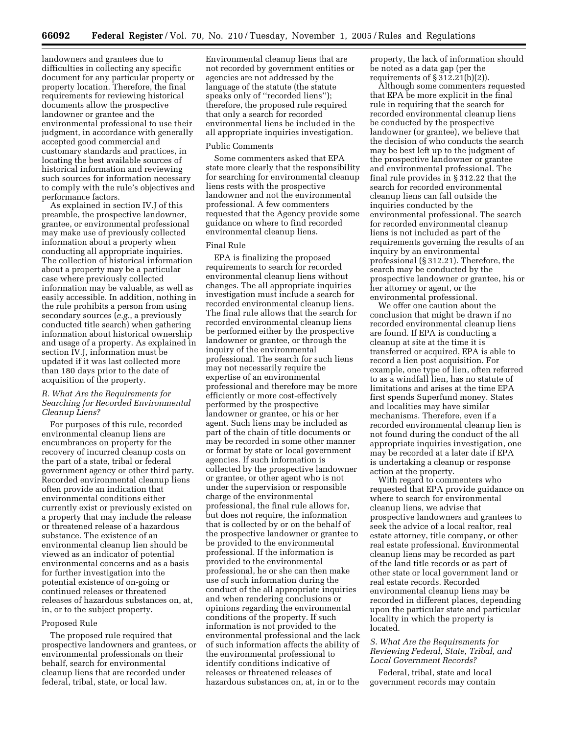landowners and grantees due to difficulties in collecting any specific document for any particular property or property location. Therefore, the final requirements for reviewing historical documents allow the prospective landowner or grantee and the environmental professional to use their judgment, in accordance with generally accepted good commercial and customary standards and practices, in locating the best available sources of historical information and reviewing such sources for information necessary to comply with the rule's objectives and performance factors.

As explained in section IV.J of this preamble, the prospective landowner, grantee, or environmental professional may make use of previously collected information about a property when conducting all appropriate inquiries. The collection of historical information about a property may be a particular case where previously collected information may be valuable, as well as easily accessible. In addition, nothing in the rule prohibits a person from using secondary sources (*e.g.*, a previously conducted title search) when gathering information about historical ownership and usage of a property. As explained in section IV.J, information must be updated if it was last collected more than 180 days prior to the date of acquisition of the property.

## *R. What Are the Requirements for Searching for Recorded Environmental Cleanup Liens?*

For purposes of this rule, recorded environmental cleanup liens are encumbrances on property for the recovery of incurred cleanup costs on the part of a state, tribal or federal government agency or other third party. Recorded environmental cleanup liens often provide an indication that environmental conditions either currently exist or previously existed on a property that may include the release or threatened release of a hazardous substance. The existence of an environmental cleanup lien should be viewed as an indicator of potential environmental concerns and as a basis for further investigation into the potential existence of on-going or continued releases or threatened releases of hazardous substances on, at, in, or to the subject property.

#### Proposed Rule

The proposed rule required that prospective landowners and grantees, or environmental professionals on their behalf, search for environmental cleanup liens that are recorded under federal, tribal, state, or local law.

Environmental cleanup liens that are not recorded by government entities or agencies are not addressed by the language of the statute (the statute speaks only of ''recorded liens''); therefore, the proposed rule required that only a search for recorded environmental liens be included in the all appropriate inquiries investigation.

#### Public Comments

Some commenters asked that EPA state more clearly that the responsibility for searching for environmental cleanup liens rests with the prospective landowner and not the environmental professional. A few commenters requested that the Agency provide some guidance on where to find recorded environmental cleanup liens.

#### Final Rule

EPA is finalizing the proposed requirements to search for recorded environmental cleanup liens without changes. The all appropriate inquiries investigation must include a search for recorded environmental cleanup liens. The final rule allows that the search for recorded environmental cleanup liens be performed either by the prospective landowner or grantee, or through the inquiry of the environmental professional. The search for such liens may not necessarily require the expertise of an environmental professional and therefore may be more efficiently or more cost-effectively performed by the prospective landowner or grantee, or his or her agent. Such liens may be included as part of the chain of title documents or may be recorded in some other manner or format by state or local government agencies. If such information is collected by the prospective landowner or grantee, or other agent who is not under the supervision or responsible charge of the environmental professional, the final rule allows for, but does not require, the information that is collected by or on the behalf of the prospective landowner or grantee to be provided to the environmental professional. If the information is provided to the environmental professional, he or she can then make use of such information during the conduct of the all appropriate inquiries and when rendering conclusions or opinions regarding the environmental conditions of the property. If such information is not provided to the environmental professional and the lack of such information affects the ability of the environmental professional to identify conditions indicative of releases or threatened releases of hazardous substances on, at, in or to the

property, the lack of information should be noted as a data gap (per the requirements of  $\S 312.21(b)(2)$ .

Although some commenters requested that EPA be more explicit in the final rule in requiring that the search for recorded environmental cleanup liens be conducted by the prospective landowner (or grantee), we believe that the decision of who conducts the search may be best left up to the judgment of the prospective landowner or grantee and environmental professional. The final rule provides in § 312.22 that the search for recorded environmental cleanup liens can fall outside the inquiries conducted by the environmental professional. The search for recorded environmental cleanup liens is not included as part of the requirements governing the results of an inquiry by an environmental professional (§ 312.21). Therefore, the search may be conducted by the prospective landowner or grantee, his or her attorney or agent, or the environmental professional.

We offer one caution about the conclusion that might be drawn if no recorded environmental cleanup liens are found. If EPA is conducting a cleanup at site at the time it is transferred or acquired, EPA is able to record a lien post acquisition. For example, one type of lien, often referred to as a windfall lien, has no statute of limitations and arises at the time EPA first spends Superfund money. States and localities may have similar mechanisms. Therefore, even if a recorded environmental cleanup lien is not found during the conduct of the all appropriate inquiries investigation, one may be recorded at a later date if EPA is undertaking a cleanup or response action at the property.

With regard to commenters who requested that EPA provide guidance on where to search for environmental cleanup liens, we advise that prospective landowners and grantees to seek the advice of a local realtor, real estate attorney, title company, or other real estate professional. Environmental cleanup liens may be recorded as part of the land title records or as part of other state or local government land or real estate records. Recorded environmental cleanup liens may be recorded in different places, depending upon the particular state and particular locality in which the property is located.

## *S. What Are the Requirements for Reviewing Federal, State, Tribal, and Local Government Records?*

Federal, tribal, state and local government records may contain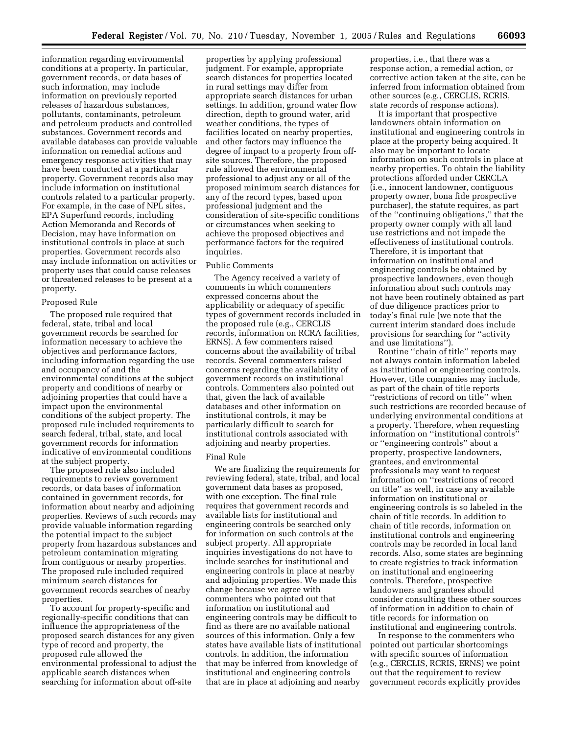information regarding environmental conditions at a property. In particular, government records, or data bases of such information, may include information on previously reported releases of hazardous substances, pollutants, contaminants, petroleum and petroleum products and controlled substances. Government records and available databases can provide valuable information on remedial actions and emergency response activities that may have been conducted at a particular property. Government records also may include information on institutional controls related to a particular property. For example, in the case of NPL sites, EPA Superfund records, including Action Memoranda and Records of Decision, may have information on institutional controls in place at such properties. Government records also may include information on activities or property uses that could cause releases or threatened releases to be present at a property.

#### Proposed Rule

The proposed rule required that federal, state, tribal and local government records be searched for information necessary to achieve the objectives and performance factors, including information regarding the use and occupancy of and the environmental conditions at the subject property and conditions of nearby or adjoining properties that could have a impact upon the environmental conditions of the subject property. The proposed rule included requirements to search federal, tribal, state, and local government records for information indicative of environmental conditions at the subject property.

The proposed rule also included requirements to review government records, or data bases of information contained in government records, for information about nearby and adjoining properties. Reviews of such records may provide valuable information regarding the potential impact to the subject property from hazardous substances and petroleum contamination migrating from contiguous or nearby properties. The proposed rule included required minimum search distances for government records searches of nearby properties.

To account for property-specific and regionally-specific conditions that can influence the appropriateness of the proposed search distances for any given type of record and property, the proposed rule allowed the environmental professional to adjust the applicable search distances when searching for information about off-site

properties by applying professional judgment. For example, appropriate search distances for properties located in rural settings may differ from appropriate search distances for urban settings. In addition, ground water flow direction, depth to ground water, arid weather conditions, the types of facilities located on nearby properties, and other factors may influence the degree of impact to a property from offsite sources. Therefore, the proposed rule allowed the environmental professional to adjust any or all of the proposed minimum search distances for any of the record types, based upon professional judgment and the consideration of site-specific conditions or circumstances when seeking to achieve the proposed objectives and performance factors for the required inquiries.

#### Public Comments

The Agency received a variety of comments in which commenters expressed concerns about the applicability or adequacy of specific types of government records included in the proposed rule (e.g., CERCLIS records, information on RCRA facilities, ERNS). A few commenters raised concerns about the availability of tribal records. Several commenters raised concerns regarding the availability of government records on institutional controls. Commenters also pointed out that, given the lack of available databases and other information on institutional controls, it may be particularly difficult to search for institutional controls associated with adjoining and nearby properties.

## Final Rule

We are finalizing the requirements for reviewing federal, state, tribal, and local government data bases as proposed, with one exception. The final rule requires that government records and available lists for institutional and engineering controls be searched only for information on such controls at the subject property. All appropriate inquiries investigations do not have to include searches for institutional and engineering controls in place at nearby and adjoining properties. We made this change because we agree with commenters who pointed out that information on institutional and engineering controls may be difficult to find as there are no available national sources of this information. Only a few states have available lists of institutional controls. In addition, the information that may be inferred from knowledge of institutional and engineering controls that are in place at adjoining and nearby

properties, i.e., that there was a response action, a remedial action, or corrective action taken at the site, can be inferred from information obtained from other sources (e.g., CERCLIS, RCRIS, state records of response actions).

It is important that prospective landowners obtain information on institutional and engineering controls in place at the property being acquired. It also may be important to locate information on such controls in place at nearby properties. To obtain the liability protections afforded under CERCLA (i.e., innocent landowner, contiguous property owner, bona fide prospective purchaser), the statute requires, as part of the ''continuing obligations,'' that the property owner comply with all land use restrictions and not impede the effectiveness of institutional controls. Therefore, it is important that information on institutional and engineering controls be obtained by prospective landowners, even though information about such controls may not have been routinely obtained as part of due diligence practices prior to today's final rule (we note that the current interim standard does include provisions for searching for ''activity and use limitations'').

Routine ''chain of title'' reports may not always contain information labeled as institutional or engineering controls. However, title companies may include, as part of the chain of title reports ''restrictions of record on title'' when such restrictions are recorded because of underlying environmental conditions at a property. Therefore, when requesting information on ''institutional controls'' or ''engineering controls'' about a property, prospective landowners, grantees, and environmental professionals may want to request information on ''restrictions of record on title'' as well, in case any available information on institutional or engineering controls is so labeled in the chain of title records. In addition to chain of title records, information on institutional controls and engineering controls may be recorded in local land records. Also, some states are beginning to create registries to track information on institutional and engineering controls. Therefore, prospective landowners and grantees should consider consulting these other sources of information in addition to chain of title records for information on institutional and engineering controls.

In response to the commenters who pointed out particular shortcomings with specific sources of information (e.g., CERCLIS, RCRIS, ERNS) we point out that the requirement to review government records explicitly provides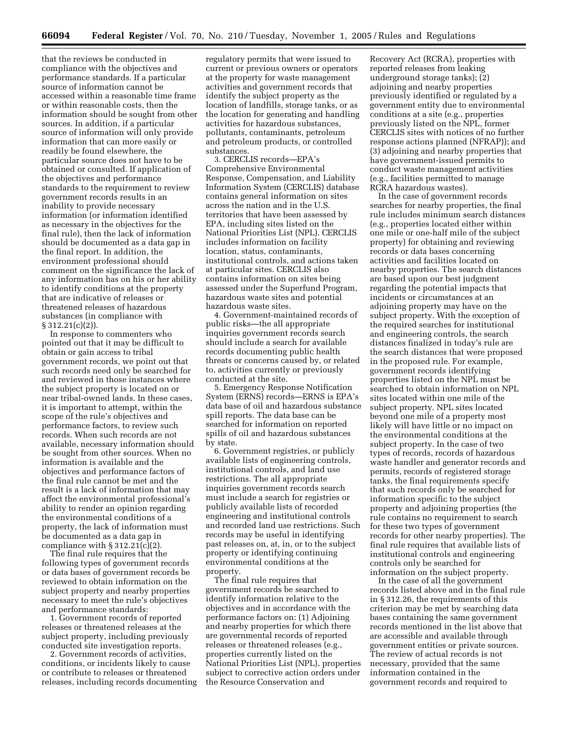that the reviews be conducted in compliance with the objectives and performance standards. If a particular source of information cannot be accessed within a reasonable time frame or within reasonable costs, then the information should be sought from other sources. In addition, if a particular source of information will only provide information that can more easily or readily be found elsewhere, the particular source does not have to be obtained or consulted. If application of the objectives and performance standards to the requirement to review government records results in an inability to provide necessary information (or information identified as necessary in the objectives for the final rule), then the lack of information should be documented as a data gap in the final report. In addition, the environment professional should comment on the significance the lack of any information has on his or her ability to identify conditions at the property that are indicative of releases or threatened releases of hazardous substances (in compliance with § 312.21(c)(2)).

In response to commenters who pointed out that it may be difficult to obtain or gain access to tribal government records, we point out that such records need only be searched for and reviewed in those instances where the subject property is located on or near tribal-owned lands. In these cases, it is important to attempt, within the scope of the rule's objectives and performance factors, to review such records. When such records are not available, necessary information should be sought from other sources. When no information is available and the objectives and performance factors of the final rule cannot be met and the result is a lack of information that may affect the environmental professional's ability to render an opinion regarding the environmental conditions of a property, the lack of information must be documented as a data gap in compliance with  $\S 312.21(c)(2)$ .

The final rule requires that the following types of government records or data bases of government records be reviewed to obtain information on the subject property and nearby properties necessary to meet the rule's objectives and performance standards:

1. Government records of reported releases or threatened releases at the subject property, including previously conducted site investigation reports.

2. Government records of activities, conditions, or incidents likely to cause or contribute to releases or threatened releases, including records documenting

regulatory permits that were issued to current or previous owners or operators at the property for waste management activities and government records that identify the subject property as the location of landfills, storage tanks, or as the location for generating and handling activities for hazardous substances, pollutants, contaminants, petroleum and petroleum products, or controlled substances.

3. CERCLIS records—EPA's Comprehensive Environmental Response, Compensation, and Liability Information System (CERCLIS) database contains general information on sites across the nation and in the U.S. territories that have been assessed by EPA, including sites listed on the National Priorities List (NPL). CERCLIS includes information on facility location, status, contaminants, institutional controls, and actions taken at particular sites. CERCLIS also contains information on sites being assessed under the Superfund Program, hazardous waste sites and potential hazardous waste sites.

4. Government-maintained records of public risks—the all appropriate inquiries government records search should include a search for available records documenting public health threats or concerns caused by, or related to, activities currently or previously conducted at the site.

5. Emergency Response Notification System (ERNS) records—ERNS is EPA's data base of oil and hazardous substance spill reports. The data base can be searched for information on reported spills of oil and hazardous substances by state.

6. Government registries, or publicly available lists of engineering controls, institutional controls, and land use restrictions. The all appropriate inquiries government records search must include a search for registries or publicly available lists of recorded engineering and institutional controls and recorded land use restrictions. Such records may be useful in identifying past releases on, at, in, or to the subject property or identifying continuing environmental conditions at the property.

The final rule requires that government records be searched to identify information relative to the objectives and in accordance with the performance factors on: (1) Adjoining and nearby properties for which there are governmental records of reported releases or threatened releases (e.g., properties currently listed on the National Priorities List (NPL), properties subject to corrective action orders under the Resource Conservation and

Recovery Act (RCRA), properties with reported releases from leaking underground storage tanks); (2) adjoining and nearby properties previously identified or regulated by a government entity due to environmental conditions at a site (e.g., properties previously listed on the NPL, former CERCLIS sites with notices of no further response actions planned (NFRAP)); and (3) adjoining and nearby properties that have government-issued permits to conduct waste management activities (e.g., facilities permitted to manage RCRA hazardous wastes).

In the case of government records searches for nearby properties, the final rule includes minimum search distances (e.g., properties located either within one mile or one-half mile of the subject property) for obtaining and reviewing records or data bases concerning activities and facilities located on nearby properties. The search distances are based upon our best judgment regarding the potential impacts that incidents or circumstances at an adjoining property may have on the subject property. With the exception of the required searches for institutional and engineering controls, the search distances finalized in today's rule are the search distances that were proposed in the proposed rule. For example, government records identifying properties listed on the NPL must be searched to obtain information on NPL sites located within one mile of the subject property. NPL sites located beyond one mile of a property most likely will have little or no impact on the environmental conditions at the subject property. In the case of two types of records, records of hazardous waste handler and generator records and permits, records of registered storage tanks, the final requirements specify that such records only be searched for information specific to the subject property and adjoining properties (the rule contains no requirement to search for these two types of government records for other nearby properties). The final rule requires that available lists of institutional controls and engineering controls only be searched for information on the subject property.

In the case of all the government records listed above and in the final rule in § 312.26, the requirements of this criterion may be met by searching data bases containing the same government records mentioned in the list above that are accessible and available through government entities or private sources. The review of actual records is not necessary, provided that the same information contained in the government records and required to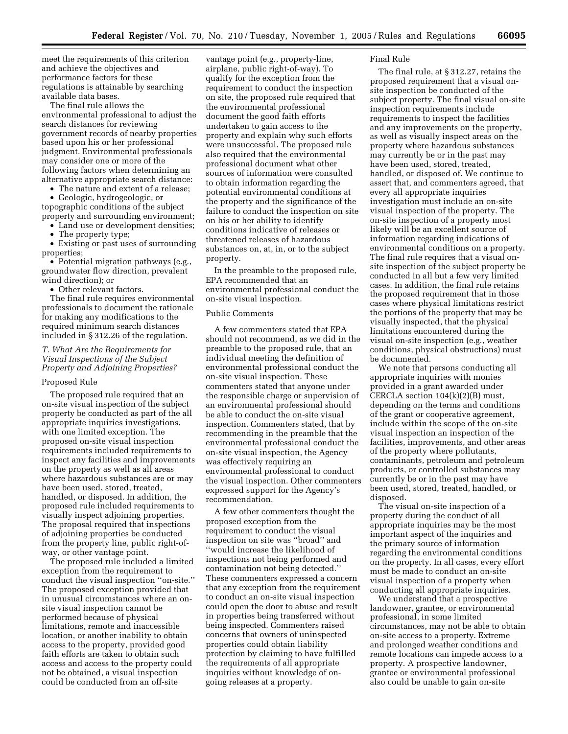meet the requirements of this criterion and achieve the objectives and performance factors for these regulations is attainable by searching available data bases.

The final rule allows the environmental professional to adjust the search distances for reviewing government records of nearby properties based upon his or her professional judgment. Environmental professionals may consider one or more of the following factors when determining an alternative appropriate search distance:

• The nature and extent of a release;

• Geologic, hydrogeologic, or topographic conditions of the subject property and surrounding environment;

• Land use or development densities;

• The property type;

• Existing or past uses of surrounding properties;

• Potential migration pathways (e.g., groundwater flow direction, prevalent wind direction); or

• Other relevant factors.

The final rule requires environmental professionals to document the rationale for making any modifications to the required minimum search distances included in § 312.26 of the regulation.

## *T. What Are the Requirements for Visual Inspections of the Subject Property and Adjoining Properties?*

#### Proposed Rule

The proposed rule required that an on-site visual inspection of the subject property be conducted as part of the all appropriate inquiries investigations, with one limited exception. The proposed on-site visual inspection requirements included requirements to inspect any facilities and improvements on the property as well as all areas where hazardous substances are or may have been used, stored, treated, handled, or disposed. In addition, the proposed rule included requirements to visually inspect adjoining properties. The proposal required that inspections of adjoining properties be conducted from the property line, public right-ofway, or other vantage point.

The proposed rule included a limited exception from the requirement to conduct the visual inspection ''on-site.'' The proposed exception provided that in unusual circumstances where an onsite visual inspection cannot be performed because of physical limitations, remote and inaccessible location, or another inability to obtain access to the property, provided good faith efforts are taken to obtain such access and access to the property could not be obtained, a visual inspection could be conducted from an off-site

vantage point (e.g., property-line, airplane, public right-of-way). To qualify for the exception from the requirement to conduct the inspection on site, the proposed rule required that the environmental professional document the good faith efforts undertaken to gain access to the property and explain why such efforts were unsuccessful. The proposed rule also required that the environmental professional document what other sources of information were consulted to obtain information regarding the potential environmental conditions at the property and the significance of the failure to conduct the inspection on site on his or her ability to identify conditions indicative of releases or threatened releases of hazardous substances on, at, in, or to the subject property.

In the preamble to the proposed rule, EPA recommended that an environmental professional conduct the on-site visual inspection.

## Public Comments

A few commenters stated that EPA should not recommend, as we did in the preamble to the proposed rule, that an individual meeting the definition of environmental professional conduct the on-site visual inspection. These commenters stated that anyone under the responsible charge or supervision of an environmental professional should be able to conduct the on-site visual inspection. Commenters stated, that by recommending in the preamble that the environmental professional conduct the on-site visual inspection, the Agency was effectively requiring an environmental professional to conduct the visual inspection. Other commenters expressed support for the Agency's recommendation.

A few other commenters thought the proposed exception from the requirement to conduct the visual inspection on site was ''broad'' and ''would increase the likelihood of inspections not being performed and contamination not being detected.'' These commenters expressed a concern that any exception from the requirement to conduct an on-site visual inspection could open the door to abuse and result in properties being transferred without being inspected. Commenters raised concerns that owners of uninspected properties could obtain liability protection by claiming to have fulfilled the requirements of all appropriate inquiries without knowledge of ongoing releases at a property.

#### Final Rule

The final rule, at § 312.27, retains the proposed requirement that a visual onsite inspection be conducted of the subject property. The final visual on-site inspection requirements include requirements to inspect the facilities and any improvements on the property, as well as visually inspect areas on the property where hazardous substances may currently be or in the past may have been used, stored, treated, handled, or disposed of. We continue to assert that, and commenters agreed, that every all appropriate inquiries investigation must include an on-site visual inspection of the property. The on-site inspection of a property most likely will be an excellent source of information regarding indications of environmental conditions on a property. The final rule requires that a visual onsite inspection of the subject property be conducted in all but a few very limited cases. In addition, the final rule retains the proposed requirement that in those cases where physical limitations restrict the portions of the property that may be visually inspected, that the physical limitations encountered during the visual on-site inspection (e.g., weather conditions, physical obstructions) must be documented.

We note that persons conducting all appropriate inquiries with monies provided in a grant awarded under CERCLA section 104(k)(2)(B) must, depending on the terms and conditions of the grant or cooperative agreement, include within the scope of the on-site visual inspection an inspection of the facilities, improvements, and other areas of the property where pollutants, contaminants, petroleum and petroleum products, or controlled substances may currently be or in the past may have been used, stored, treated, handled, or disposed.

The visual on-site inspection of a property during the conduct of all appropriate inquiries may be the most important aspect of the inquiries and the primary source of information regarding the environmental conditions on the property. In all cases, every effort must be made to conduct an on-site visual inspection of a property when conducting all appropriate inquiries.

We understand that a prospective landowner, grantee, or environmental professional, in some limited circumstances, may not be able to obtain on-site access to a property. Extreme and prolonged weather conditions and remote locations can impede access to a property. A prospective landowner, grantee or environmental professional also could be unable to gain on-site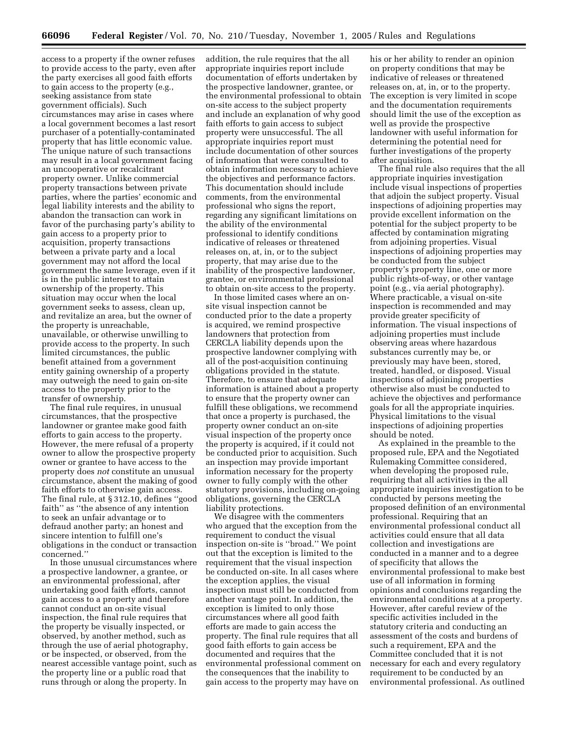access to a property if the owner refuses to provide access to the party, even after the party exercises all good faith efforts to gain access to the property (e.g., seeking assistance from state government officials). Such circumstances may arise in cases where a local government becomes a last resort purchaser of a potentially-contaminated property that has little economic value. The unique nature of such transactions may result in a local government facing an uncooperative or recalcitrant property owner. Unlike commercial property transactions between private parties, where the parties' economic and legal liability interests and the ability to abandon the transaction can work in favor of the purchasing party's ability to gain access to a property prior to acquisition, property transactions between a private party and a local government may not afford the local government the same leverage, even if it is in the public interest to attain ownership of the property. This situation may occur when the local government seeks to assess, clean up, and revitalize an area, but the owner of the property is unreachable, unavailable, or otherwise unwilling to provide access to the property. In such limited circumstances, the public benefit attained from a government entity gaining ownership of a property may outweigh the need to gain on-site access to the property prior to the transfer of ownership.

The final rule requires, in unusual circumstances, that the prospective landowner or grantee make good faith efforts to gain access to the property. However, the mere refusal of a property owner to allow the prospective property owner or grantee to have access to the property does *not* constitute an unusual circumstance, absent the making of good faith efforts to otherwise gain access. The final rule, at § 312.10, defines ''good faith'' as ''the absence of any intention to seek an unfair advantage or to defraud another party; an honest and sincere intention to fulfill one's obligations in the conduct or transaction concerned.''

In those unusual circumstances where a prospective landowner, a grantee, or an environmental professional, after undertaking good faith efforts, cannot gain access to a property and therefore cannot conduct an on-site visual inspection, the final rule requires that the property be visually inspected, or observed, by another method, such as through the use of aerial photography, or be inspected, or observed, from the nearest accessible vantage point, such as the property line or a public road that runs through or along the property. In

addition, the rule requires that the all appropriate inquiries report include documentation of efforts undertaken by the prospective landowner, grantee, or the environmental professional to obtain on-site access to the subject property and include an explanation of why good faith efforts to gain access to subject property were unsuccessful. The all appropriate inquiries report must include documentation of other sources of information that were consulted to obtain information necessary to achieve the objectives and performance factors. This documentation should include comments, from the environmental professional who signs the report, regarding any significant limitations on the ability of the environmental professional to identify conditions indicative of releases or threatened releases on, at, in, or to the subject property, that may arise due to the inability of the prospective landowner, grantee, or environmental professional to obtain on-site access to the property.

In those limited cases where an onsite visual inspection cannot be conducted prior to the date a property is acquired, we remind prospective landowners that protection from CERCLA liability depends upon the prospective landowner complying with all of the post-acquisition continuing obligations provided in the statute. Therefore, to ensure that adequate information is attained about a property to ensure that the property owner can fulfill these obligations, we recommend that once a property is purchased, the property owner conduct an on-site visual inspection of the property once the property is acquired, if it could not be conducted prior to acquisition. Such an inspection may provide important information necessary for the property owner to fully comply with the other statutory provisions, including on-going obligations, governing the CERCLA liability protections.

We disagree with the commenters who argued that the exception from the requirement to conduct the visual inspection on-site is ''broad.'' We point out that the exception is limited to the requirement that the visual inspection be conducted on-site. In all cases where the exception applies, the visual inspection must still be conducted from another vantage point. In addition, the exception is limited to only those circumstances where all good faith efforts are made to gain access the property. The final rule requires that all good faith efforts to gain access be documented and requires that the environmental professional comment on the consequences that the inability to gain access to the property may have on

his or her ability to render an opinion on property conditions that may be indicative of releases or threatened releases on, at, in, or to the property. The exception is very limited in scope and the documentation requirements should limit the use of the exception as well as provide the prospective landowner with useful information for determining the potential need for further investigations of the property after acquisition.

The final rule also requires that the all appropriate inquiries investigation include visual inspections of properties that adjoin the subject property. Visual inspections of adjoining properties may provide excellent information on the potential for the subject property to be affected by contamination migrating from adjoining properties. Visual inspections of adjoining properties may be conducted from the subject property's property line, one or more public rights-of-way, or other vantage point (e.g., via aerial photography). Where practicable, a visual on-site inspection is recommended and may provide greater specificity of information. The visual inspections of adjoining properties must include observing areas where hazardous substances currently may be, or previously may have been, stored, treated, handled, or disposed. Visual inspections of adjoining properties otherwise also must be conducted to achieve the objectives and performance goals for all the appropriate inquiries. Physical limitations to the visual inspections of adjoining properties should be noted.

As explained in the preamble to the proposed rule, EPA and the Negotiated Rulemaking Committee considered, when developing the proposed rule, requiring that all activities in the all appropriate inquiries investigation to be conducted by persons meeting the proposed definition of an environmental professional. Requiring that an environmental professional conduct all activities could ensure that all data collection and investigations are conducted in a manner and to a degree of specificity that allows the environmental professional to make best use of all information in forming opinions and conclusions regarding the environmental conditions at a property. However, after careful review of the specific activities included in the statutory criteria and conducting an assessment of the costs and burdens of such a requirement, EPA and the Committee concluded that it is not necessary for each and every regulatory requirement to be conducted by an environmental professional. As outlined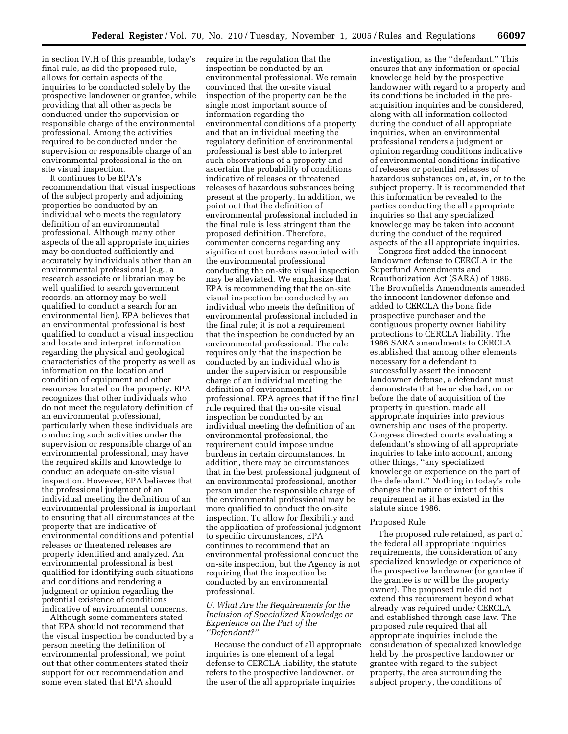in section IV.H of this preamble, today's final rule, as did the proposed rule, allows for certain aspects of the inquiries to be conducted solely by the prospective landowner or grantee, while providing that all other aspects be conducted under the supervision or responsible charge of the environmental professional. Among the activities required to be conducted under the supervision or responsible charge of an environmental professional is the onsite visual inspection.

It continues to be EPA's recommendation that visual inspections of the subject property and adjoining properties be conducted by an individual who meets the regulatory definition of an environmental professional. Although many other aspects of the all appropriate inquiries may be conducted sufficiently and accurately by individuals other than an environmental professional (e.g., a research associate or librarian may be well qualified to search government records, an attorney may be well qualified to conduct a search for an environmental lien), EPA believes that an environmental professional is best qualified to conduct a visual inspection and locate and interpret information regarding the physical and geological characteristics of the property as well as information on the location and condition of equipment and other resources located on the property. EPA recognizes that other individuals who do not meet the regulatory definition of an environmental professional, particularly when these individuals are conducting such activities under the supervision or responsible charge of an environmental professional, may have the required skills and knowledge to conduct an adequate on-site visual inspection. However, EPA believes that the professional judgment of an individual meeting the definition of an environmental professional is important to ensuring that all circumstances at the property that are indicative of environmental conditions and potential releases or threatened releases are properly identified and analyzed. An environmental professional is best qualified for identifying such situations and conditions and rendering a judgment or opinion regarding the potential existence of conditions indicative of environmental concerns.

Although some commenters stated that EPA should not recommend that the visual inspection be conducted by a person meeting the definition of environmental professional, we point out that other commenters stated their support for our recommendation and some even stated that EPA should

require in the regulation that the inspection be conducted by an environmental professional. We remain convinced that the on-site visual inspection of the property can be the single most important source of information regarding the environmental conditions of a property and that an individual meeting the regulatory definition of environmental professional is best able to interpret such observations of a property and ascertain the probability of conditions indicative of releases or threatened releases of hazardous substances being present at the property. In addition, we point out that the definition of environmental professional included in the final rule is less stringent than the proposed definition. Therefore, commenter concerns regarding any significant cost burdens associated with the environmental professional conducting the on-site visual inspection may be alleviated. We emphasize that EPA is recommending that the on-site visual inspection be conducted by an individual who meets the definition of environmental professional included in the final rule; it is not a requirement that the inspection be conducted by an environmental professional. The rule requires only that the inspection be conducted by an individual who is under the supervision or responsible charge of an individual meeting the definition of environmental professional. EPA agrees that if the final rule required that the on-site visual inspection be conducted by an individual meeting the definition of an environmental professional, the requirement could impose undue burdens in certain circumstances. In addition, there may be circumstances that in the best professional judgment of an environmental professional, another person under the responsible charge of the environmental professional may be more qualified to conduct the on-site inspection. To allow for flexibility and the application of professional judgment to specific circumstances, EPA continues to recommend that an environmental professional conduct the on-site inspection, but the Agency is not requiring that the inspection be conducted by an environmental professional.

## *U. What Are the Requirements for the Inclusion of Specialized Knowledge or Experience on the Part of the ''Defendant?''*

Because the conduct of all appropriate inquiries is one element of a legal defense to CERCLA liability, the statute refers to the prospective landowner, or the user of the all appropriate inquiries

investigation, as the ''defendant.'' This ensures that any information or special knowledge held by the prospective landowner with regard to a property and its conditions be included in the preacquisition inquiries and be considered, along with all information collected during the conduct of all appropriate inquiries, when an environmental professional renders a judgment or opinion regarding conditions indicative of environmental conditions indicative of releases or potential releases of hazardous substances on, at, in, or to the subject property. It is recommended that this information be revealed to the parties conducting the all appropriate inquiries so that any specialized knowledge may be taken into account during the conduct of the required aspects of the all appropriate inquiries.

Congress first added the innocent landowner defense to CERCLA in the Superfund Amendments and Reauthorization Act (SARA) of 1986. The Brownfields Amendments amended the innocent landowner defense and added to CERCLA the bona fide prospective purchaser and the contiguous property owner liability protections to CERCLA liability. The 1986 SARA amendments to CERCLA established that among other elements necessary for a defendant to successfully assert the innocent landowner defense, a defendant must demonstrate that he or she had, on or before the date of acquisition of the property in question, made all appropriate inquiries into previous ownership and uses of the property. Congress directed courts evaluating a defendant's showing of all appropriate inquiries to take into account, among other things, ''any specialized knowledge or experience on the part of the defendant.'' Nothing in today's rule changes the nature or intent of this requirement as it has existed in the statute since 1986.

#### Proposed Rule

The proposed rule retained, as part of the federal all appropriate inquiries requirements, the consideration of any specialized knowledge or experience of the prospective landowner (or grantee if the grantee is or will be the property owner). The proposed rule did not extend this requirement beyond what already was required under CERCLA and established through case law. The proposed rule required that all appropriate inquiries include the consideration of specialized knowledge held by the prospective landowner or grantee with regard to the subject property, the area surrounding the subject property, the conditions of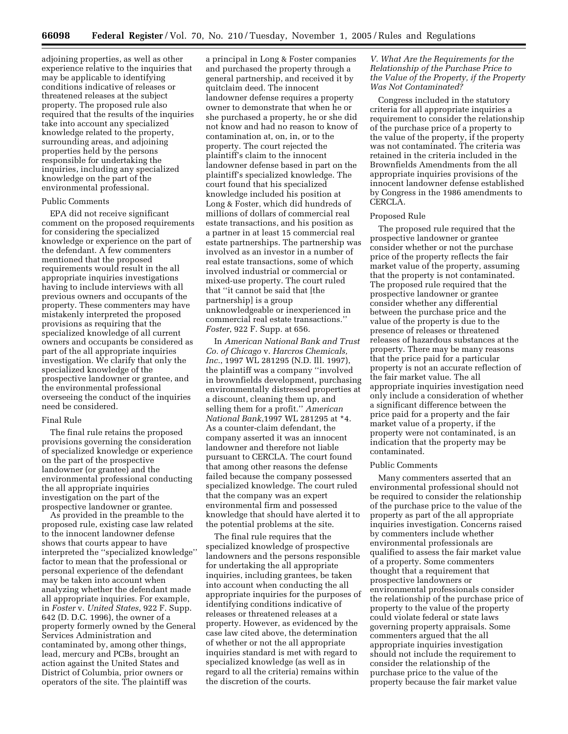adjoining properties, as well as other experience relative to the inquiries that may be applicable to identifying conditions indicative of releases or threatened releases at the subject property. The proposed rule also required that the results of the inquiries take into account any specialized knowledge related to the property, surrounding areas, and adjoining properties held by the persons responsible for undertaking the inquiries, including any specialized knowledge on the part of the environmental professional.

#### Public Comments

EPA did not receive significant comment on the proposed requirements for considering the specialized knowledge or experience on the part of the defendant. A few commenters mentioned that the proposed requirements would result in the all appropriate inquiries investigations having to include interviews with all previous owners and occupants of the property. These commenters may have mistakenly interpreted the proposed provisions as requiring that the specialized knowledge of all current owners and occupants be considered as part of the all appropriate inquiries investigation. We clarify that only the specialized knowledge of the prospective landowner or grantee, and the environmental professional overseeing the conduct of the inquiries need be considered.

## Final Rule

The final rule retains the proposed provisions governing the consideration of specialized knowledge or experience on the part of the prospective landowner (or grantee) and the environmental professional conducting the all appropriate inquiries investigation on the part of the prospective landowner or grantee.

As provided in the preamble to the proposed rule, existing case law related to the innocent landowner defense shows that courts appear to have interpreted the ''specialized knowledge'' factor to mean that the professional or personal experience of the defendant may be taken into account when analyzing whether the defendant made all appropriate inquiries. For example, in *Foster* v. *United States*, 922 F. Supp. 642 (D. D.C. 1996), the owner of a property formerly owned by the General Services Administration and contaminated by, among other things, lead, mercury and PCBs, brought an action against the United States and District of Columbia, prior owners or operators of the site. The plaintiff was

a principal in Long & Foster companies and purchased the property through a general partnership, and received it by quitclaim deed. The innocent landowner defense requires a property owner to demonstrate that when he or she purchased a property, he or she did not know and had no reason to know of contamination at, on, in, or to the property. The court rejected the plaintiff's claim to the innocent landowner defense based in part on the plaintiff's specialized knowledge. The court found that his specialized knowledge included his position at Long & Foster, which did hundreds of millions of dollars of commercial real estate transactions, and his position as a partner in at least 15 commercial real estate partnerships. The partnership was involved as an investor in a number of real estate transactions, some of which involved industrial or commercial or mixed-use property. The court ruled that ''it cannot be said that [the partnership] is a group unknowledgeable or inexperienced in commercial real estate transactions.'' *Foster*, 922 F. Supp. at 656.

In *American National Bank and Trust Co. of Chicago* v. *Harcros Chemicals, Inc.*, 1997 WL 281295 (N.D. Ill. 1997), the plaintiff was a company ''involved in brownfields development, purchasing environmentally distressed properties at a discount, cleaning them up, and selling them for a profit.'' *American National Bank*,1997 WL 281295 at \*4. As a counter-claim defendant, the company asserted it was an innocent landowner and therefore not liable pursuant to CERCLA. The court found that among other reasons the defense failed because the company possessed specialized knowledge. The court ruled that the company was an expert environmental firm and possessed knowledge that should have alerted it to the potential problems at the site.

The final rule requires that the specialized knowledge of prospective landowners and the persons responsible for undertaking the all appropriate inquiries, including grantees, be taken into account when conducting the all appropriate inquiries for the purposes of identifying conditions indicative of releases or threatened releases at a property. However, as evidenced by the case law cited above, the determination of whether or not the all appropriate inquiries standard is met with regard to specialized knowledge (as well as in regard to all the criteria) remains within the discretion of the courts.

## *V. What Are the Requirements for the Relationship of the Purchase Price to the Value of the Property, if the Property Was Not Contaminated?*

Congress included in the statutory criteria for all appropriate inquiries a requirement to consider the relationship of the purchase price of a property to the value of the property, if the property was not contaminated. The criteria was retained in the criteria included in the Brownfields Amendments from the all appropriate inquiries provisions of the innocent landowner defense established by Congress in the 1986 amendments to CERCLA.

#### Proposed Rule

The proposed rule required that the prospective landowner or grantee consider whether or not the purchase price of the property reflects the fair market value of the property, assuming that the property is not contaminated. The proposed rule required that the prospective landowner or grantee consider whether any differential between the purchase price and the value of the property is due to the presence of releases or threatened releases of hazardous substances at the property. There may be many reasons that the price paid for a particular property is not an accurate reflection of the fair market value. The all appropriate inquiries investigation need only include a consideration of whether a significant difference between the price paid for a property and the fair market value of a property, if the property were not contaminated, is an indication that the property may be contaminated.

#### Public Comments

Many commenters asserted that an environmental professional should not be required to consider the relationship of the purchase price to the value of the property as part of the all appropriate inquiries investigation. Concerns raised by commenters include whether environmental professionals are qualified to assess the fair market value of a property. Some commenters thought that a requirement that prospective landowners or environmental professionals consider the relationship of the purchase price of property to the value of the property could violate federal or state laws governing property appraisals. Some commenters argued that the all appropriate inquiries investigation should not include the requirement to consider the relationship of the purchase price to the value of the property because the fair market value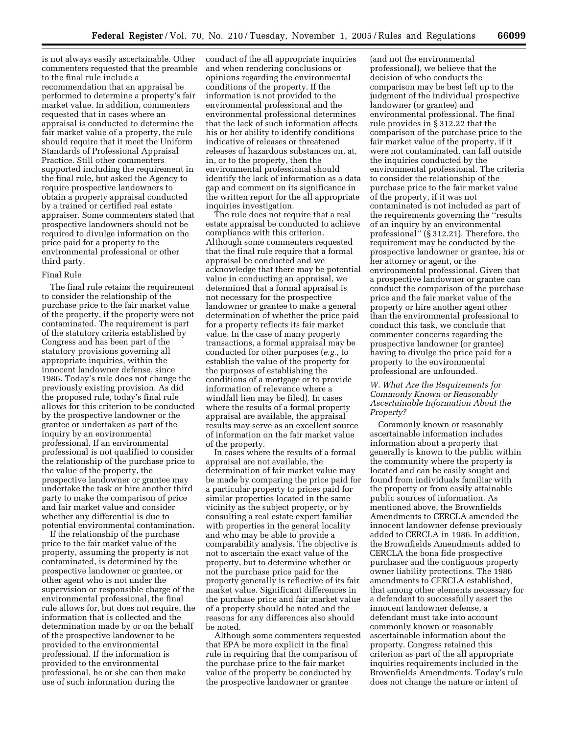is not always easily ascertainable. Other commenters requested that the preamble to the final rule include a recommendation that an appraisal be performed to determine a property's fair market value. In addition, commenters requested that in cases where an appraisal is conducted to determine the fair market value of a property, the rule should require that it meet the Uniform Standards of Professional Appraisal Practice. Still other commenters supported including the requirement in the final rule, but asked the Agency to require prospective landowners to obtain a property appraisal conducted by a trained or certified real estate appraiser. Some commenters stated that prospective landowners should not be required to divulge information on the price paid for a property to the environmental professional or other third party.

## Final Rule

The final rule retains the requirement to consider the relationship of the purchase price to the fair market value of the property, if the property were not contaminated. The requirement is part of the statutory criteria established by Congress and has been part of the statutory provisions governing all appropriate inquiries, within the innocent landowner defense, since 1986. Today's rule does not change the previously existing provision. As did the proposed rule, today's final rule allows for this criterion to be conducted by the prospective landowner or the grantee or undertaken as part of the inquiry by an environmental professional. If an environmental professional is not qualified to consider the relationship of the purchase price to the value of the property, the prospective landowner or grantee may undertake the task or hire another third party to make the comparison of price and fair market value and consider whether any differential is due to potential environmental contamination.

If the relationship of the purchase price to the fair market value of the property, assuming the property is not contaminated, is determined by the prospective landowner or grantee, or other agent who is not under the supervision or responsible charge of the environmental professional, the final rule allows for, but does not require, the information that is collected and the determination made by or on the behalf of the prospective landowner to be provided to the environmental professional. If the information is provided to the environmental professional, he or she can then make use of such information during the

conduct of the all appropriate inquiries and when rendering conclusions or opinions regarding the environmental conditions of the property. If the information is not provided to the environmental professional and the environmental professional determines that the lack of such information affects his or her ability to identify conditions indicative of releases or threatened releases of hazardous substances on, at, in, or to the property, then the environmental professional should identify the lack of information as a data gap and comment on its significance in the written report for the all appropriate inquiries investigation.

The rule does not require that a real estate appraisal be conducted to achieve compliance with this criterion. Although some commenters requested that the final rule require that a formal appraisal be conducted and we acknowledge that there may be potential value in conducting an appraisal, we determined that a formal appraisal is not necessary for the prospective landowner or grantee to make a general determination of whether the price paid for a property reflects its fair market value. In the case of many property transactions, a formal appraisal may be conducted for other purposes (*e.g.*, to establish the value of the property for the purposes of establishing the conditions of a mortgage or to provide information of relevance where a windfall lien may be filed). In cases where the results of a formal property appraisal are available, the appraisal results may serve as an excellent source of information on the fair market value of the property.

In cases where the results of a formal appraisal are not available, the determination of fair market value may be made by comparing the price paid for a particular property to prices paid for similar properties located in the same vicinity as the subject property, or by consulting a real estate expert familiar with properties in the general locality and who may be able to provide a comparability analysis. The objective is not to ascertain the exact value of the property, but to determine whether or not the purchase price paid for the property generally is reflective of its fair market value. Significant differences in the purchase price and fair market value of a property should be noted and the reasons for any differences also should be noted.

Although some commenters requested that EPA be more explicit in the final rule in requiring that the comparison of the purchase price to the fair market value of the property be conducted by the prospective landowner or grantee

(and not the environmental professional), we believe that the decision of who conducts the comparison may be best left up to the judgment of the individual prospective landowner (or grantee) and environmental professional. The final rule provides in § 312.22 that the comparison of the purchase price to the fair market value of the property, if it were not contaminated, can fall outside the inquiries conducted by the environmental professional. The criteria to consider the relationship of the purchase price to the fair market value of the property, if it was not contaminated is not included as part of the requirements governing the ''results of an inquiry by an environmental professional'' (§ 312.21). Therefore, the requirement may be conducted by the prospective landowner or grantee, his or her attorney or agent, or the environmental professional. Given that a prospective landowner or grantee can conduct the comparison of the purchase price and the fair market value of the property or hire another agent other than the environmental professional to conduct this task, we conclude that commenter concerns regarding the prospective landowner (or grantee) having to divulge the price paid for a property to the environmental professional are unfounded.

## *W. What Are the Requirements for Commonly Known or Reasonably Ascertainable Information About the Property?*

Commonly known or reasonably ascertainable information includes information about a property that generally is known to the public within the community where the property is located and can be easily sought and found from individuals familiar with the property or from easily attainable public sources of information. As mentioned above, the Brownfields Amendments to CERCLA amended the innocent landowner defense previously added to CERCLA in 1986. In addition, the Brownfields Amendments added to CERCLA the bona fide prospective purchaser and the contiguous property owner liability protections. The 1986 amendments to CERCLA established, that among other elements necessary for a defendant to successfully assert the innocent landowner defense, a defendant must take into account commonly known or reasonably ascertainable information about the property. Congress retained this criterion as part of the all appropriate inquiries requirements included in the Brownfields Amendments. Today's rule does not change the nature or intent of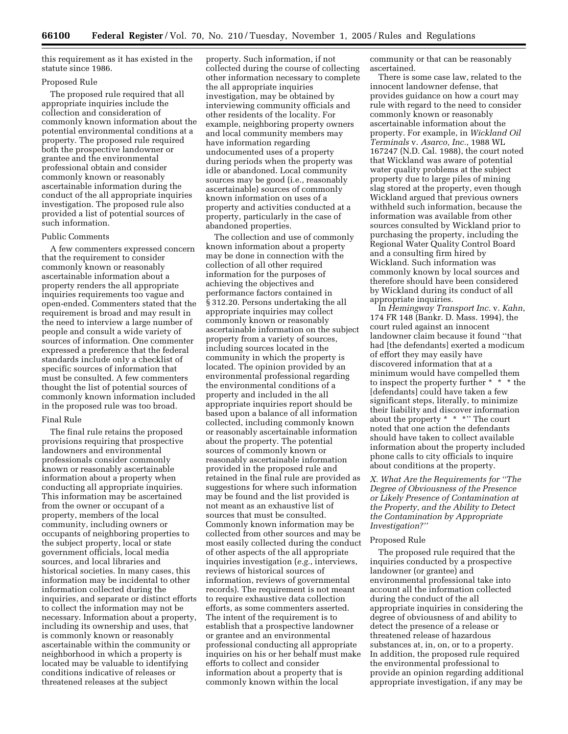this requirement as it has existed in the statute since 1986.

#### Proposed Rule

The proposed rule required that all appropriate inquiries include the collection and consideration of commonly known information about the potential environmental conditions at a property. The proposed rule required both the prospective landowner or grantee and the environmental professional obtain and consider commonly known or reasonably ascertainable information during the conduct of the all appropriate inquiries investigation. The proposed rule also provided a list of potential sources of such information.

#### Public Comments

A few commenters expressed concern that the requirement to consider commonly known or reasonably ascertainable information about a property renders the all appropriate inquiries requirements too vague and open-ended. Commenters stated that the requirement is broad and may result in the need to interview a large number of people and consult a wide variety of sources of information. One commenter expressed a preference that the federal standards include only a checklist of specific sources of information that must be consulted. A few commenters thought the list of potential sources of commonly known information included in the proposed rule was too broad.

#### Final Rule

The final rule retains the proposed provisions requiring that prospective landowners and environmental professionals consider commonly known or reasonably ascertainable information about a property when conducting all appropriate inquiries. This information may be ascertained from the owner or occupant of a property, members of the local community, including owners or occupants of neighboring properties to the subject property, local or state government officials, local media sources, and local libraries and historical societies. In many cases, this information may be incidental to other information collected during the inquiries, and separate or distinct efforts to collect the information may not be necessary. Information about a property, including its ownership and uses, that is commonly known or reasonably ascertainable within the community or neighborhood in which a property is located may be valuable to identifying conditions indicative of releases or threatened releases at the subject

property. Such information, if not collected during the course of collecting other information necessary to complete the all appropriate inquiries investigation, may be obtained by interviewing community officials and other residents of the locality. For example, neighboring property owners and local community members may have information regarding undocumented uses of a property during periods when the property was idle or abandoned. Local community sources may be good (i.e., reasonably ascertainable) sources of commonly known information on uses of a property and activities conducted at a property, particularly in the case of abandoned properties.

The collection and use of commonly known information about a property may be done in connection with the collection of all other required information for the purposes of achieving the objectives and performance factors contained in § 312.20. Persons undertaking the all appropriate inquiries may collect commonly known or reasonably ascertainable information on the subject property from a variety of sources, including sources located in the community in which the property is located. The opinion provided by an environmental professional regarding the environmental conditions of a property and included in the all appropriate inquiries report should be based upon a balance of all information collected, including commonly known or reasonably ascertainable information about the property. The potential sources of commonly known or reasonably ascertainable information provided in the proposed rule and retained in the final rule are provided as suggestions for where such information may be found and the list provided is not meant as an exhaustive list of sources that must be consulted. Commonly known information may be collected from other sources and may be most easily collected during the conduct of other aspects of the all appropriate inquiries investigation (*e.g.*, interviews, reviews of historical sources of information, reviews of governmental records). The requirement is not meant to require exhaustive data collection efforts, as some commenters asserted. The intent of the requirement is to establish that a prospective landowner or grantee and an environmental professional conducting all appropriate inquiries on his or her behalf must make efforts to collect and consider information about a property that is commonly known within the local

community or that can be reasonably ascertained.

There is some case law, related to the innocent landowner defense, that provides guidance on how a court may rule with regard to the need to consider commonly known or reasonably ascertainable information about the property. For example, in *Wickland Oil Terminals* v. *Asarco, Inc.*, 1988 WL 167247 (N.D. Cal. 1988), the court noted that Wickland was aware of potential water quality problems at the subject property due to large piles of mining slag stored at the property, even though Wickland argued that previous owners withheld such information, because the information was available from other sources consulted by Wickland prior to purchasing the property, including the Regional Water Quality Control Board and a consulting firm hired by Wickland. Such information was commonly known by local sources and therefore should have been considered by Wickland during its conduct of all appropriate inquiries.

In *Hemingway Transport Inc.* v. *Kahn*, 174 FR 148 (Bankr. D. Mass. 1994), the court ruled against an innocent landowner claim because it found ''that had [the defendants] exerted a modicum of effort they may easily have discovered information that at a minimum would have compelled them to inspect the property further \* \* \* the [defendants] could have taken a few significant steps, literally, to minimize their liability and discover information about the property \* \* \*'' The court noted that one action the defendants should have taken to collect available information about the property included phone calls to city officials to inquire about conditions at the property.

*X. What Are the Requirements for ''The Degree of Obviousness of the Presence or Likely Presence of Contamination at the Property, and the Ability to Detect the Contamination by Appropriate Investigation?''* 

#### Proposed Rule

The proposed rule required that the inquiries conducted by a prospective landowner (or grantee) and environmental professional take into account all the information collected during the conduct of the all appropriate inquiries in considering the degree of obviousness of and ability to detect the presence of a release or threatened release of hazardous substances at, in, on, or to a property. In addition, the proposed rule required the environmental professional to provide an opinion regarding additional appropriate investigation, if any may be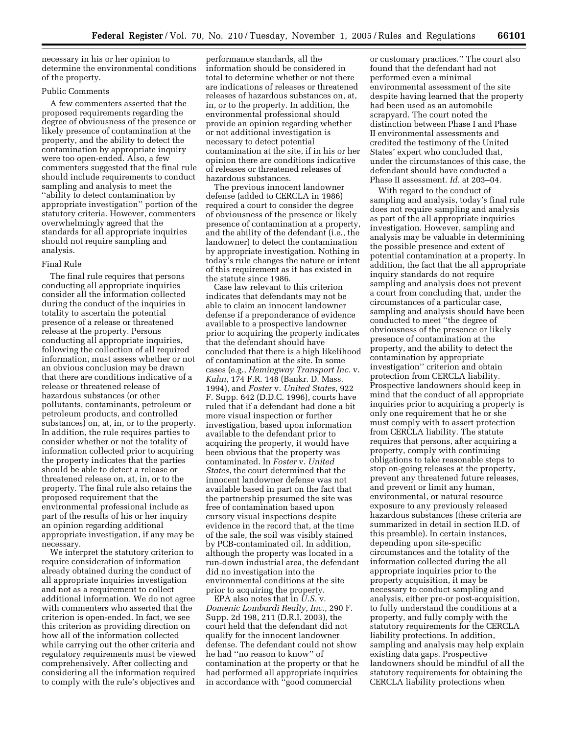necessary in his or her opinion to determine the environmental conditions of the property.

## Public Comments

A few commenters asserted that the proposed requirements regarding the degree of obviousness of the presence or likely presence of contamination at the property, and the ability to detect the contamination by appropriate inquiry were too open-ended. Also, a few commenters suggested that the final rule should include requirements to conduct sampling and analysis to meet the ''ability to detect contamination by appropriate investigation'' portion of the statutory criteria. However, commenters overwhelmingly agreed that the standards for all appropriate inquiries should not require sampling and analysis.

#### Final Rule

The final rule requires that persons conducting all appropriate inquiries consider all the information collected during the conduct of the inquiries in totality to ascertain the potential presence of a release or threatened release at the property. Persons conducting all appropriate inquiries, following the collection of all required information, must assess whether or not an obvious conclusion may be drawn that there are conditions indicative of a release or threatened release of hazardous substances (or other pollutants, contaminants, petroleum or petroleum products, and controlled substances) on, at, in, or to the property. In addition, the rule requires parties to consider whether or not the totality of information collected prior to acquiring the property indicates that the parties should be able to detect a release or threatened release on, at, in, or to the property. The final rule also retains the proposed requirement that the environmental professional include as part of the results of his or her inquiry an opinion regarding additional appropriate investigation, if any may be necessary.

We interpret the statutory criterion to require consideration of information already obtained during the conduct of all appropriate inquiries investigation and not as a requirement to collect additional information. We do not agree with commenters who asserted that the criterion is open-ended. In fact, we see this criterion as providing direction on how all of the information collected while carrying out the other criteria and regulatory requirements must be viewed comprehensively. After collecting and considering all the information required to comply with the rule's objectives and

performance standards, all the information should be considered in total to determine whether or not there are indications of releases or threatened releases of hazardous substances on, at, in, or to the property. In addition, the environmental professional should provide an opinion regarding whether or not additional investigation is necessary to detect potential contamination at the site, if in his or her opinion there are conditions indicative of releases or threatened releases of hazardous substances.

The previous innocent landowner defense (added to CERCLA in 1986) required a court to consider the degree of obviousness of the presence or likely presence of contamination at a property, and the ability of the defendant (i.e., the landowner) to detect the contamination by appropriate investigation. Nothing in today's rule changes the nature or intent of this requirement as it has existed in the statute since 1986.

Case law relevant to this criterion indicates that defendants may not be able to claim an innocent landowner defense if a preponderance of evidence available to a prospective landowner prior to acquiring the property indicates that the defendant should have concluded that there is a high likelihood of contamination at the site. In some cases (e.g., *Hemingway Transport Inc.* v. *Kahn*, 174 F.R. 148 (Bankr. D. Mass. 1994), and *Foster* v. *United States*, 922 F. Supp. 642 (D.D.C. 1996), courts have ruled that if a defendant had done a bit more visual inspection or further investigation, based upon information available to the defendant prior to acquiring the property, it would have been obvious that the property was contaminated. In *Foster* v. *United States*, the court determined that the innocent landowner defense was not available based in part on the fact that the partnership presumed the site was free of contamination based upon cursory visual inspections despite evidence in the record that, at the time of the sale, the soil was visibly stained by PCB-contaminated oil. In addition, although the property was located in a run-down industrial area, the defendant did no investigation into the environmental conditions at the site prior to acquiring the property.

EPA also notes that in *U.S.* v. *Domenic Lombardi Realty, Inc.,* 290 F. Supp. 2d 198, 211 (D.R.I. 2003), the court held that the defendant did not qualify for the innocent landowner defense. The defendant could not show he had ''no reason to know'' of contamination at the property or that he had performed all appropriate inquiries in accordance with ''good commercial

or customary practices.'' The court also found that the defendant had not performed even a minimal environmental assessment of the site despite having learned that the property had been used as an automobile scrapyard. The court noted the distinction between Phase I and Phase II environmental assessments and credited the testimony of the United States' expert who concluded that, under the circumstances of this case, the defendant should have conducted a Phase II assessment. *Id.* at 203–04.

With regard to the conduct of sampling and analysis, today's final rule does not require sampling and analysis as part of the all appropriate inquiries investigation. However, sampling and analysis may be valuable in determining the possible presence and extent of potential contamination at a property. In addition, the fact that the all appropriate inquiry standards do not require sampling and analysis does not prevent a court from concluding that, under the circumstances of a particular case, sampling and analysis should have been conducted to meet ''the degree of obviousness of the presence or likely presence of contamination at the property, and the ability to detect the contamination by appropriate investigation'' criterion and obtain protection from CERCLA liability. Prospective landowners should keep in mind that the conduct of all appropriate inquiries prior to acquiring a property is only one requirement that he or she must comply with to assert protection from CERCLA liability. The statute requires that persons, after acquiring a property, comply with continuing obligations to take reasonable steps to stop on-going releases at the property, prevent any threatened future releases, and prevent or limit any human, environmental, or natural resource exposure to any previously released hazardous substances (these criteria are summarized in detail in section II.D. of this preamble). In certain instances, depending upon site-specific circumstances and the totality of the information collected during the all appropriate inquiries prior to the property acquisition, it may be necessary to conduct sampling and analysis, either pre-or post-acquisition, to fully understand the conditions at a property, and fully comply with the statutory requirements for the CERCLA liability protections. In addition, sampling and analysis may help explain existing data gaps. Prospective landowners should be mindful of all the statutory requirements for obtaining the CERCLA liability protections when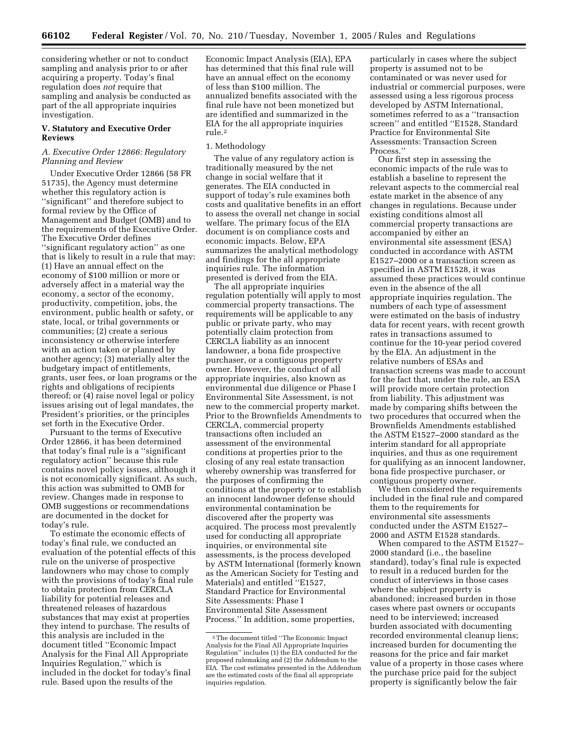considering whether or not to conduct sampling and analysis prior to or after acquiring a property. Today's final regulation does *not* require that sampling and analysis be conducted as part of the all appropriate inquiries investigation.

## **V. Statutory and Executive Order Reviews**

## *A. Executive Order 12866: Regulatory Planning and Review*

Under Executive Order 12866 (58 FR 51735), the Agency must determine whether this regulatory action is ''significant'' and therefore subject to formal review by the Office of Management and Budget (OMB) and to the requirements of the Executive Order. The Executive Order defines ''significant regulatory action'' as one that is likely to result in a rule that may: (1) Have an annual effect on the economy of \$100 million or more or adversely affect in a material way the economy, a sector of the economy, productivity, competition, jobs, the environment, public health or safety, or state, local, or tribal governments or communities; (2) create a serious inconsistency or otherwise interfere with an action taken or planned by another agency; (3) materially alter the budgetary impact of entitlements, grants, user fees, or loan programs or the rights and obligations of recipients thereof; or (4) raise novel legal or policy issues arising out of legal mandates, the President's priorities, or the principles set forth in the Executive Order.

Pursuant to the terms of Executive Order 12866, it has been determined that today's final rule is a ''significant regulatory action'' because this rule contains novel policy issues, although it is not economically significant. As such, this action was submitted to OMB for review. Changes made in response to OMB suggestions or recommendations are documented in the docket for today's rule.

To estimate the economic effects of today's final rule, we conducted an evaluation of the potential effects of this rule on the universe of prospective landowners who may chose to comply with the provisions of today's final rule to obtain protection from CERCLA liability for potential releases and threatened releases of hazardous substances that may exist at properties they intend to purchase. The results of this analysis are included in the document titled ''Economic Impact Analysis for the Final All Appropriate Inquiries Regulation,'' which is included in the docket for today's final rule. Based upon the results of the

Economic Impact Analysis (EIA), EPA has determined that this final rule will have an annual effect on the economy of less than \$100 million. The annualized benefits associated with the final rule have not been monetized but are identified and summarized in the EIA for the all appropriate inquiries rule.2

#### 1. Methodology

The value of any regulatory action is traditionally measured by the net change in social welfare that it generates. The EIA conducted in support of today's rule examines both costs and qualitative benefits in an effort to assess the overall net change in social welfare. The primary focus of the EIA document is on compliance costs and economic impacts. Below, EPA summarizes the analytical methodology and findings for the all appropriate inquiries rule. The information presented is derived from the EIA.

The all appropriate inquiries regulation potentially will apply to most commercial property transactions. The requirements will be applicable to any public or private party, who may potentially claim protection from CERCLA liability as an innocent landowner, a bona fide prospective purchaser, or a contiguous property owner. However, the conduct of all appropriate inquiries, also known as environmental due diligence or Phase I Environmental Site Assessment, is not new to the commercial property market. Prior to the Brownfields Amendments to CERCLA, commercial property transactions often included an assessment of the environmental conditions at properties prior to the closing of any real estate transaction whereby ownership was transferred for the purposes of confirming the conditions at the property or to establish an innocent landowner defense should environmental contamination be discovered after the property was acquired. The process most prevalently used for conducting all appropriate inquiries, or environmental site assessments, is the process developed by ASTM International (formerly known as the American Society for Testing and Materials) and entitled ''E1527, Standard Practice for Environmental Site Assessments: Phase I Environmental Site Assessment Process.'' In addition, some properties,

particularly in cases where the subject property is assumed not to be contaminated or was never used for industrial or commercial purposes, were assessed using a less rigorous process developed by ASTM International, sometimes referred to as a ''transaction screen'' and entitled ''E1528, Standard Practice for Environmental Site Assessments: Transaction Screen Process.''

Our first step in assessing the economic impacts of the rule was to establish a baseline to represent the relevant aspects to the commercial real estate market in the absence of any changes in regulations. Because under existing conditions almost all commercial property transactions are accompanied by either an environmental site assessment (ESA) conducted in accordance with ASTM E1527–2000 or a transaction screen as specified in ASTM E1528, it was assumed these practices would continue even in the absence of the all appropriate inquiries regulation. The numbers of each type of assessment were estimated on the basis of industry data for recent years, with recent growth rates in transactions assumed to continue for the 10-year period covered by the EIA. An adjustment in the relative numbers of ESAs and transaction screens was made to account for the fact that, under the rule, an ESA will provide more certain protection from liability. This adjustment was made by comparing shifts between the two procedures that occurred when the Brownfields Amendments established the ASTM E1527–2000 standard as the interim standard for all appropriate inquiries, and thus as one requirement for qualifying as an innocent landowner, bona fide prospective purchaser, or contiguous property owner.

We then considered the requirements included in the final rule and compared them to the requirements for environmental site assessments conducted under the ASTM E1527– 2000 and ASTM E1528 standards.

When compared to the ASTM E1527– 2000 standard (i.e., the baseline standard), today's final rule is expected to result in a reduced burden for the conduct of interviews in those cases where the subject property is abandoned; increased burden in those cases where past owners or occupants need to be interviewed; increased burden associated with documenting recorded environmental cleanup liens; increased burden for documenting the reasons for the price and fair market value of a property in those cases where the purchase price paid for the subject property is significantly below the fair

<sup>2</sup> The document titled ''The Economic Impact Analysis for the Final All Appropriate Inquiries Regulation'' includes (1) the EIA conducted for the proposed rulemaking and (2) the Addendum to the EIA. The cost estimates presented in the Addendum are the estimated costs of the final all appropriate inquiries regulation.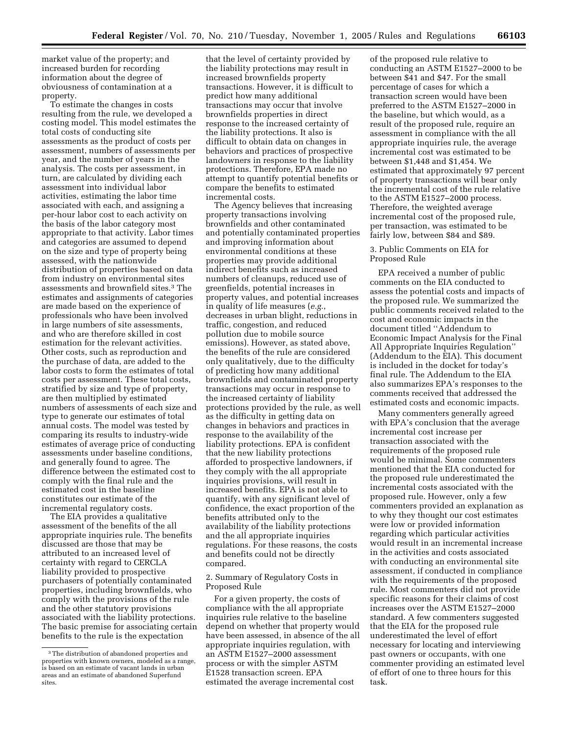market value of the property; and increased burden for recording information about the degree of obviousness of contamination at a property.

To estimate the changes in costs resulting from the rule, we developed a costing model. This model estimates the total costs of conducting site assessments as the product of costs per assessment, numbers of assessments per year, and the number of years in the analysis. The costs per assessment, in turn, are calculated by dividing each assessment into individual labor activities, estimating the labor time associated with each, and assigning a per-hour labor cost to each activity on the basis of the labor category most appropriate to that activity. Labor times and categories are assumed to depend on the size and type of property being assessed, with the nationwide distribution of properties based on data from industry on environmental sites assessments and brownfield sites.3 The estimates and assignments of categories are made based on the experience of professionals who have been involved in large numbers of site assessments, and who are therefore skilled in cost estimation for the relevant activities. Other costs, such as reproduction and the purchase of data, are added to the labor costs to form the estimates of total costs per assessment. These total costs, stratified by size and type of property, are then multiplied by estimated numbers of assessments of each size and type to generate our estimates of total annual costs. The model was tested by comparing its results to industry-wide estimates of average price of conducting assessments under baseline conditions, and generally found to agree. The difference between the estimated cost to comply with the final rule and the estimated cost in the baseline constitutes our estimate of the incremental regulatory costs.

The EIA provides a qualitative assessment of the benefits of the all appropriate inquiries rule. The benefits discussed are those that may be attributed to an increased level of certainty with regard to CERCLA liability provided to prospective purchasers of potentially contaminated properties, including brownfields, who comply with the provisions of the rule and the other statutory provisions associated with the liability protections. The basic premise for associating certain benefits to the rule is the expectation

that the level of certainty provided by the liability protections may result in increased brownfields property transactions. However, it is difficult to predict how many additional transactions may occur that involve brownfields properties in direct response to the increased certainty of the liability protections. It also is difficult to obtain data on changes in behaviors and practices of prospective landowners in response to the liability protections. Therefore, EPA made no attempt to quantify potential benefits or compare the benefits to estimated incremental costs.

The Agency believes that increasing property transactions involving brownfields and other contaminated and potentially contaminated properties and improving information about environmental conditions at these properties may provide additional indirect benefits such as increased numbers of cleanups, reduced use of greenfields, potential increases in property values, and potential increases in quality of life measures (*e.g.*, decreases in urban blight, reductions in traffic, congestion, and reduced pollution due to mobile source emissions). However, as stated above, the benefits of the rule are considered only qualitatively, due to the difficulty of predicting how many additional brownfields and contaminated property transactions may occur in response to the increased certainty of liability protections provided by the rule, as well as the difficulty in getting data on changes in behaviors and practices in response to the availability of the liability protections. EPA is confident that the new liability protections afforded to prospective landowners, if they comply with the all appropriate inquiries provisions, will result in increased benefits. EPA is not able to quantify, with any significant level of confidence, the exact proportion of the benefits attributed only to the availability of the liability protections and the all appropriate inquiries regulations. For these reasons, the costs and benefits could not be directly compared.

2. Summary of Regulatory Costs in Proposed Rule

For a given property, the costs of compliance with the all appropriate inquiries rule relative to the baseline depend on whether that property would have been assessed, in absence of the all appropriate inquiries regulation, with an ASTM E1527–2000 assessment process or with the simpler ASTM E1528 transaction screen. EPA estimated the average incremental cost

of the proposed rule relative to conducting an ASTM E1527–2000 to be between \$41 and \$47. For the small percentage of cases for which a transaction screen would have been preferred to the ASTM E1527–2000 in the baseline, but which would, as a result of the proposed rule, require an assessment in compliance with the all appropriate inquiries rule, the average incremental cost was estimated to be between \$1,448 and \$1,454. We estimated that approximately 97 percent of property transactions will bear only the incremental cost of the rule relative to the ASTM E1527–2000 process. Therefore, the weighted average incremental cost of the proposed rule, per transaction, was estimated to be fairly low, between \$84 and \$89.

## 3. Public Comments on EIA for Proposed Rule

EPA received a number of public comments on the EIA conducted to assess the potential costs and impacts of the proposed rule. We summarized the public comments received related to the cost and economic impacts in the document titled ''Addendum to Economic Impact Analysis for the Final All Appropriate Inquiries Regulation'' (Addendum to the EIA). This document is included in the docket for today's final rule. The Addendum to the EIA also summarizes EPA's responses to the comments received that addressed the estimated costs and economic impacts.

Many commenters generally agreed with EPA's conclusion that the average incremental cost increase per transaction associated with the requirements of the proposed rule would be minimal. Some commenters mentioned that the EIA conducted for the proposed rule underestimated the incremental costs associated with the proposed rule. However, only a few commenters provided an explanation as to why they thought our cost estimates were low or provided information regarding which particular activities would result in an incremental increase in the activities and costs associated with conducting an environmental site assessment, if conducted in compliance with the requirements of the proposed rule. Most commenters did not provide specific reasons for their claims of cost increases over the ASTM E1527–2000 standard. A few commenters suggested that the EIA for the proposed rule underestimated the level of effort necessary for locating and interviewing past owners or occupants, with one commenter providing an estimated level of effort of one to three hours for this task.

<sup>3</sup> The distribution of abandoned properties and properties with known owners, modeled as a range, is based on an estimate of vacant lands in urban areas and an estimate of abandoned Superfund sites.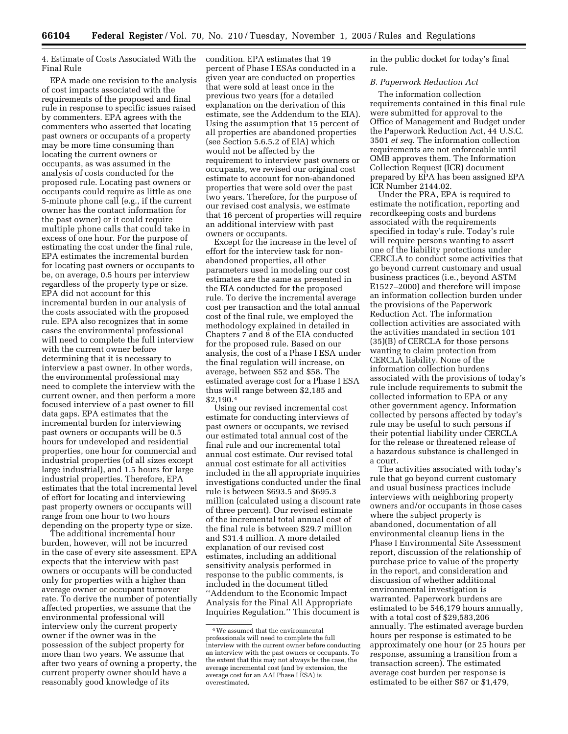4. Estimate of Costs Associated With the Final Rule

EPA made one revision to the analysis of cost impacts associated with the requirements of the proposed and final rule in response to specific issues raised by commenters. EPA agrees with the commenters who asserted that locating past owners or occupants of a property may be more time consuming than locating the current owners or occupants, as was assumed in the analysis of costs conducted for the proposed rule. Locating past owners or occupants could require as little as one 5-minute phone call (e.g., if the current owner has the contact information for the past owner) or it could require multiple phone calls that could take in excess of one hour. For the purpose of estimating the cost under the final rule, EPA estimates the incremental burden for locating past owners or occupants to be, on average, 0.5 hours per interview regardless of the property type or size. EPA did not account for this incremental burden in our analysis of the costs associated with the proposed rule. EPA also recognizes that in some cases the environmental professional will need to complete the full interview with the current owner before determining that it is necessary to interview a past owner. In other words, the environmental professional may need to complete the interview with the current owner, and then perform a more focused interview of a past owner to fill data gaps. EPA estimates that the incremental burden for interviewing past owners or occupants will be 0.5 hours for undeveloped and residential properties, one hour for commercial and industrial properties (of all sizes except large industrial), and 1.5 hours for large industrial properties. Therefore, EPA estimates that the total incremental level of effort for locating and interviewing past property owners or occupants will range from one hour to two hours depending on the property type or size.

The additional incremental hour burden, however, will not be incurred in the case of every site assessment. EPA expects that the interview with past owners or occupants will be conducted only for properties with a higher than average owner or occupant turnover rate. To derive the number of potentially affected properties, we assume that the environmental professional will interview only the current property owner if the owner was in the possession of the subject property for more than two years. We assume that after two years of owning a property, the current property owner should have a reasonably good knowledge of its

condition. EPA estimates that 19 percent of Phase I ESAs conducted in a given year are conducted on properties that were sold at least once in the previous two years (for a detailed explanation on the derivation of this estimate, see the Addendum to the EIA). Using the assumption that 15 percent of all properties are abandoned properties (see Section 5.6.5.2 of EIA) which would not be affected by the requirement to interview past owners or occupants, we revised our original cost estimate to account for non-abandoned properties that were sold over the past two years. Therefore, for the purpose of our revised cost analysis, we estimate that 16 percent of properties will require an additional interview with past owners or occupants.

Except for the increase in the level of effort for the interview task for nonabandoned properties, all other parameters used in modeling our cost estimates are the same as presented in the EIA conducted for the proposed rule. To derive the incremental average cost per transaction and the total annual cost of the final rule, we employed the methodology explained in detailed in Chapters 7 and 8 of the EIA conducted for the proposed rule. Based on our analysis, the cost of a Phase I ESA under the final regulation will increase, on average, between \$52 and \$58. The estimated average cost for a Phase I ESA thus will range between \$2,185 and \$2,190.4

Using our revised incremental cost estimate for conducting interviews of past owners or occupants, we revised our estimated total annual cost of the final rule and our incremental total annual cost estimate. Our revised total annual cost estimate for all activities included in the all appropriate inquiries investigations conducted under the final rule is between \$693.5 and \$695.3 million (calculated using a discount rate of three percent). Our revised estimate of the incremental total annual cost of the final rule is between \$29.7 million and \$31.4 million. A more detailed explanation of our revised cost estimates, including an additional sensitivity analysis performed in response to the public comments, is included in the document titled ''Addendum to the Economic Impact Analysis for the Final All Appropriate Inquiries Regulation.'' This document is

in the public docket for today's final rule.

#### *B. Paperwork Reduction Act*

The information collection requirements contained in this final rule were submitted for approval to the Office of Management and Budget under the Paperwork Reduction Act, 44 U.S.C. 3501 *et seq*. The information collection requirements are not enforceable until OMB approves them. The Information Collection Request (ICR) document prepared by EPA has been assigned EPA ICR Number 2144.02.

Under the PRA, EPA is required to estimate the notification, reporting and recordkeeping costs and burdens associated with the requirements specified in today's rule. Today's rule will require persons wanting to assert one of the liability protections under CERCLA to conduct some activities that go beyond current customary and usual business practices (i.e., beyond ASTM E1527–2000) and therefore will impose an information collection burden under the provisions of the Paperwork Reduction Act. The information collection activities are associated with the activities mandated in section 101 (35)(B) of CERCLA for those persons wanting to claim protection from CERCLA liability. None of the information collection burdens associated with the provisions of today's rule include requirements to submit the collected information to EPA or any other government agency. Information collected by persons affected by today's rule may be useful to such persons if their potential liability under CERCLA for the release or threatened release of a hazardous substance is challenged in a court.

The activities associated with today's rule that go beyond current customary and usual business practices include interviews with neighboring property owners and/or occupants in those cases where the subject property is abandoned, documentation of all environmental cleanup liens in the Phase I Environmental Site Assessment report, discussion of the relationship of purchase price to value of the property in the report, and consideration and discussion of whether additional environmental investigation is warranted. Paperwork burdens are estimated to be 546,179 hours annually, with a total cost of \$29,583,206 annually. The estimated average burden hours per response is estimated to be approximately one hour (or 25 hours per response, assuming a transition from a transaction screen). The estimated average cost burden per response is estimated to be either \$67 or \$1,479,

<sup>4</sup> We assumed that the environmental professionals will need to complete the full interview with the current owner before conducting an interview with the past owners or occupants. To the extent that this may not always be the case, the average incremental cost (and by extension, the average cost for an AAI Phase I ESA) is overestimated.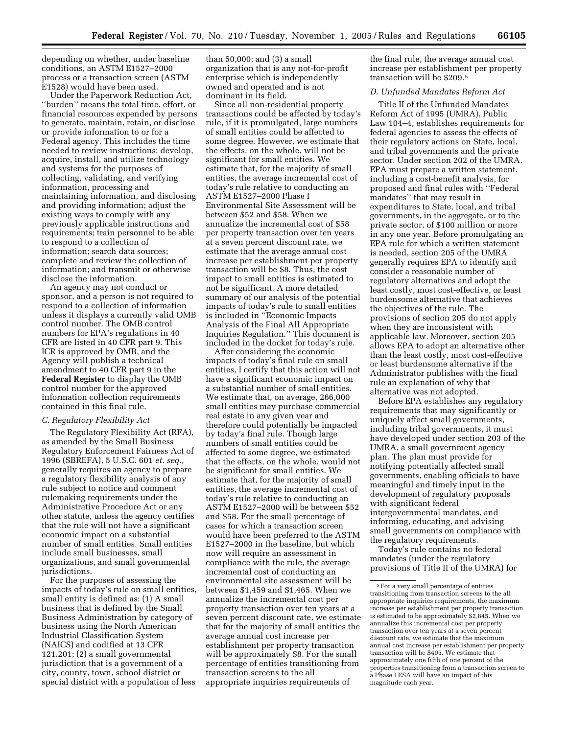depending on whether, under baseline conditions, an ASTM E1527–2000 process or a transaction screen (ASTM E1528) would have been used.

Under the Paperwork Reduction Act, ''burden'' means the total time, effort, or financial resources expended by persons to generate, maintain, retain, or disclose or provide information to or for a Federal agency. This includes the time needed to review instructions; develop, acquire, install, and utilize technology and systems for the purposes of collecting, validating, and verifying information, processing and maintaining information, and disclosing and providing information; adjust the existing ways to comply with any previously applicable instructions and requirements; train personnel to be able to respond to a collection of information; search data sources; complete and review the collection of information; and transmit or otherwise disclose the information.

An agency may not conduct or sponsor, and a person is not required to respond to a collection of information unless it displays a currently valid OMB control number. The OMB control numbers for EPA's regulations in 40 CFR are listed in 40 CFR part 9. This ICR is approved by OMB, and the Agency will publish a technical amendment to 40 CFR part 9 in the **Federal Register** to display the OMB control number for the approved information collection requirements contained in this final rule.

#### *C. Regulatory Flexibility Act*

The Regulatory Flexibility Act (RFA), as amended by the Small Business Regulatory Enforcement Fairness Act of 1996 (SBREFA), 5 U.S.C. 601 *et. seq.,*  generally requires an agency to prepare a regulatory flexibility analysis of any rule subject to notice and comment rulemaking requirements under the Administrative Procedure Act or any other statute, unless the agency certifies that the rule will not have a significant economic impact on a substantial number of small entities. Small entities include small businesses, small organizations, and small governmental jurisdictions.

For the purposes of assessing the impacts of today's rule on small entities, small entity is defined as: (1) A small business that is defined by the Small Business Administration by category of business using the North American Industrial Classification System (NAICS) and codified at 13 CFR 121.201; (2) a small governmental jurisdiction that is a government of a city, county, town, school district or special district with a population of less

than 50,000; and (3) a small organization that is any not-for-profit enterprise which is independently owned and operated and is not dominant in its field.

Since all non-residential property transactions could be affected by today's rule, if it is promulgated, large numbers of small entities could be affected to some degree. However, we estimate that the effects, on the whole, will not be significant for small entities. We estimate that, for the majority of small entities, the average incremental cost of today's rule relative to conducting an ASTM E1527–2000 Phase I Environmental Site Assessment will be between \$52 and \$58. When we annualize the incremental cost of \$58 per property transaction over ten years at a seven percent discount rate, we estimate that the average annual cost increase per establishment per property transaction will be \$8. Thus, the cost impact to small entities is estimated to not be significant. A more detailed summary of our analysis of the potential impacts of today's rule to small entities is included in ''Economic Impacts Analysis of the Final All Appropriate Inquiries Regulation.'' This document is included in the docket for today's rule.

After considering the economic impacts of today's final rule on small entities, I certify that this action will not have a significant economic impact on a substantial number of small entities. We estimate that, on average, 266,000 small entities may purchase commercial real estate in any given year and therefore could potentially be impacted by today's final rule. Though large numbers of small entities could be affected to some degree, we estimated that the effects, on the whole, would not be significant for small entities. We estimate that, for the majority of small entities, the average incremental cost of today's rule relative to conducting an ASTM E1527–2000 will be between \$52 and \$58. For the small percentage of cases for which a transaction screen would have been preferred to the ASTM E1527–2000 in the baseline, but which now will require an assessment in compliance with the rule, the average incremental cost of conducting an environmental site assessment will be between \$1,459 and \$1,465. When we annualize the incremental cost per property transaction over ten years at a seven percent discount rate, we estimate that for the majority of small entities the average annual cost increase per establishment per property transaction will be approximately \$8. For the small percentage of entities transitioning from transaction screens to the all appropriate inquiries requirements of

the final rule, the average annual cost increase per establishment per property transaction will be \$209.5

## *D. Unfunded Mandates Reform Act*

Title II of the Unfunded Mandates Reform Act of 1995 (UMRA), Public Law 104–4, establishes requirements for federal agencies to assess the effects of their regulatory actions on State, local, and tribal governments and the private sector. Under section 202 of the UMRA, EPA must prepare a written statement, including a cost-benefit analysis, for proposed and final rules with ''Federal mandates'' that may result in expenditures to State, local, and tribal governments, in the aggregate, or to the private sector, of \$100 million or more in any one year. Before promulgating an EPA rule for which a written statement is needed, section 205 of the UMRA generally requires EPA to identify and consider a reasonable number of regulatory alternatives and adopt the least costly, most cost-effective, or least burdensome alternative that achieves the objectives of the rule. The provisions of section 205 do not apply when they are inconsistent with applicable law. Moreover, section 205 allows EPA to adopt an alternative other than the least costly, most cost-effective or least burdensome alternative if the Administrator publishes with the final rule an explanation of why that alternative was not adopted.

Before EPA establishes any regulatory requirements that may significantly or uniquely affect small governments, including tribal governments, it must have developed under section 203 of the UMRA, a small government agency plan. The plan must provide for notifying potentially affected small governments, enabling officials to have meaningful and timely input in the development of regulatory proposals with significant federal intergovernmental mandates, and informing, educating, and advising small governments on compliance with the regulatory requirements.

Today's rule contains no federal mandates (under the regulatory provisions of Title II of the UMRA) for

<sup>5</sup> For a very small percentage of entities transitioning from transaction screens to the all appropriate inquiries requirements, the maximum increase per establishment per property transaction is estimated to be approximately \$2,845. When we annualize this incremental cost per property transaction over ten years at a seven percent discount rate, we estimate that the maximum annual cost increase per establishment per property transaction will be \$405. We estimate that approximately one fifth of one percent of the properties transitioning from a transaction screen to a Phase I ESA will have an impact of this magnitude each year.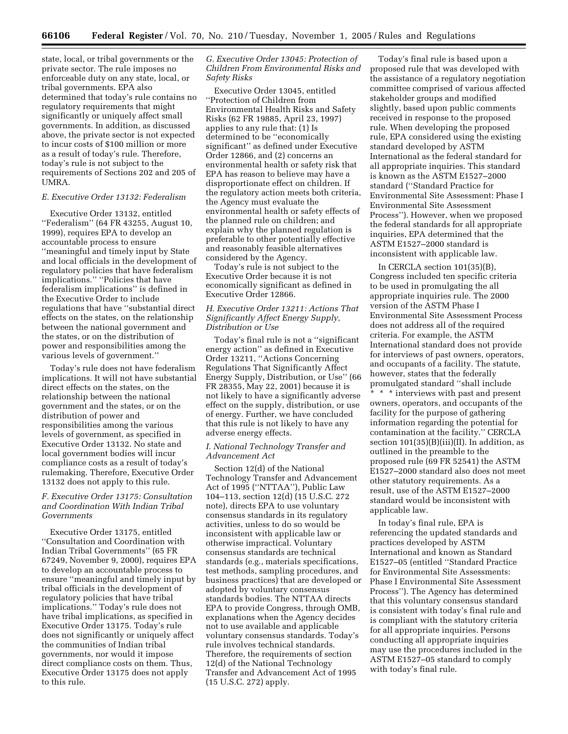state, local, or tribal governments or the private sector. The rule imposes no enforceable duty on any state, local, or tribal governments. EPA also determined that today's rule contains no regulatory requirements that might significantly or uniquely affect small governments. In addition, as discussed above, the private sector is not expected to incur costs of \$100 million or more as a result of today's rule. Therefore, today's rule is not subject to the requirements of Sections 202 and 205 of UMRA.

## *E. Executive Order 13132: Federalism*

Executive Order 13132, entitled ''Federalism'' (64 FR 43255, August 10, 1999), requires EPA to develop an accountable process to ensure ''meaningful and timely input by State and local officials in the development of regulatory policies that have federalism implications.'' ''Policies that have federalism implications'' is defined in the Executive Order to include regulations that have ''substantial direct effects on the states, on the relationship between the national government and the states, or on the distribution of power and responsibilities among the various levels of government.''

Today's rule does not have federalism implications. It will not have substantial direct effects on the states, on the relationship between the national government and the states, or on the distribution of power and responsibilities among the various levels of government, as specified in Executive Order 13132. No state and local government bodies will incur compliance costs as a result of today's rulemaking. Therefore, Executive Order 13132 does not apply to this rule.

## *F. Executive Order 13175: Consultation and Coordination With Indian Tribal Governments*

Executive Order 13175, entitled ''Consultation and Coordination with Indian Tribal Governments'' (65 FR 67249, November 9, 2000), requires EPA to develop an accountable process to ensure ''meaningful and timely input by tribal officials in the development of regulatory policies that have tribal implications.'' Today's rule does not have tribal implications, as specified in Executive Order 13175. Today's rule does not significantly or uniquely affect the communities of Indian tribal governments, nor would it impose direct compliance costs on them. Thus, Executive Order 13175 does not apply to this rule.

## *G. Executive Order 13045: Protection of Children From Environmental Risks and Safety Risks*

Executive Order 13045, entitled ''Protection of Children from Environmental Health Risks and Safety Risks (62 FR 19885, April 23, 1997) applies to any rule that: (1) Is determined to be ''economically significant'' as defined under Executive Order 12866, and (2) concerns an environmental health or safety risk that EPA has reason to believe may have a disproportionate effect on children. If the regulatory action meets both criteria, the Agency must evaluate the environmental health or safety effects of the planned rule on children; and explain why the planned regulation is preferable to other potentially effective and reasonably feasible alternatives considered by the Agency.

Today's rule is not subject to the Executive Order because it is not economically significant as defined in Executive Order 12866.

## *H. Executive Order 13211: Actions That Significantly Affect Energy Supply, Distribution or Use*

Today's final rule is not a ''significant energy action'' as defined in Executive Order 13211, ''Actions Concerning Regulations That Significantly Affect Energy Supply, Distribution, or Use'' (66 FR 28355, May 22, 2001) because it is not likely to have a significantly adverse effect on the supply, distribution, or use of energy. Further, we have concluded that this rule is not likely to have any adverse energy effects.

## *I. National Technology Transfer and Advancement Act*

Section 12(d) of the National Technology Transfer and Advancement Act of 1995 (''NTTAA''), Public Law 104–113, section 12(d) (15 U.S.C. 272 note), directs EPA to use voluntary consensus standards in its regulatory activities, unless to do so would be inconsistent with applicable law or otherwise impractical. Voluntary consensus standards are technical standards (e.g., materials specifications, test methods, sampling procedures, and business practices) that are developed or adopted by voluntary consensus standards bodies. The NTTAA directs EPA to provide Congress, through OMB, explanations when the Agency decides not to use available and applicable voluntary consensus standards. Today's rule involves technical standards. Therefore, the requirements of section 12(d) of the National Technology Transfer and Advancement Act of 1995 (15 U.S.C. 272) apply.

Today's final rule is based upon a proposed rule that was developed with the assistance of a regulatory negotiation committee comprised of various affected stakeholder groups and modified slightly, based upon public comments received in response to the proposed rule. When developing the proposed rule, EPA considered using the existing standard developed by ASTM International as the federal standard for all appropriate inquiries. This standard is known as the ASTM E1527–2000 standard (''Standard Practice for Environmental Site Assessment: Phase I Environmental Site Assessment Process''). However, when we proposed the federal standards for all appropriate inquiries, EPA determined that the ASTM E1527–2000 standard is inconsistent with applicable law.

In CERCLA section 101(35)(B), Congress included ten specific criteria to be used in promulgating the all appropriate inquiries rule. The 2000 version of the ASTM Phase I Environmental Site Assessment Process does not address all of the required criteria. For example, the ASTM International standard does not provide for interviews of past owners, operators, and occupants of a facility. The statute, however, states that the federally promulgated standard ''shall include \* \* \* interviews with past and present owners, operators, and occupants of the facility for the purpose of gathering information regarding the potential for contamination at the facility.'' CERCLA section  $101(35)(B)(iii)(II)$ . In addition, as outlined in the preamble to the proposed rule (69 FR 52541) the ASTM E1527–2000 standard also does not meet other statutory requirements. As a result, use of the ASTM E1527–2000 standard would be inconsistent with applicable law.

In today's final rule, EPA is referencing the updated standards and practices developed by ASTM International and known as Standard E1527–05 (entitled ''Standard Practice for Environmental Site Assessments: Phase I Environmental Site Assessment Process''). The Agency has determined that this voluntary consensus standard is consistent with today's final rule and is compliant with the statutory criteria for all appropriate inquiries. Persons conducting all appropriate inquiries may use the procedures included in the ASTM E1527–05 standard to comply with today's final rule.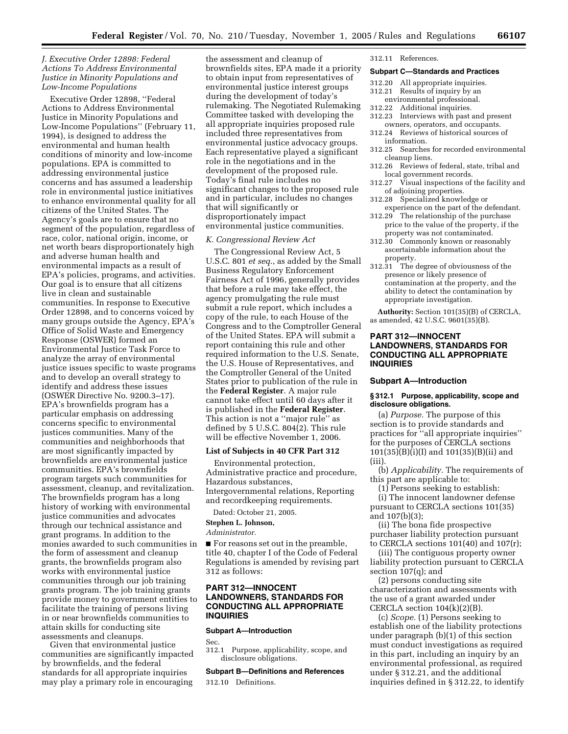## *J. Executive Order 12898: Federal Actions To Address Environmental Justice in Minority Populations and Low-Income Populations*

Executive Order 12898, ''Federal Actions to Address Environmental Justice in Minority Populations and Low-Income Populations'' (February 11, 1994), is designed to address the environmental and human health conditions of minority and low-income populations. EPA is committed to addressing environmental justice concerns and has assumed a leadership role in environmental justice initiatives to enhance environmental quality for all citizens of the United States. The Agency's goals are to ensure that no segment of the population, regardless of race, color, national origin, income, or net worth bears disproportionately high and adverse human health and environmental impacts as a result of EPA's policies, programs, and activities. Our goal is to ensure that all citizens live in clean and sustainable communities. In response to Executive Order 12898, and to concerns voiced by many groups outside the Agency, EPA's Office of Solid Waste and Emergency Response (OSWER) formed an Environmental Justice Task Force to analyze the array of environmental justice issues specific to waste programs and to develop an overall strategy to identify and address these issues (OSWER Directive No. 9200.3–17). EPA's brownfields program has a particular emphasis on addressing concerns specific to environmental justices communities. Many of the communities and neighborhoods that are most significantly impacted by brownfields are environmental justice communities. EPA's brownfields program targets such communities for assessment, cleanup, and revitalization. The brownfields program has a long history of working with environmental justice communities and advocates through our technical assistance and grant programs. In addition to the monies awarded to such communities in the form of assessment and cleanup grants, the brownfields program also works with environmental justice communities through our job training grants program. The job training grants provide money to government entities to facilitate the training of persons living in or near brownfields communities to attain skills for conducting site assessments and cleanups.

Given that environmental justice communities are significantly impacted by brownfields, and the federal standards for all appropriate inquiries may play a primary role in encouraging

the assessment and cleanup of brownfields sites, EPA made it a priority to obtain input from representatives of environmental justice interest groups during the development of today's rulemaking. The Negotiated Rulemaking Committee tasked with developing the all appropriate inquiries proposed rule included three representatives from environmental justice advocacy groups. Each representative played a significant role in the negotiations and in the development of the proposed rule. Today's final rule includes no significant changes to the proposed rule and in particular, includes no changes that will significantly or disproportionately impact environmental justice communities.

#### *K. Congressional Review Act*

The Congressional Review Act, 5 U.S.C. 801 *et seq*., as added by the Small Business Regulatory Enforcement Fairness Act of 1996, generally provides that before a rule may take effect, the agency promulgating the rule must submit a rule report, which includes a copy of the rule, to each House of the Congress and to the Comptroller General of the United States. EPA will submit a report containing this rule and other required information to the U.S. Senate, the U.S. House of Representatives, and the Comptroller General of the United States prior to publication of the rule in the **Federal Register**. A major rule cannot take effect until 60 days after it is published in the **Federal Register**. This action is not a ''major rule'' as defined by 5 U.S.C. 804(2). This rule will be effective November 1, 2006.

#### **List of Subjects in 40 CFR Part 312**

Environmental protection, Administrative practice and procedure, Hazardous substances, Intergovernmental relations, Reporting and recordkeeping requirements.

Dated: October 21, 2005.

#### **Stephen L. Johnson,**

*Administrator.* 

■ For reasons set out in the preamble, title 40, chapter I of the Code of Federal Regulations is amended by revising part 312 as follows:

## **PART 312—INNOCENT LANDOWNERS, STANDARDS FOR CONDUCTING ALL APPROPRIATE INQUIRIES**

## **Subpart A—Introduction**

Sec.

312.1 Purpose, applicability, scope, and disclosure obligations.

**Subpart B—Definitions and References**  312.10 Definitions.

312.11 References.

### **Subpart C—Standards and Practices**

- 312.20 All appropriate inquiries.
- 312.21 Results of inquiry by an environmental professional.
- 312.22 Additional inquiries.
- 312.23 Interviews with past and present owners, operators, and occupants.
- 312.24 Reviews of historical sources of information.
- 312.25 Searches for recorded environmental cleanup liens.
- 312.26 Reviews of federal, state, tribal and local government records.
- 312.27 Visual inspections of the facility and of adjoining properties.
- 312.28 Specialized knowledge or experience on the part of the defendant.
- 312.29 The relationship of the purchase price to the value of the property, if the property was not contaminated.
- 312.30 Commonly known or reasonably ascertainable information about the property.
- 312.31 The degree of obviousness of the presence or likely presence of contamination at the property, and the ability to detect the contamination by appropriate investigation.

**Authority:** Section 101(35)(B) of CERCLA, as amended, 42 U.S.C. 9601(35)(B).

## **PART 312—INNOCENT LANDOWNERS, STANDARDS FOR CONDUCTING ALL APPROPRIATE INQUIRIES**

#### **Subpart A—Introduction**

#### **§ 312.1 Purpose, applicability, scope and disclosure obligations.**

(a) *Purpose.* The purpose of this section is to provide standards and practices for ''all appropriate inquiries'' for the purposes of CERCLA sections 101(35)(B)(i)(I) and 101(35)(B)(ii) and (iii).

(b) *Applicability.* The requirements of this part are applicable to:

(1) Persons seeking to establish:

(i) The innocent landowner defense pursuant to CERCLA sections 101(35) and 107(b)(3);

(ii) The bona fide prospective purchaser liability protection pursuant to CERCLA sections  $101(40)$  and  $107(r)$ ;

(iii) The contiguous property owner liability protection pursuant to CERCLA section 107(q); and

(2) persons conducting site characterization and assessments with the use of a grant awarded under CERCLA section 104(k)(2)(B).

(c) *Scope.* (1) Persons seeking to establish one of the liability protections under paragraph (b)(1) of this section must conduct investigations as required in this part, including an inquiry by an environmental professional, as required under § 312.21, and the additional inquiries defined in § 312.22, to identify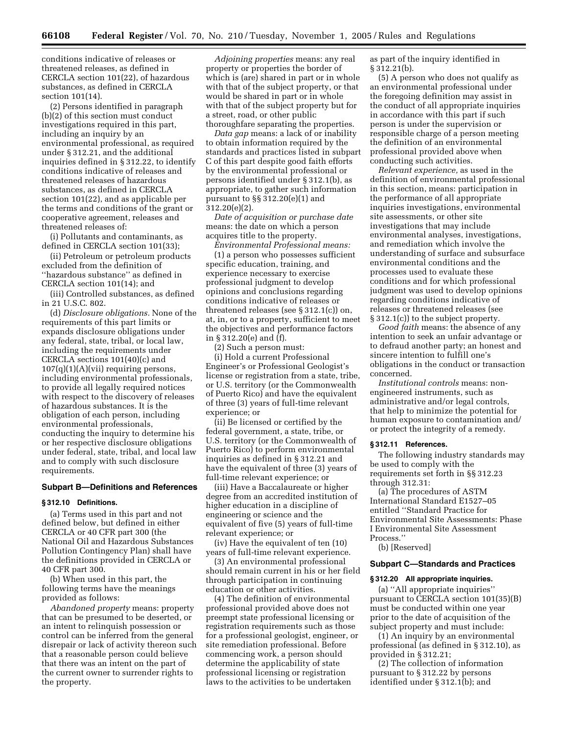conditions indicative of releases or threatened releases, as defined in CERCLA section 101(22), of hazardous substances, as defined in CERCLA section 101(14).

(2) Persons identified in paragraph (b)(2) of this section must conduct investigations required in this part, including an inquiry by an environmental professional, as required under § 312.21, and the additional inquiries defined in § 312.22, to identify conditions indicative of releases and threatened releases of hazardous substances, as defined in CERCLA section 101(22), and as applicable per the terms and conditions of the grant or cooperative agreement, releases and threatened releases of:

(i) Pollutants and contaminants, as defined in CERCLA section 101(33);

(ii) Petroleum or petroleum products excluded from the definition of ''hazardous substance'' as defined in CERCLA section 101(14); and

(iii) Controlled substances, as defined in 21 U.S.C. 802.

(d) *Disclosure obligations.* None of the requirements of this part limits or expands disclosure obligations under any federal, state, tribal, or local law, including the requirements under CERCLA sections 101(40)(c) and  $107(q)(1)(A)(vii)$  requiring persons, including environmental professionals, to provide all legally required notices with respect to the discovery of releases of hazardous substances. It is the obligation of each person, including environmental professionals, conducting the inquiry to determine his or her respective disclosure obligations under federal, state, tribal, and local law and to comply with such disclosure requirements.

#### **Subpart B—Definitions and References**

## **§ 312.10 Definitions.**

(a) Terms used in this part and not defined below, but defined in either CERCLA or 40 CFR part 300 (the National Oil and Hazardous Substances Pollution Contingency Plan) shall have the definitions provided in CERCLA or 40 CFR part 300.

(b) When used in this part, the following terms have the meanings provided as follows:

*Abandoned property* means: property that can be presumed to be deserted, or an intent to relinquish possession or control can be inferred from the general disrepair or lack of activity thereon such that a reasonable person could believe that there was an intent on the part of the current owner to surrender rights to the property.

*Adjoining properties* means: any real property or properties the border of which is (are) shared in part or in whole with that of the subject property, or that would be shared in part or in whole with that of the subject property but for a street, road, or other public thoroughfare separating the properties.

*Data gap* means: a lack of or inability to obtain information required by the standards and practices listed in subpart C of this part despite good faith efforts by the environmental professional or persons identified under § 312.1(b), as appropriate, to gather such information pursuant to §§ 312.20(e)(1) and 312.20(e)(2).

*Date of acquisition or purchase date*  means: the date on which a person acquires title to the property.

*Environmental Professional means:* 

(1) a person who possesses sufficient specific education, training, and experience necessary to exercise professional judgment to develop opinions and conclusions regarding conditions indicative of releases or threatened releases (see § 312.1(c)) on, at, in, or to a property, sufficient to meet the objectives and performance factors in § 312.20(e) and (f).

(2) Such a person must:

(i) Hold a current Professional Engineer's or Professional Geologist's license or registration from a state, tribe, or U.S. territory (or the Commonwealth of Puerto Rico) and have the equivalent of three (3) years of full-time relevant experience; or

(ii) Be licensed or certified by the federal government, a state, tribe, or U.S. territory (or the Commonwealth of Puerto Rico) to perform environmental inquiries as defined in § 312.21 and have the equivalent of three (3) years of full-time relevant experience; or

(iii) Have a Baccalaureate or higher degree from an accredited institution of higher education in a discipline of engineering or science and the equivalent of five (5) years of full-time relevant experience; or

(iv) Have the equivalent of ten (10) years of full-time relevant experience.

(3) An environmental professional should remain current in his or her field through participation in continuing education or other activities.

(4) The definition of environmental professional provided above does not preempt state professional licensing or registration requirements such as those for a professional geologist, engineer, or site remediation professional. Before commencing work, a person should determine the applicability of state professional licensing or registration laws to the activities to be undertaken

as part of the inquiry identified in § 312.21(b).

(5) A person who does not qualify as an environmental professional under the foregoing definition may assist in the conduct of all appropriate inquiries in accordance with this part if such person is under the supervision or responsible charge of a person meeting the definition of an environmental professional provided above when conducting such activities.

*Relevant experience,* as used in the definition of environmental professional in this section, means: participation in the performance of all appropriate inquiries investigations, environmental site assessments, or other site investigations that may include environmental analyses, investigations, and remediation which involve the understanding of surface and subsurface environmental conditions and the processes used to evaluate these conditions and for which professional judgment was used to develop opinions regarding conditions indicative of releases or threatened releases (see § 312.1(c)) to the subject property.

*Good faith* means: the absence of any intention to seek an unfair advantage or to defraud another party; an honest and sincere intention to fulfill one's obligations in the conduct or transaction concerned.

*Institutional controls* means: nonengineered instruments, such as administrative and/or legal controls, that help to minimize the potential for human exposure to contamination and/ or protect the integrity of a remedy.

#### **§ 312.11 References.**

The following industry standards may be used to comply with the requirements set forth in §§ 312.23 through 312.31:

(a) The procedures of ASTM International Standard E1527–05 entitled ''Standard Practice for Environmental Site Assessments: Phase I Environmental Site Assessment Process.''

(b) [Reserved]

#### **Subpart C—Standards and Practices**

## **§ 312.20 All appropriate inquiries.**

(a) ''All appropriate inquiries'' pursuant to CERCLA section 101(35)(B) must be conducted within one year prior to the date of acquisition of the subject property and must include:

(1) An inquiry by an environmental professional (as defined in § 312.10), as provided in § 312.21;

(2) The collection of information pursuant to § 312.22 by persons identified under § 312.1(b); and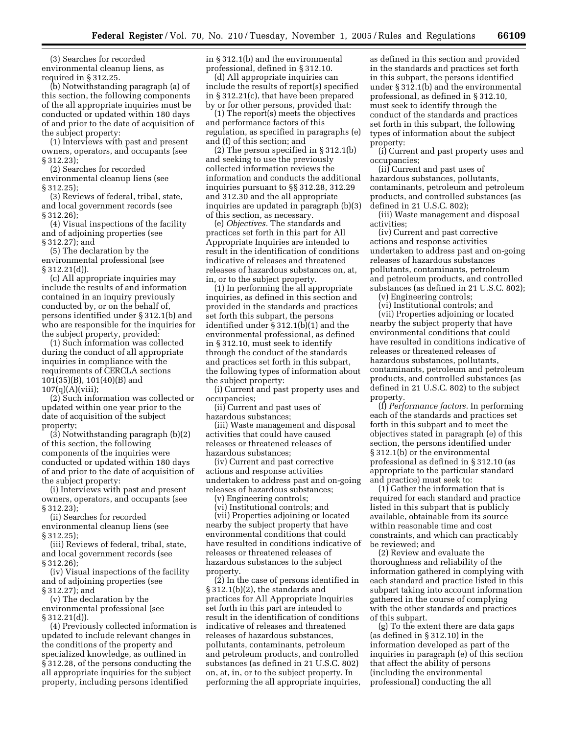(3) Searches for recorded environmental cleanup liens, as required in § 312.25.

(b) Notwithstanding paragraph (a) of this section, the following components of the all appropriate inquiries must be conducted or updated within 180 days of and prior to the date of acquisition of the subject property:

(1) Interviews with past and present owners, operators, and occupants (see § 312.23);

(2) Searches for recorded

environmental cleanup liens (see § 312.25);

(3) Reviews of federal, tribal, state, and local government records (see § 312.26);

(4) Visual inspections of the facility and of adjoining properties (see § 312.27); and

(5) The declaration by the environmental professional (see § 312.21(d)).

(c) All appropriate inquiries may include the results of and information contained in an inquiry previously conducted by, or on the behalf of, persons identified under § 312.1(b) and who are responsible for the inquiries for the subject property, provided:

(1) Such information was collected during the conduct of all appropriate inquiries in compliance with the requirements of CERCLA sections 101(35)(B), 101(40)(B) and  $107(q)(A)(viii);$ 

(2) Such information was collected or updated within one year prior to the date of acquisition of the subject property;

(3) Notwithstanding paragraph (b)(2) of this section, the following components of the inquiries were conducted or updated within 180 days of and prior to the date of acquisition of the subject property:

(i) Interviews with past and present owners, operators, and occupants (see § 312.23);

(ii) Searches for recorded environmental cleanup liens (see § 312.25);

(iii) Reviews of federal, tribal, state, and local government records (see § 312.26);

(iv) Visual inspections of the facility and of adjoining properties (see § 312.27); and

(v) The declaration by the environmental professional (see § 312.21(d)).

(4) Previously collected information is updated to include relevant changes in the conditions of the property and specialized knowledge, as outlined in § 312.28, of the persons conducting the all appropriate inquiries for the subject property, including persons identified

in § 312.1(b) and the environmental professional, defined in § 312.10.

(d) All appropriate inquiries can include the results of report(s) specified in § 312.21(c), that have been prepared by or for other persons, provided that:

(1) The report(s) meets the objectives and performance factors of this regulation, as specified in paragraphs (e) and (f) of this section; and

(2) The person specified in § 312.1(b) and seeking to use the previously collected information reviews the information and conducts the additional inquiries pursuant to §§ 312.28, 312.29 and 312.30 and the all appropriate inquiries are updated in paragraph (b)(3) of this section, as necessary.

(e) *Objectives.* The standards and practices set forth in this part for All Appropriate Inquiries are intended to result in the identification of conditions indicative of releases and threatened releases of hazardous substances on, at, in, or to the subject property.

(1) In performing the all appropriate inquiries, as defined in this section and provided in the standards and practices set forth this subpart, the persons identified under § 312.1(b)(1) and the environmental professional, as defined in § 312.10, must seek to identify through the conduct of the standards and practices set forth in this subpart, the following types of information about the subject property:

(i) Current and past property uses and occupancies;

(ii) Current and past uses of hazardous substances;

(iii) Waste management and disposal activities that could have caused releases or threatened releases of hazardous substances;

(iv) Current and past corrective actions and response activities undertaken to address past and on-going releases of hazardous substances; (v) Engineering controls;

(vi) Institutional controls; and

(vii) Properties adjoining or located nearby the subject property that have environmental conditions that could have resulted in conditions indicative of releases or threatened releases of hazardous substances to the subject property.

(2) In the case of persons identified in § 312.1(b)(2), the standards and practices for All Appropriate Inquiries set forth in this part are intended to result in the identification of conditions indicative of releases and threatened releases of hazardous substances, pollutants, contaminants, petroleum and petroleum products, and controlled substances (as defined in 21 U.S.C. 802) on, at, in, or to the subject property. In performing the all appropriate inquiries,

as defined in this section and provided in the standards and practices set forth in this subpart, the persons identified under § 312.1(b) and the environmental professional, as defined in § 312.10, must seek to identify through the conduct of the standards and practices set forth in this subpart, the following types of information about the subject property:

(i) Current and past property uses and occupancies;

(ii) Current and past uses of hazardous substances, pollutants, contaminants, petroleum and petroleum products, and controlled substances (as defined in 21 U.S.C. 802);

(iii) Waste management and disposal activities;

(iv) Current and past corrective actions and response activities undertaken to address past and on-going releases of hazardous substances pollutants, contaminants, petroleum and petroleum products, and controlled substances (as defined in 21 U.S.C. 802);

(v) Engineering controls; (vi) Institutional controls; and

(vii) Properties adjoining or located nearby the subject property that have environmental conditions that could have resulted in conditions indicative of releases or threatened releases of hazardous substances, pollutants, contaminants, petroleum and petroleum products, and controlled substances (as defined in 21 U.S.C. 802) to the subject property.

(f) *Performance factors.* In performing each of the standards and practices set forth in this subpart and to meet the objectives stated in paragraph (e) of this section, the persons identified under § 312.1(b) or the environmental professional as defined in § 312.10 (as appropriate to the particular standard and practice) must seek to:

(1) Gather the information that is required for each standard and practice listed in this subpart that is publicly available, obtainable from its source within reasonable time and cost constraints, and which can practicably be reviewed; and

(2) Review and evaluate the thoroughness and reliability of the information gathered in complying with each standard and practice listed in this subpart taking into account information gathered in the course of complying with the other standards and practices of this subpart.

(g) To the extent there are data gaps (as defined in § 312.10) in the information developed as part of the inquiries in paragraph (e) of this section that affect the ability of persons (including the environmental professional) conducting the all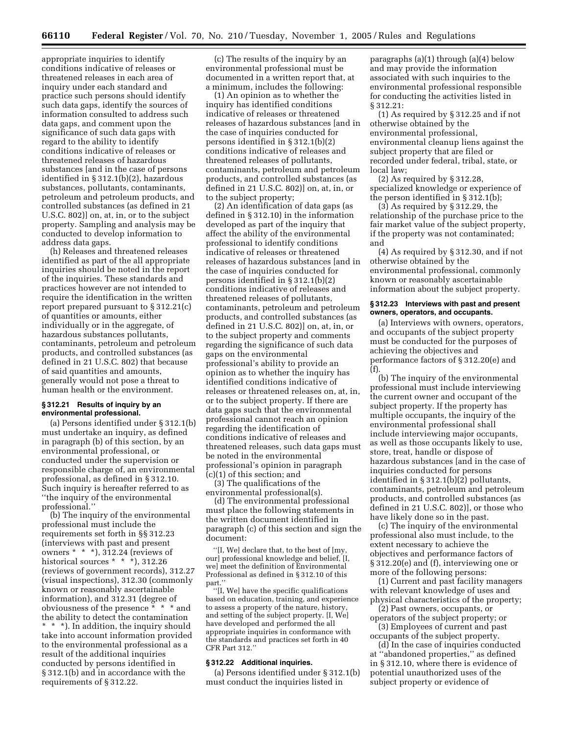appropriate inquiries to identify conditions indicative of releases or threatened releases in each area of inquiry under each standard and practice such persons should identify such data gaps, identify the sources of information consulted to address such data gaps, and comment upon the significance of such data gaps with regard to the ability to identify conditions indicative of releases or threatened releases of hazardous substances [and in the case of persons identified in § 312.1(b)(2), hazardous substances, pollutants, contaminants, petroleum and petroleum products, and controlled substances (as defined in 21 U.S.C. 802)] on, at, in, or to the subject property. Sampling and analysis may be conducted to develop information to address data gaps.

(h) Releases and threatened releases identified as part of the all appropriate inquiries should be noted in the report of the inquiries. These standards and practices however are not intended to require the identification in the written report prepared pursuant to § 312.21(c) of quantities or amounts, either individually or in the aggregate, of hazardous substances pollutants, contaminants, petroleum and petroleum products, and controlled substances (as defined in 21 U.S.C. 802) that because of said quantities and amounts, generally would not pose a threat to human health or the environment.

## **§ 312.21 Results of inquiry by an environmental professional.**

(a) Persons identified under § 312.1(b) must undertake an inquiry, as defined in paragraph (b) of this section, by an environmental professional, or conducted under the supervision or responsible charge of, an environmental professional, as defined in § 312.10. Such inquiry is hereafter referred to as ''the inquiry of the environmental professional.''

(b) The inquiry of the environmental professional must include the requirements set forth in §§ 312.23 (interviews with past and present  $\overline{\text{owners}}$  \* \* \*), 312.24 (reviews of historical sources \* \* \*), 312.26 (reviews of government records), 312.27 (visual inspections), 312.30 (commonly known or reasonably ascertainable information), and 312.31 (degree of obviousness of the presence \* \* \* and the ability to detect the contamination \* \* \*). In addition, the inquiry should take into account information provided to the environmental professional as a result of the additional inquiries conducted by persons identified in § 312.1(b) and in accordance with the requirements of § 312.22.

(c) The results of the inquiry by an environmental professional must be documented in a written report that, at a minimum, includes the following:

(1) An opinion as to whether the inquiry has identified conditions indicative of releases or threatened releases of hazardous substances [and in the case of inquiries conducted for persons identified in § 312.1(b)(2) conditions indicative of releases and threatened releases of pollutants, contaminants, petroleum and petroleum products, and controlled substances (as defined in 21 U.S.C. 802)] on, at, in, or to the subject property;

(2) An identification of data gaps (as defined in § 312.10) in the information developed as part of the inquiry that affect the ability of the environmental professional to identify conditions indicative of releases or threatened releases of hazardous substances [and in the case of inquiries conducted for persons identified in § 312.1(b)(2) conditions indicative of releases and threatened releases of pollutants, contaminants, petroleum and petroleum products, and controlled substances (as defined in 21 U.S.C. 802)] on, at, in, or to the subject property and comments regarding the significance of such data gaps on the environmental professional's ability to provide an opinion as to whether the inquiry has identified conditions indicative of releases or threatened releases on, at, in, or to the subject property. If there are data gaps such that the environmental professional cannot reach an opinion regarding the identification of conditions indicative of releases and threatened releases, such data gaps must be noted in the environmental professional's opinion in paragraph (c)(1) of this section; and

(3) The qualifications of the environmental professional(s).

(d) The environmental professional must place the following statements in the written document identified in paragraph (c) of this section and sign the document:

''[I, We] declare that, to the best of [my, our] professional knowledge and belief, [I, we] meet the definition of Environmental Professional as defined in § 312.10 of this part.''

''[I, We] have the specific qualifications based on education, training, and experience to assess a property of the nature, history, and setting of the subject property. [I, We] have developed and performed the all appropriate inquiries in conformance with the standards and practices set forth in 40 CFR Part 312.''

## **§ 312.22 Additional inquiries.**

(a) Persons identified under § 312.1(b) must conduct the inquiries listed in

paragraphs (a)(1) through (a)(4) below and may provide the information associated with such inquiries to the environmental professional responsible for conducting the activities listed in § 312.21:

(1) As required by § 312.25 and if not otherwise obtained by the environmental professional, environmental cleanup liens against the subject property that are filed or recorded under federal, tribal, state, or local law;

(2) As required by § 312.28, specialized knowledge or experience of the person identified in § 312.1(b);

(3) As required by § 312.29, the relationship of the purchase price to the fair market value of the subject property, if the property was not contaminated; and

(4) As required by § 312.30, and if not otherwise obtained by the environmental professional, commonly known or reasonably ascertainable information about the subject property.

#### **§ 312.23 Interviews with past and present owners, operators, and occupants.**

(a) Interviews with owners, operators, and occupants of the subject property must be conducted for the purposes of achieving the objectives and performance factors of § 312.20(e) and (f).

(b) The inquiry of the environmental professional must include interviewing the current owner and occupant of the subject property. If the property has multiple occupants, the inquiry of the environmental professional shall include interviewing major occupants, as well as those occupants likely to use, store, treat, handle or dispose of hazardous substances [and in the case of inquiries conducted for persons identified in § 312.1(b)(2) pollutants, contaminants, petroleum and petroleum products, and controlled substances (as defined in 21 U.S.C. 802)], or those who have likely done so in the past.

(c) The inquiry of the environmental professional also must include, to the extent necessary to achieve the objectives and performance factors of § 312.20(e) and (f), interviewing one or more of the following persons:

(1) Current and past facility managers with relevant knowledge of uses and physical characteristics of the property;

(2) Past owners, occupants, or operators of the subject property; or

(3) Employees of current and past occupants of the subject property.

(d) In the case of inquiries conducted at ''abandoned properties,'' as defined in § 312.10, where there is evidence of potential unauthorized uses of the subject property or evidence of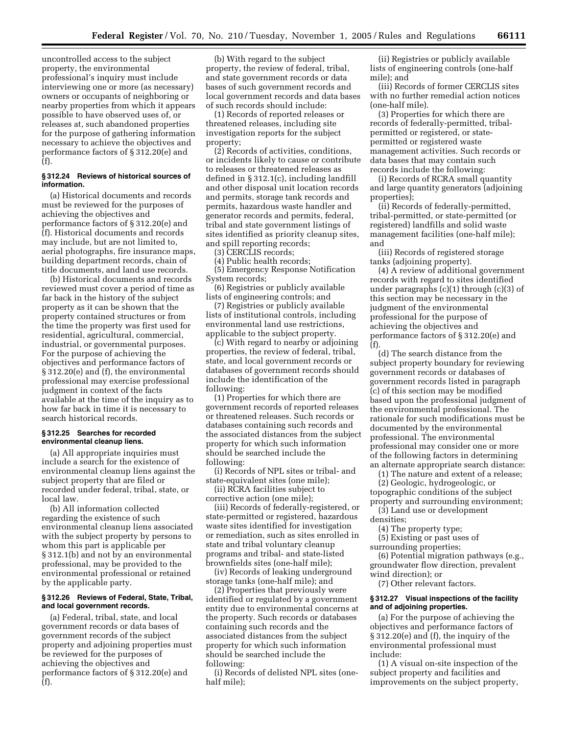uncontrolled access to the subject property, the environmental professional's inquiry must include interviewing one or more (as necessary) owners or occupants of neighboring or nearby properties from which it appears possible to have observed uses of, or releases at, such abandoned properties for the purpose of gathering information necessary to achieve the objectives and performance factors of § 312.20(e) and (f).

## **§ 312.24 Reviews of historical sources of information.**

(a) Historical documents and records must be reviewed for the purposes of achieving the objectives and performance factors of § 312.20(e) and (f). Historical documents and records may include, but are not limited to, aerial photographs, fire insurance maps, building department records, chain of title documents, and land use records.

(b) Historical documents and records reviewed must cover a period of time as far back in the history of the subject property as it can be shown that the property contained structures or from the time the property was first used for residential, agricultural, commercial, industrial, or governmental purposes. For the purpose of achieving the objectives and performance factors of § 312.20(e) and (f), the environmental professional may exercise professional judgment in context of the facts available at the time of the inquiry as to how far back in time it is necessary to search historical records.

## **§ 312.25 Searches for recorded environmental cleanup liens.**

(a) All appropriate inquiries must include a search for the existence of environmental cleanup liens against the subject property that are filed or recorded under federal, tribal, state, or local law.

(b) All information collected regarding the existence of such environmental cleanup liens associated with the subject property by persons to whom this part is applicable per § 312.1(b) and not by an environmental professional, may be provided to the environmental professional or retained by the applicable party.

#### **§ 312.26 Reviews of Federal, State, Tribal, and local government records.**

(a) Federal, tribal, state, and local government records or data bases of government records of the subject property and adjoining properties must be reviewed for the purposes of achieving the objectives and performance factors of § 312.20(e) and (f).

(b) With regard to the subject property, the review of federal, tribal, and state government records or data bases of such government records and local government records and data bases of such records should include:

(1) Records of reported releases or threatened releases, including site investigation reports for the subject property;

(2) Records of activities, conditions, or incidents likely to cause or contribute to releases or threatened releases as defined in § 312.1(c), including landfill and other disposal unit location records and permits, storage tank records and permits, hazardous waste handler and generator records and permits, federal, tribal and state government listings of sites identified as priority cleanup sites, and spill reporting records;

(3) CERCLIS records;

(4) Public health records; (5) Emergency Response Notification System records;

(6) Registries or publicly available lists of engineering controls; and

(7) Registries or publicly available lists of institutional controls, including environmental land use restrictions, applicable to the subject property.

(c) With regard to nearby or adjoining properties, the review of federal, tribal, state, and local government records or databases of government records should include the identification of the following:

(1) Properties for which there are government records of reported releases or threatened releases. Such records or databases containing such records and the associated distances from the subject property for which such information should be searched include the following:

(i) Records of NPL sites or tribal- and state-equivalent sites (one mile);

(ii) RCRA facilities subject to corrective action (one mile);

(iii) Records of federally-registered, or state-permitted or registered, hazardous waste sites identified for investigation or remediation, such as sites enrolled in state and tribal voluntary cleanup programs and tribal- and state-listed brownfields sites (one-half mile);

(iv) Records of leaking underground storage tanks (one-half mile); and

(2) Properties that previously were identified or regulated by a government entity due to environmental concerns at the property. Such records or databases containing such records and the associated distances from the subject property for which such information should be searched include the following:

(i) Records of delisted NPL sites (onehalf mile);

(ii) Registries or publicly available lists of engineering controls (one-half mile); and

(iii) Records of former CERCLIS sites with no further remedial action notices (one-half mile).

(3) Properties for which there are records of federally-permitted, tribalpermitted or registered, or statepermitted or registered waste management activities. Such records or data bases that may contain such records include the following:

(i) Records of RCRA small quantity and large quantity generators (adjoining properties);

(ii) Records of federally-permitted, tribal-permitted, or state-permitted (or registered) landfills and solid waste management facilities (one-half mile); and

(iii) Records of registered storage tanks (adjoining property).

(4) A review of additional government records with regard to sites identified under paragraphs (c)(1) through (c)(3) of this section may be necessary in the judgment of the environmental professional for the purpose of achieving the objectives and performance factors of § 312.20(e) and (f).

(d) The search distance from the subject property boundary for reviewing government records or databases of government records listed in paragraph (c) of this section may be modified based upon the professional judgment of the environmental professional. The rationale for such modifications must be documented by the environmental professional. The environmental professional may consider one or more of the following factors in determining an alternate appropriate search distance:

(1) The nature and extent of a release;

(2) Geologic, hydrogeologic, or topographic conditions of the subject property and surrounding environment;

(3) Land use or development densities;

(4) The property type;

(5) Existing or past uses of

surrounding properties;

(6) Potential migration pathways (e.g., groundwater flow direction, prevalent wind direction); or

(7) Other relevant factors.

#### **§ 312.27 Visual inspections of the facility and of adjoining properties.**

(a) For the purpose of achieving the objectives and performance factors of § 312.20(e) and (f), the inquiry of the environmental professional must include:

(1) A visual on-site inspection of the subject property and facilities and improvements on the subject property,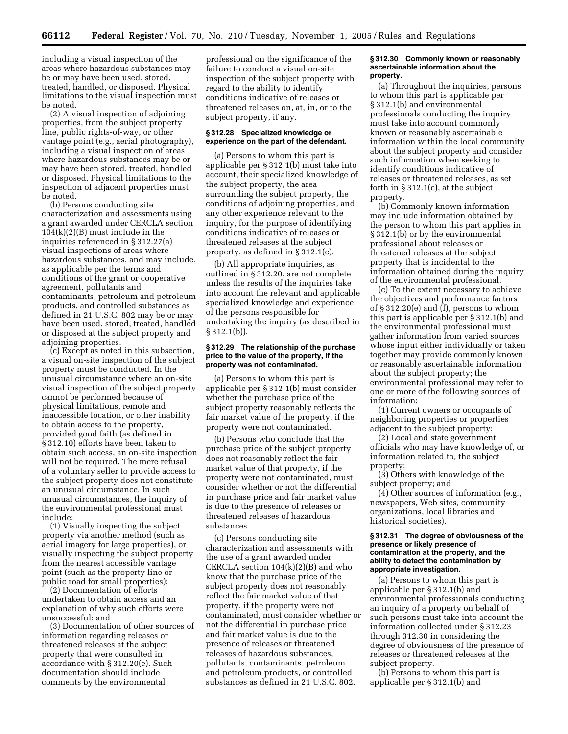including a visual inspection of the areas where hazardous substances may be or may have been used, stored, treated, handled, or disposed. Physical limitations to the visual inspection must be noted.

(2) A visual inspection of adjoining properties, from the subject property line, public rights-of-way, or other vantage point (e.g., aerial photography), including a visual inspection of areas where hazardous substances may be or may have been stored, treated, handled or disposed. Physical limitations to the inspection of adjacent properties must be noted.

(b) Persons conducting site characterization and assessments using a grant awarded under CERCLA section 104(k)(2)(B) must include in the inquiries referenced in § 312.27(a) visual inspections of areas where hazardous substances, and may include, as applicable per the terms and conditions of the grant or cooperative agreement, pollutants and contaminants, petroleum and petroleum products, and controlled substances as defined in 21 U.S.C. 802 may be or may have been used, stored, treated, handled or disposed at the subject property and adjoining properties.

(c) Except as noted in this subsection, a visual on-site inspection of the subject property must be conducted. In the unusual circumstance where an on-site visual inspection of the subject property cannot be performed because of physical limitations, remote and inaccessible location, or other inability to obtain access to the property, provided good faith (as defined in § 312.10) efforts have been taken to obtain such access, an on-site inspection will not be required. The mere refusal of a voluntary seller to provide access to the subject property does not constitute an unusual circumstance. In such unusual circumstances, the inquiry of the environmental professional must include:

(1) Visually inspecting the subject property via another method (such as aerial imagery for large properties), or visually inspecting the subject property from the nearest accessible vantage point (such as the property line or public road for small properties);

(2) Documentation of efforts undertaken to obtain access and an explanation of why such efforts were unsuccessful; and

(3) Documentation of other sources of information regarding releases or threatened releases at the subject property that were consulted in accordance with § 312.20(e). Such documentation should include comments by the environmental

professional on the significance of the failure to conduct a visual on-site inspection of the subject property with regard to the ability to identify conditions indicative of releases or threatened releases on, at, in, or to the subject property, if any.

#### **§ 312.28 Specialized knowledge or experience on the part of the defendant.**

(a) Persons to whom this part is applicable per § 312.1(b) must take into account, their specialized knowledge of the subject property, the area surrounding the subject property, the conditions of adjoining properties, and any other experience relevant to the inquiry, for the purpose of identifying conditions indicative of releases or threatened releases at the subject property, as defined in § 312.1(c).

(b) All appropriate inquiries, as outlined in § 312.20, are not complete unless the results of the inquiries take into account the relevant and applicable specialized knowledge and experience of the persons responsible for undertaking the inquiry (as described in § 312.1(b)).

#### **§ 312.29 The relationship of the purchase price to the value of the property, if the property was not contaminated.**

(a) Persons to whom this part is applicable per § 312.1(b) must consider whether the purchase price of the subject property reasonably reflects the fair market value of the property, if the property were not contaminated.

(b) Persons who conclude that the purchase price of the subject property does not reasonably reflect the fair market value of that property, if the property were not contaminated, must consider whether or not the differential in purchase price and fair market value is due to the presence of releases or threatened releases of hazardous substances.

(c) Persons conducting site characterization and assessments with the use of a grant awarded under CERCLA section  $104(k)(2)(B)$  and who know that the purchase price of the subject property does not reasonably reflect the fair market value of that property, if the property were not contaminated, must consider whether or not the differential in purchase price and fair market value is due to the presence of releases or threatened releases of hazardous substances, pollutants, contaminants, petroleum and petroleum products, or controlled substances as defined in 21 U.S.C. 802.

#### **§ 312.30 Commonly known or reasonably ascertainable information about the property.**

(a) Throughout the inquiries, persons to whom this part is applicable per § 312.1(b) and environmental professionals conducting the inquiry must take into account commonly known or reasonably ascertainable information within the local community about the subject property and consider such information when seeking to identify conditions indicative of releases or threatened releases, as set forth in § 312.1(c), at the subject property.

(b) Commonly known information may include information obtained by the person to whom this part applies in § 312.1(b) or by the environmental professional about releases or threatened releases at the subject property that is incidental to the information obtained during the inquiry of the environmental professional.

(c) To the extent necessary to achieve the objectives and performance factors of § 312.20(e) and (f), persons to whom this part is applicable per § 312.1(b) and the environmental professional must gather information from varied sources whose input either individually or taken together may provide commonly known or reasonably ascertainable information about the subject property; the environmental professional may refer to one or more of the following sources of information:

(1) Current owners or occupants of neighboring properties or properties adjacent to the subject property;

(2) Local and state government officials who may have knowledge of, or information related to, the subject property;

(3) Others with knowledge of the subject property; and

(4) Other sources of information (e.g., newspapers, Web sites, community organizations, local libraries and historical societies).

#### **§ 312.31 The degree of obviousness of the presence or likely presence of contamination at the property, and the ability to detect the contamination by appropriate investigation.**

(a) Persons to whom this part is applicable per § 312.1(b) and environmental professionals conducting an inquiry of a property on behalf of such persons must take into account the information collected under § 312.23 through 312.30 in considering the degree of obviousness of the presence of releases or threatened releases at the subject property.

(b) Persons to whom this part is applicable per § 312.1(b) and